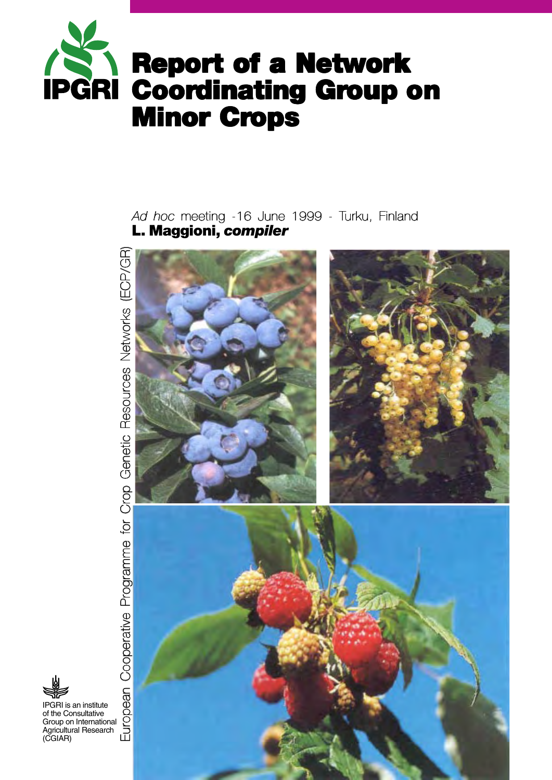

**L. Maggioni,** *compiler Ad hoc* meeting -16 June 1999 - Turku, Finland



European Cooperative Programme for Crop Genetic Resources Networks (ECP/GR)

IPGRI is an institute of the Consultative Group on International Agricultural Research (CGIAR)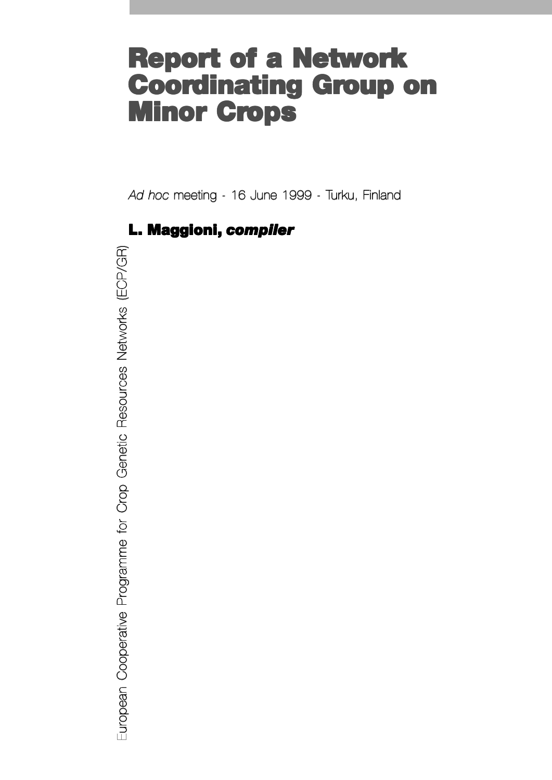# **Report of a Network Report of a Network Coordinating Group on Minor Crops**

*Ad hoc* meeting - 16 June 1999 - Turku, Finland

# **L. Maggioni, compiler**

European Cooperative Programme for Crop Genetic Resources Networks (ECP/GR) European Cooperative Programme for Crop Genetic Resources Networks (ECP/GR)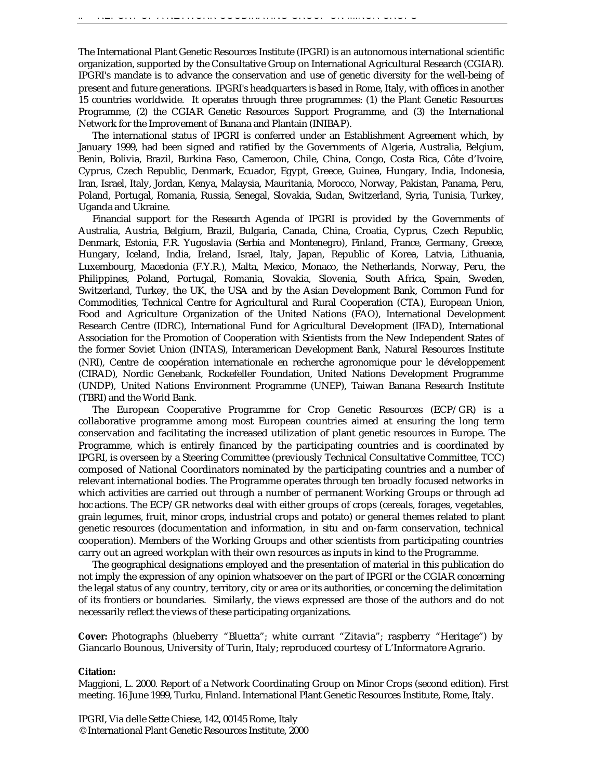The International Plant Genetic Resources Institute (IPGRI) is an autonomous international scientific organization, supported by the Consultative Group on International Agricultural Research (CGIAR). IPGRI's mandate is to advance the conservation and use of genetic diversity for the well-being of present and future generations. IPGRI's headquarters is based in Rome, Italy, with offices in another 15 countries worldwide. It operates through three programmes: (1) the Plant Genetic Resources Programme, (2) the CGIAR Genetic Resources Support Programme, and (3) the International Network for the Improvement of Banana and Plantain (INIBAP).

The international status of IPGRI is conferred under an Establishment Agreement which, by January 1999, had been signed and ratified by the Governments of Algeria, Australia, Belgium, Benin, Bolivia, Brazil, Burkina Faso, Cameroon, Chile, China, Congo, Costa Rica, Côte d'Ivoire, Cyprus, Czech Republic, Denmark, Ecuador, Egypt, Greece, Guinea, Hungary, India, Indonesia, Iran, Israel, Italy, Jordan, Kenya, Malaysia, Mauritania, Morocco, Norway, Pakistan, Panama, Peru, Poland, Portugal, Romania, Russia, Senegal, Slovakia, Sudan, Switzerland, Syria, Tunisia, Turkey, Uganda and Ukraine.

Financial support for the Research Agenda of IPGRI is provided by the Governments of Australia, Austria, Belgium, Brazil, Bulgaria, Canada, China, Croatia, Cyprus, Czech Republic, Denmark, Estonia, F.R. Yugoslavia (Serbia and Montenegro), Finland, France, Germany, Greece, Hungary, Iceland, India, Ireland, Israel, Italy, Japan, Republic of Korea, Latvia, Lithuania, Luxembourg, Macedonia (F.Y.R.), Malta, Mexico, Monaco, the Netherlands, Norway, Peru, the Philippines, Poland, Portugal, Romania, Slovakia, Slovenia, South Africa, Spain, Sweden, Switzerland, Turkey, the UK, the USA and by the Asian Development Bank, Common Fund for Commodities, Technical Centre for Agricultural and Rural Cooperation (CTA), European Union, Food and Agriculture Organization of the United Nations (FAO), International Development Research Centre (IDRC), International Fund for Agricultural Development (IFAD), International Association for the Promotion of Cooperation with Scientists from the New Independent States of the former Soviet Union (INTAS), Interamerican Development Bank, Natural Resources Institute (NRI), Centre de coopération internationale en recherche agronomique pour le développement (CIRAD), Nordic Genebank, Rockefeller Foundation, United Nations Development Programme (UNDP), United Nations Environment Programme (UNEP), Taiwan Banana Research Institute (TBRI) and the World Bank.

The European Cooperative Programme for Crop Genetic Resources (ECP/GR) is a collaborative programme among most European countries aimed at ensuring the long term conservation and facilitating the increased utilization of plant genetic resources in Europe. The Programme, which is entirely financed by the participating countries and is coordinated by IPGRI, is overseen by a Steering Committee (previously Technical Consultative Committee, TCC) composed of National Coordinators nominated by the participating countries and a number of relevant international bodies. The Programme operates through ten broadly focused networks in which activities are carried out through a number of permanent Working Groups or through *ad hoc* actions. The ECP/GR networks deal with either groups of crops (cereals, forages, vegetables, grain legumes, fruit, minor crops, industrial crops and potato) or general themes related to plant genetic resources (documentation and information, *in situ* and on-farm conservation, technical cooperation). Members of the Working Groups and other scientists from participating countries carry out an agreed workplan with their own resources as inputs in kind to the Programme.

The geographical designations employed and the presentation of material in this publication do not imply the expression of any opinion whatsoever on the part of IPGRI or the CGIAR concerning the legal status of any country, territory, city or area or its authorities, or concerning the delimitation of its frontiers or boundaries. Similarly, the views expressed are those of the authors and do not necessarily reflect the views of these participating organizations.

**Cover:** Photographs (blueberry "Bluetta"; white currant "Zitavia"; raspberry "Heritage") by Giancarlo Bounous, University of Turin, Italy; reproduced courtesy of L'Informatore Agrario.

#### **Citation:**

Maggioni, L. 2000. Report of a Network Coordinating Group on Minor Crops (second edition). First meeting. 16 June 1999, Turku, Finland. International Plant Genetic Resources Institute, Rome, Italy.

IPGRI, Via delle Sette Chiese, 142, 00145 Rome, Italy © International Plant Genetic Resources Institute, 2000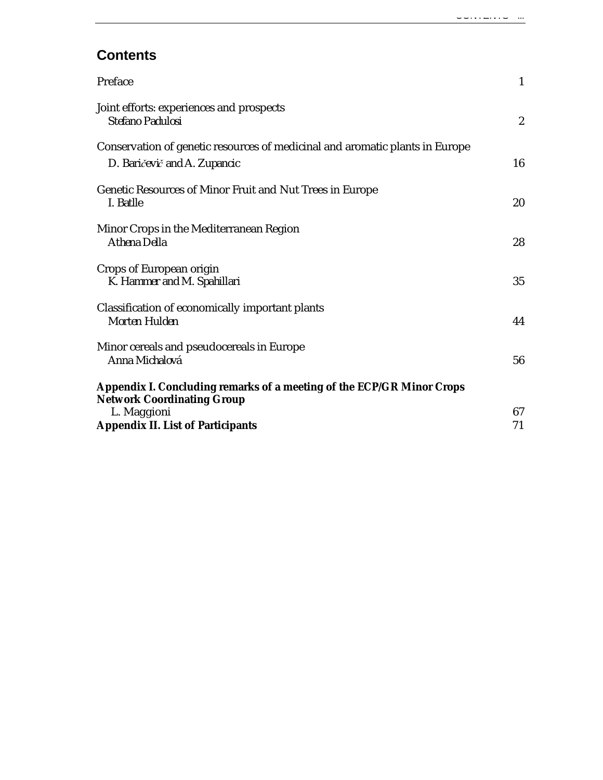# **Contents**

| Preface                                                                                                      | $\mathbf{1}$     |
|--------------------------------------------------------------------------------------------------------------|------------------|
| Joint efforts: experiences and prospects<br>Stefano Padulosi                                                 | $\boldsymbol{2}$ |
| Conservation of genetic resources of medicinal and aromatic plants in Europe<br>D. Baričevič and A. Zupancic | 16               |
| Genetic Resources of Minor Fruit and Nut Trees in Europe<br>I. Batlle                                        | 20               |
| Minor Crops in the Mediterranean Region<br>Athena Della                                                      | 28               |
| Crops of European origin<br>K. Hammer and M. Spahillari                                                      | 35               |
| Classification of economically important plants<br>Morten Hulden                                             | 44               |
| Minor cereals and pseudocereals in Europe<br>Anna Michalová                                                  | 56               |
| Appendix I. Concluding remarks of a meeting of the ECP/GR Minor Crops                                        |                  |
| <b>Network Coordinating Group</b><br>L. Maggioni                                                             | 67               |
| <b>Appendix II. List of Participants</b>                                                                     | 71               |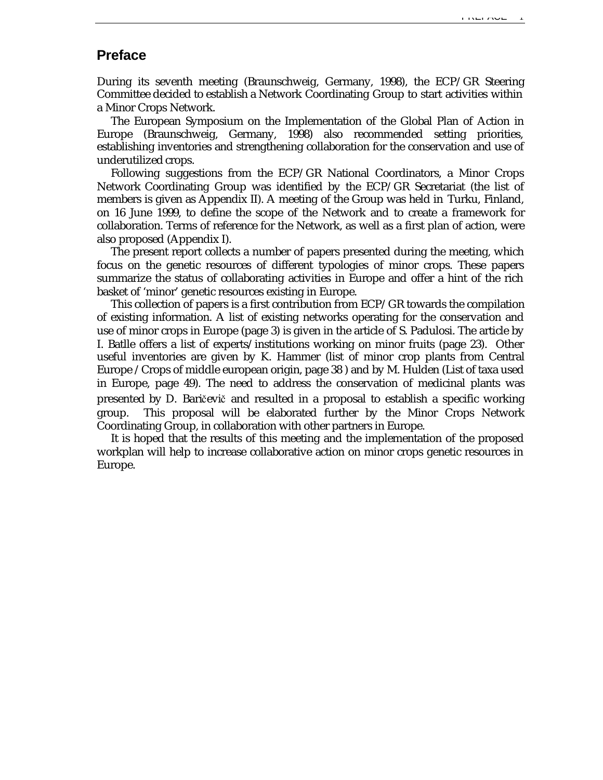# **Preface**

During its seventh meeting (Braunschweig, Germany, 1998), the ECP/GR Steering Committee decided to establish a Network Coordinating Group to start activities within a Minor Crops Network.

The European Symposium on the Implementation of the Global Plan of Action in Europe (Braunschweig, Germany, 1998) also recommended setting priorities, establishing inventories and strengthening collaboration for the conservation and use of underutilized crops.

Following suggestions from the ECP/GR National Coordinators, a Minor Crops Network Coordinating Group was identified by the ECP/GR Secretariat (the list of members is given as Appendix II). A meeting of the Group was held in Turku, Finland, on 16 June 1999, to define the scope of the Network and to create a framework for collaboration. Terms of reference for the Network, as well as a first plan of action, were also proposed (Appendix I).

The present report collects a number of papers presented during the meeting, which focus on the genetic resources of different typologies of minor crops. These papers summarize the status of collaborating activities in Europe and offer a hint of the rich basket of 'minor' genetic resources existing in Europe.

This collection of papers is a first contribution from ECP/GR towards the compilation of existing information. A list of existing networks operating for the conservation and use of minor crops in Europe (page 3) is given in the article of S. Padulosi. The article by I. Batlle offers a list of experts/institutions working on minor fruits (page 23). Other useful inventories are given by K. Hammer (list of minor crop plants from Central Europe /Crops of middle european origin, page 38 ) and by M. Hulden (List of taxa used in Europe, page 49). The need to address the conservation of medicinal plants was presented by D. Baričevič and resulted in a proposal to establish a specific working group. This proposal will be elaborated further by the Minor Crops Network Coordinating Group, in collaboration with other partners in Europe.

It is hoped that the results of this meeting and the implementation of the proposed workplan will help to increase collaborative action on minor crops genetic resources in Europe.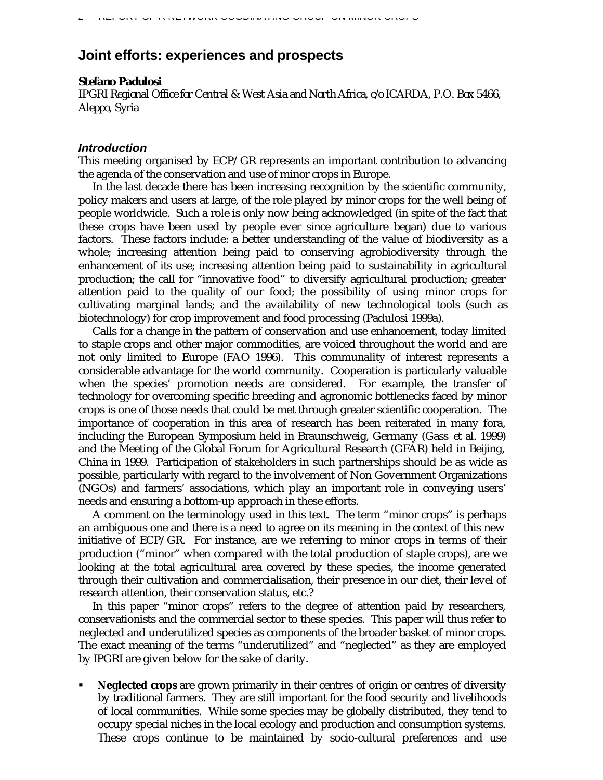# **Joint efforts: experiences and prospects**

### *Stefano Padulosi*

*IPGRI Regional Office for Central & West Asia and North Africa, c/o ICARDA, P.O. Box 5466, Aleppo, Syria*

### *Introduction*

This meeting organised by ECP/GR represents an important contribution to advancing the agenda of the conservation and use of minor crops in Europe.

In the last decade there has been increasing recognition by the scientific community, policy makers and users at large, of the role played by minor crops for the well being of people worldwide. Such a role is only now being acknowledged (in spite of the fact that these crops have been used by people ever since agriculture began) due to various factors. These factors include: a better understanding of the value of biodiversity as a whole; increasing attention being paid to conserving agrobiodiversity through the enhancement of its use; increasing attention being paid to sustainability in agricultural production; the call for "innovative food" to diversify agricultural production; greater attention paid to the quality of our food; the possibility of using minor crops for cultivating marginal lands; and the availability of new technological tools (such as biotechnology) for crop improvement and food processing (Padulosi 1999a).

Calls for a change in the pattern of conservation and use enhancement, today limited to staple crops and other major commodities, are voiced throughout the world and are not only limited to Europe (FAO 1996). This communality of interest represents a considerable advantage for the world community. Cooperation is particularly valuable when the species' promotion needs are considered. For example, the transfer of technology for overcoming specific breeding and agronomic bottlenecks faced by minor crops is one of those needs that could be met through greater scientific cooperation. The importance of cooperation in this area of research has been reiterated in many fora, including the European Symposium held in Braunschweig, Germany (Gass *et al.* 1999) and the Meeting of the Global Forum for Agricultural Research (GFAR) held in Beijing, China in 1999. Participation of stakeholders in such partnerships should be as wide as possible, particularly with regard to the involvement of Non Government Organizations (NGOs) and farmers' associations, which play an important role in conveying users' needs and ensuring a bottom-up approach in these efforts.

A comment on the terminology used in this text. The term "minor crops" is perhaps an ambiguous one and there is a need to agree on its meaning in the context of this new initiative of ECP/GR. For instance, are we referring to minor crops in terms of their production ("minor" when compared with the total production of staple crops), are we looking at the total agricultural area covered by these species, the income generated through their cultivation and commercialisation, their presence in our diet, their level of research attention, their conservation status, etc.?

In this paper "minor crops" refers to the degree of attention paid by researchers, conservationists and the commercial sector to these species. This paper will thus refer to neglected and underutilized species as components of the broader basket of minor crops. The exact meaning of the terms "underutilized" and "neglected" as they are employed by IPGRI are given below for the sake of clarity.

ß **Neglected crops** are grown primarily in their centres of origin or centres of diversity by traditional farmers. They are still important for the food security and livelihoods of local communities. While some species may be globally distributed, they tend to occupy special niches in the local ecology and production and consumption systems. These crops continue to be maintained by socio-cultural preferences and use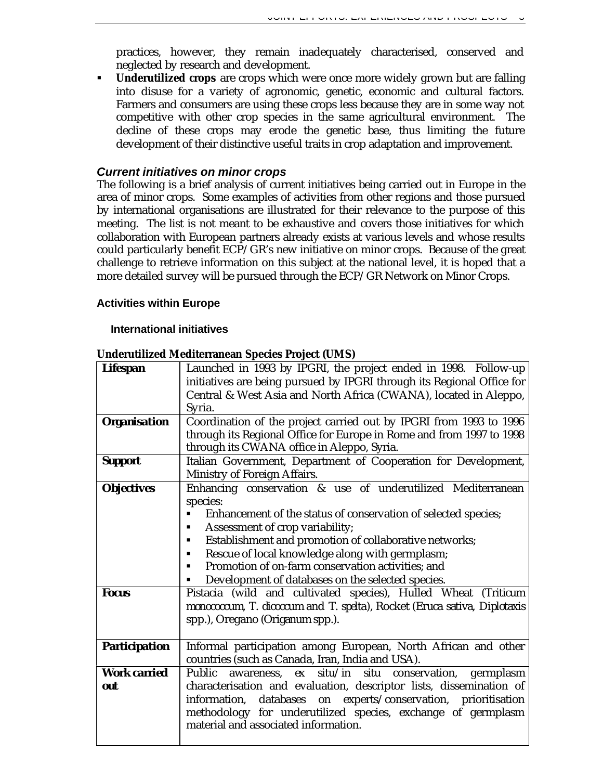practices, however, they remain inadequately characterised, conserved and neglected by research and development.

ß **Underutilized crops** are crops which were once more widely grown but are falling into disuse for a variety of agronomic, genetic, economic and cultural factors. Farmers and consumers are using these crops less because they are in some way not competitive with other crop species in the same agricultural environment. The decline of these crops may erode the genetic base, thus limiting the future development of their distinctive useful traits in crop adaptation and improvement.

# *Current initiatives on minor crops*

The following is a brief analysis of current initiatives being carried out in Europe in the area of minor crops. Some examples of activities from other regions and those pursued by international organisations are illustrated for their relevance to the purpose of this meeting. The list is not meant to be exhaustive and covers those initiatives for which collaboration with European partners already exists at various levels and whose results could particularly benefit ECP/GR's new initiative on minor crops. Because of the great challenge to retrieve information on this subject at the national level, it is hoped that a more detailed survey will be pursued through the ECP/GR Network on Minor Crops.

# **Activities within Europe**

### **International initiatives**

| <b>Lifespan</b>                   | Launched in 1993 by IPGRI, the project ended in 1998. Follow-up<br>initiatives are being pursued by IPGRI through its Regional Office for<br>Central & West Asia and North Africa (CWANA), located in Aleppo,<br>Syria.                                                                                                                                                                                                                                                         |
|-----------------------------------|---------------------------------------------------------------------------------------------------------------------------------------------------------------------------------------------------------------------------------------------------------------------------------------------------------------------------------------------------------------------------------------------------------------------------------------------------------------------------------|
| <b>Organisation</b>               | Coordination of the project carried out by IPGRI from 1993 to 1996<br>through its Regional Office for Europe in Rome and from 1997 to 1998<br>through its CWANA office in Aleppo, Syria.                                                                                                                                                                                                                                                                                        |
| <b>Support</b>                    | Italian Government, Department of Cooperation for Development,<br>Ministry of Foreign Affairs.                                                                                                                                                                                                                                                                                                                                                                                  |
| <b>Objectives</b><br><b>Focus</b> | Enhancing conservation & use of underutilized Mediterranean<br>species:<br>Enhancement of the status of conservation of selected species;<br>Assessment of crop variability;<br>٠<br>Establishment and promotion of collaborative networks;<br>Rescue of local knowledge along with germplasm;<br>Promotion of on-farm conservation activities; and<br>٠<br>Development of databases on the selected species.<br>Pistacia (wild and cultivated species), Hulled Wheat (Triticum |
|                                   | monococcum, T. dicoccum and T. spelta), Rocket (Eruca sativa, Diplotaxis<br>spp.), Oregano (Origanum spp.).                                                                                                                                                                                                                                                                                                                                                                     |
| <b>Participation</b>              | Informal participation among European, North African and other<br>countries (such as Canada, Iran, India and USA).                                                                                                                                                                                                                                                                                                                                                              |
| <b>Work carried</b><br>out        | Public<br>awareness, ex situ/in situ conservation, germplasm<br>characterisation and evaluation, descriptor lists, dissemination of<br>databases on experts/conservation, prioritisation<br>information,<br>methodology for underutilized species, exchange of germplasm<br>material and associated information.                                                                                                                                                                |

### **Underutilized Mediterranean Species Project (UMS)**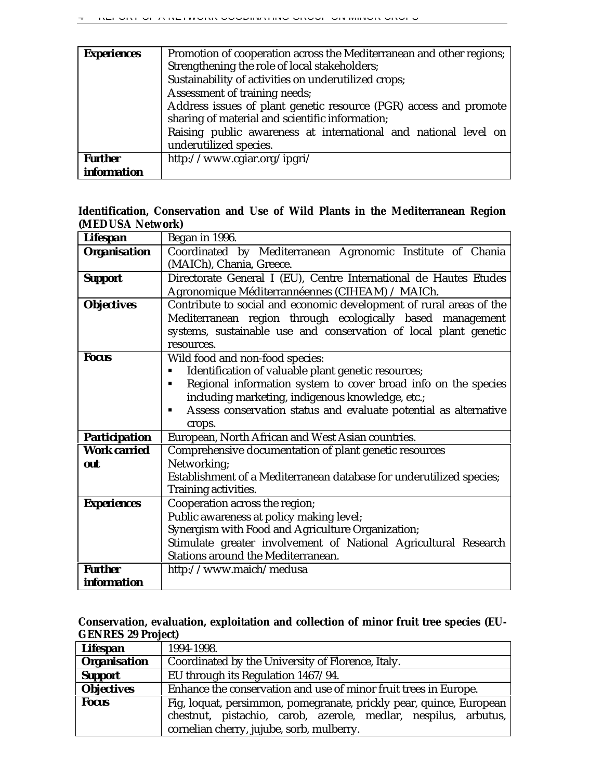| <b>Experiences</b> | Promotion of cooperation across the Mediterranean and other regions; |
|--------------------|----------------------------------------------------------------------|
|                    | Strengthening the role of local stakeholders;                        |
|                    | Sustainability of activities on underutilized crops;                 |
|                    | Assessment of training needs;                                        |
|                    | Address issues of plant genetic resource (PGR) access and promote    |
|                    | sharing of material and scientific information;                      |
|                    | Raising public awareness at international and national level on      |
|                    | underutilized species.                                               |
| <b>Further</b>     | http://www.cgiar.org/ipgri/                                          |
| <i>information</i> |                                                                      |

# **Identification, Conservation and Use of Wild Plants in the Mediterranean Region (MEDUSA Network)**

| <b>Lifespan</b>      | Began in 1996.                                                        |
|----------------------|-----------------------------------------------------------------------|
| <b>Organisation</b>  | Coordinated by Mediterranean Agronomic Institute of Chania            |
|                      | (MAICh), Chania, Greece.                                              |
| <b>Support</b>       | Directorate General I (EU), Centre International de Hautes Etudes     |
|                      | Agronomique Méditerrannéennes (CIHEAM) / MAICh.                       |
| <b>Objectives</b>    | Contribute to social and economic development of rural areas of the   |
|                      | Mediterranean region through ecologically based management            |
|                      | systems, sustainable use and conservation of local plant genetic      |
|                      | resources.                                                            |
| <b>Focus</b>         | Wild food and non-food species:                                       |
|                      | Identification of valuable plant genetic resources;                   |
|                      | Regional information system to cover broad info on the species        |
|                      | including marketing, indigenous knowledge, etc.;                      |
|                      | Assess conservation status and evaluate potential as alternative<br>٠ |
|                      | crops.                                                                |
| <b>Participation</b> | European, North African and West Asian countries.                     |
| <b>Work carried</b>  | Comprehensive documentation of plant genetic resources                |
| out                  | Networking;                                                           |
|                      | Establishment of a Mediterranean database for underutilized species;  |
|                      | Training activities.                                                  |
| <b>Experiences</b>   | Cooperation across the region;                                        |
|                      | Public awareness at policy making level;                              |
|                      | Synergism with Food and Agriculture Organization;                     |
|                      | Stimulate greater involvement of National Agricultural Research       |
|                      | Stations around the Mediterranean.                                    |
| <b>Further</b>       | http://www.maich/medusa                                               |
| <i>information</i>   |                                                                       |

# **Conservation, evaluation, exploitation and collection of minor fruit tree species (EU-GENRES 29 Project)**

| <b>Lifespan</b>     | 1994-1998.                                                                                                                                                                          |
|---------------------|-------------------------------------------------------------------------------------------------------------------------------------------------------------------------------------|
| <b>Organisation</b> | Coordinated by the University of Florence, Italy.                                                                                                                                   |
| <b>Support</b>      | EU through its Regulation 1467/94.                                                                                                                                                  |
| <b>Objectives</b>   | Enhance the conservation and use of minor fruit trees in Europe.                                                                                                                    |
| <b>Focus</b>        | Fig, loquat, persimmon, pomegranate, prickly pear, quince, European<br>chestnut, pistachio, carob, azerole, medlar, nespilus, arbutus,<br>cornelian cherry, jujube, sorb, mulberry. |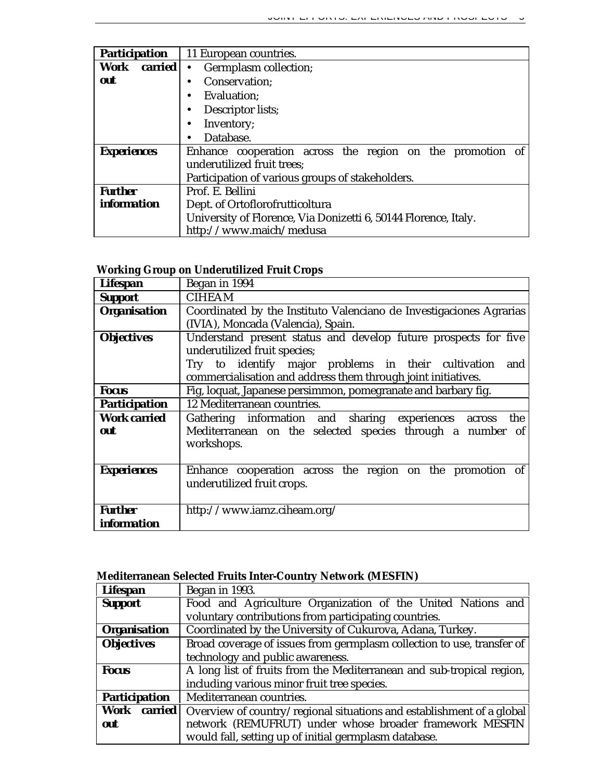| <b>Participation</b> | 11 European countries.                                          |
|----------------------|-----------------------------------------------------------------|
| <b>Work</b> carried  | Germplasm collection;<br>$\bullet$                              |
| out                  | Conservation;                                                   |
|                      | Evaluation;                                                     |
|                      | Descriptor lists;                                               |
|                      | Inventory;                                                      |
|                      | Database.                                                       |
| <b>Experiences</b>   | Enhance cooperation across the region on the promotion of       |
|                      | underutilized fruit trees;                                      |
|                      | Participation of various groups of stakeholders.                |
| <b>Further</b>       | Prof. E. Bellini                                                |
| <i>information</i>   | Dept. of Ortoflorofrutticoltura                                 |
|                      | University of Florence, Via Donizetti 6, 50144 Florence, Italy. |
|                      | http://www.maich/medusa                                         |

# **Working Group on Underutilized Fruit Crops**

| <b>Lifespan</b>      | Began in 1994                                                       |
|----------------------|---------------------------------------------------------------------|
| <b>Support</b>       | <b>CIHEAM</b>                                                       |
| <b>Organisation</b>  | Coordinated by the Instituto Valenciano de Investigaciones Agrarias |
|                      | (IVIA), Moncada (Valencia), Spain.                                  |
| <b>Objectives</b>    | Understand present status and develop future prospects for five     |
|                      | underutilized fruit species;                                        |
|                      | Try to identify major problems in their cultivation<br>and          |
|                      | commercialisation and address them through joint initiatives.       |
| <b>Focus</b>         | Fig, loquat, Japanese persimmon, pomegranate and barbary fig.       |
| <b>Participation</b> | 12 Mediterranean countries.                                         |
| <b>Work carried</b>  | Gathering information and sharing experiences across<br>the         |
| out                  | Mediterranean on the selected species through a number of           |
|                      | workshops.                                                          |
|                      |                                                                     |
| <b>Experiences</b>   | Enhance cooperation across the region on the promotion of           |
|                      | underutilized fruit crops.                                          |
|                      |                                                                     |
| <b>Further</b>       | http://www.iamz.ciheam.org/                                         |
| <i>information</i>   |                                                                     |

# **Mediterranean Selected Fruits Inter-Country Network (MESFIN)**

| <b>Lifespan</b>      | Began in 1993.                                                                              |
|----------------------|---------------------------------------------------------------------------------------------|
| <b>Support</b>       | Food and Agriculture Organization of the United Nations and                                 |
|                      | voluntary contributions from participating countries.                                       |
| <b>Organisation</b>  | Coordinated by the University of Cukurova, Adana, Turkey.                                   |
| <b>Objectives</b>    | Broad coverage of issues from germplasm collection to use, transfer of                      |
|                      | technology and public awareness.                                                            |
| <b>Focus</b>         | A long list of fruits from the Mediterranean and sub-tropical region,                       |
|                      | including various minor fruit tree species.                                                 |
| <b>Participation</b> | Mediterranean countries.                                                                    |
|                      | <b>Work</b> carried   Overview of country/regional situations and establishment of a global |
| out                  | network (REMUFRUT) under whose broader framework MESFIN                                     |
|                      | would fall, setting up of initial germplasm database.                                       |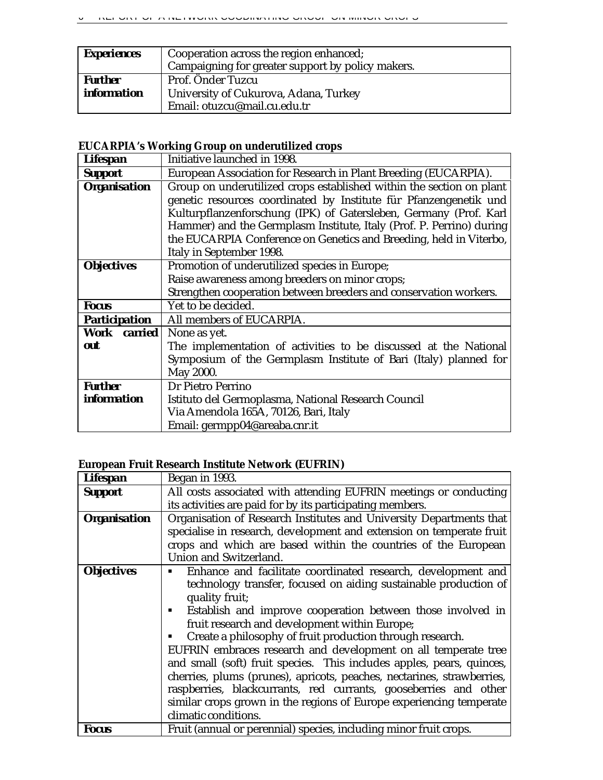| <b>Experiences</b> | Cooperation across the region enhanced;<br>Campaigning for greater support by policy makers. |
|--------------------|----------------------------------------------------------------------------------------------|
| <b>Further</b>     | Prof. Önder Tuzcu                                                                            |
| <i>information</i> | University of Cukurova, Adana, Turkey                                                        |
|                    | Email: otuzcu@mail.cu.edu.tr                                                                 |

# **EUCARPIA's Working Group on underutilized crops**

| <b>Lifespan</b>      | Initiative launched in 1998.                                         |
|----------------------|----------------------------------------------------------------------|
| <b>Support</b>       | European Association for Research in Plant Breeding (EUCARPIA).      |
| <b>Organisation</b>  | Group on underutilized crops established within the section on plant |
|                      | genetic resources coordinated by Institute für Pfanzengenetik und    |
|                      | Kulturpflanzenforschung (IPK) of Gatersleben, Germany (Prof. Karl    |
|                      | Hammer) and the Germplasm Institute, Italy (Prof. P. Perrino) during |
|                      | the EUCARPIA Conference on Genetics and Breeding, held in Viterbo,   |
|                      | Italy in September 1998.                                             |
| <b>Objectives</b>    | Promotion of underutilized species in Europe;                        |
|                      | Raise awareness among breeders on minor crops;                       |
|                      | Strengthen cooperation between breeders and conservation workers.    |
| <b>Focus</b>         | Yet to be decided.                                                   |
| <b>Participation</b> | All members of EUCARPIA.                                             |
| Work carried         | None as yet.                                                         |
| out                  | The implementation of activities to be discussed at the National     |
|                      | Symposium of the Germplasm Institute of Bari (Italy) planned for     |
|                      | May 2000.                                                            |
| <b>Further</b>       | Dr Pietro Perrino                                                    |
| <i>information</i>   | Istituto del Germoplasma, National Research Council                  |
|                      | Via Amendola 165A, 70126, Bari, Italy                                |
|                      | Email: germpp04@areaba.cnr.it                                        |

# **European Fruit Research Institute Network (EUFRIN)**

| <b>Lifespan</b>     | Began in 1993.                                                         |
|---------------------|------------------------------------------------------------------------|
| <b>Support</b>      | All costs associated with attending EUFRIN meetings or conducting      |
|                     | its activities are paid for by its participating members.              |
| <b>Organisation</b> | Organisation of Research Institutes and University Departments that    |
|                     | specialise in research, development and extension on temperate fruit   |
|                     | crops and which are based within the countries of the European         |
|                     | Union and Switzerland.                                                 |
| <b>Objectives</b>   | Enhance and facilitate coordinated research, development and           |
|                     | technology transfer, focused on aiding sustainable production of       |
|                     | quality fruit;                                                         |
|                     | Establish and improve cooperation between those involved in            |
|                     | fruit research and development within Europe;                          |
|                     | Create a philosophy of fruit production through research.              |
|                     | EUFRIN embraces research and development on all temperate tree         |
|                     | and small (soft) fruit species. This includes apples, pears, quinces,  |
|                     | cherries, plums (prunes), apricots, peaches, nectarines, strawberries, |
|                     | raspberries, blackcurrants, red currants, gooseberries and other       |
|                     | similar crops grown in the regions of Europe experiencing temperate    |
|                     | climatic conditions.                                                   |
| <b>Focus</b>        | Fruit (annual or perennial) species, including minor fruit crops.      |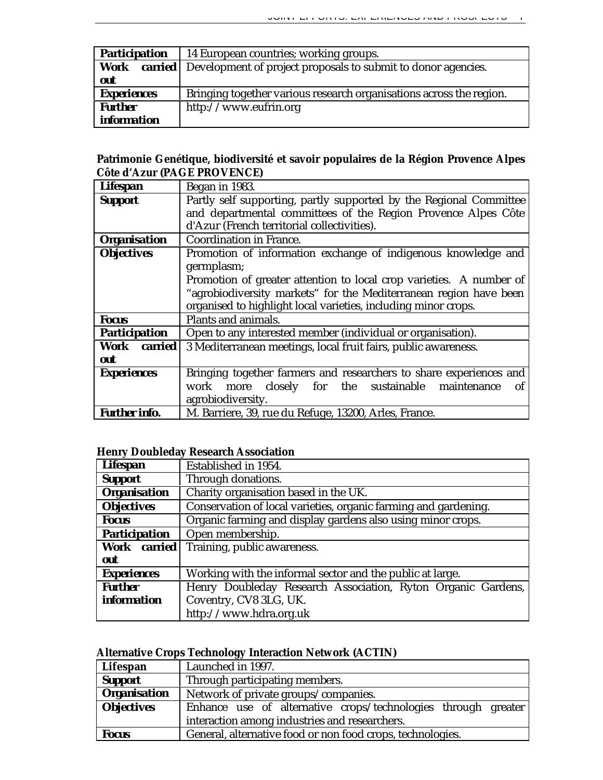| <b>Participation</b> | 14 European countries; working groups.                                       |
|----------------------|------------------------------------------------------------------------------|
| Work                 | <b>carried</b> Development of project proposals to submit to donor agencies. |
| out                  |                                                                              |
| <b>Experiences</b>   | Bringing together various research organisations across the region.          |
| <b>Further</b>       | http://www.eufrin.org                                                        |
| <i>information</i>   |                                                                              |

# **Patrimonie Genétique, biodiversité et savoir populaires de la Région Provence Alpes Côte d'Azur (PAGE PROVENCE)**

| <b>Lifespan</b>      | Began in 1983.                                                      |
|----------------------|---------------------------------------------------------------------|
| <b>Support</b>       | Partly self supporting, partly supported by the Regional Committee  |
|                      | and departmental committees of the Region Provence Alpes Côte       |
|                      | d'Azur (French territorial collectivities).                         |
| <b>Organisation</b>  | <b>Coordination in France.</b>                                      |
| <b>Objectives</b>    | Promotion of information exchange of indigenous knowledge and       |
|                      | germplasm;                                                          |
|                      | Promotion of greater attention to local crop varieties. A number of |
|                      | "agrobiodiversity markets" for the Mediterranean region have been   |
|                      | organised to highlight local varieties, including minor crops.      |
| <b>Focus</b>         | Plants and animals.                                                 |
| <b>Participation</b> | Open to any interested member (individual or organisation).         |
| Work carried         | 3 Mediterranean meetings, local fruit fairs, public awareness.      |
| out                  |                                                                     |
| <b>Experiences</b>   | Bringing together farmers and researchers to share experiences and  |
|                      | more closely for the sustainable<br>work<br>maintenance<br>of       |
|                      | agrobiodiversity.                                                   |
| <b>Further info.</b> | M. Barriere, 39, rue du Refuge, 13200, Arles, France.               |

# **Henry Doubleday Research Association**

| <b>Lifespan</b>      | Established in 1954.                                            |
|----------------------|-----------------------------------------------------------------|
| <b>Support</b>       | Through donations.                                              |
| <b>Organisation</b>  | Charity organisation based in the UK.                           |
| <b>Objectives</b>    | Conservation of local varieties, organic farming and gardening. |
| <b>Focus</b>         | Organic farming and display gardens also using minor crops.     |
| <b>Participation</b> | Open membership.                                                |
| Work carried         | Training, public awareness.                                     |
| out                  |                                                                 |
| <b>Experiences</b>   | Working with the informal sector and the public at large.       |
| <b>Further</b>       | Henry Doubleday Research Association, Ryton Organic Gardens,    |
| <i>information</i>   | Coventry, CV8 3LG, UK.                                          |
|                      | http://www.hdra.org.uk                                          |

# **Alternative Crops Technology Interaction Network (ACTIN)**

| Lifespan            | Launched in 1997.                                             |
|---------------------|---------------------------------------------------------------|
| <b>Support</b>      | Through participating members.                                |
| <b>Organisation</b> | Network of private groups/companies.                          |
| <b>Objectives</b>   | Enhance use of alternative crops/technologies through greater |
|                     | interaction among industries and researchers.                 |
| <b>Focus</b>        | General, alternative food or non food crops, technologies.    |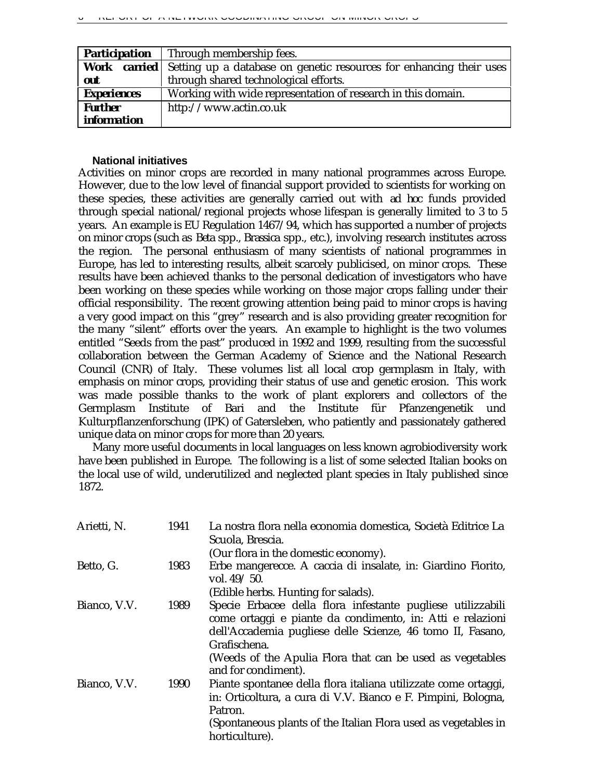| <b>Participation</b> | Through membership fees.                                                                |
|----------------------|-----------------------------------------------------------------------------------------|
|                      | <b>Work</b> carried Setting up a database on genetic resources for enhancing their uses |
| out                  | through shared technological efforts.                                                   |
| <b>Experiences</b>   | Working with wide representation of research in this domain.                            |
| <b>Further</b>       | http://www.actin.co.uk                                                                  |
| <i>information</i>   |                                                                                         |

### **National initiatives**

Activities on minor crops are recorded in many national programmes across Europe. However, due to the low level of financial support provided to scientists for working on these species, these activities are generally carried out with *ad hoc* funds provided through special national/regional projects whose lifespan is generally limited to 3 to 5 years. An example is EU Regulation 1467/94, which has supported a number of projects on minor crops (such as *Beta* spp., *Brassica* spp., etc.), involving research institutes across the region. The personal enthusiasm of many scientists of national programmes in Europe, has led to interesting results, albeit scarcely publicised, on minor crops. These results have been achieved thanks to the personal dedication of investigators who have been working on these species while working on those major crops falling under their official responsibility. The recent growing attention being paid to minor crops is having a very good impact on this "grey" research and is also providing greater recognition for the many "silent" efforts over the years. An example to highlight is the two volumes entitled "Seeds from the past" produced in 1992 and 1999, resulting from the successful collaboration between the German Academy of Science and the National Research Council (CNR) of Italy. These volumes list all local crop germplasm in Italy, with emphasis on minor crops, providing their status of use and genetic erosion. This work was made possible thanks to the work of plant explorers and collectors of the Germplasm Institute of Bari and the Institute für Pfanzengenetik und Kulturpflanzenforschung (IPK) of Gatersleben, who patiently and passionately gathered unique data on minor crops for more than 20 years.

Many more useful documents in local languages on less known agrobiodiversity work have been published in Europe. The following is a list of some selected Italian books on the local use of wild, underutilized and neglected plant species in Italy published since 1872.

| Arietti, N.  | 1941 | La nostra flora nella economia domestica, Società Editrice La<br>Scuola, Brescia.<br>(Our flora in the domestic economy).                                                                                                                                           |
|--------------|------|---------------------------------------------------------------------------------------------------------------------------------------------------------------------------------------------------------------------------------------------------------------------|
| Betto, G.    | 1983 | Erbe mangerecce. A caccia di insalate, in: Giardino Fiorito,<br>vol. $49/50$ .                                                                                                                                                                                      |
|              |      | (Edible herbs. Hunting for salads).                                                                                                                                                                                                                                 |
| Bianco, V.V. | 1989 | Specie Erbacee della flora infestante pugliese utilizzabili<br>come ortaggi e piante da condimento, in: Atti e relazioni<br>dell'Accademia pugliese delle Scienze, 46 tomo II, Fasano,<br>Grafischena.<br>(Weeds of the Apulia Flora that can be used as vegetables |
|              |      | and for condiment).                                                                                                                                                                                                                                                 |
| Bianco, V.V. | 1990 | Piante spontanee della flora italiana utilizzate come ortaggi,<br>in: Orticoltura, a cura di V.V. Bianco e F. Pimpini, Bologna,<br>Patron.<br>(Spontaneous plants of the Italian Flora used as vegetables in<br>horticulture).                                      |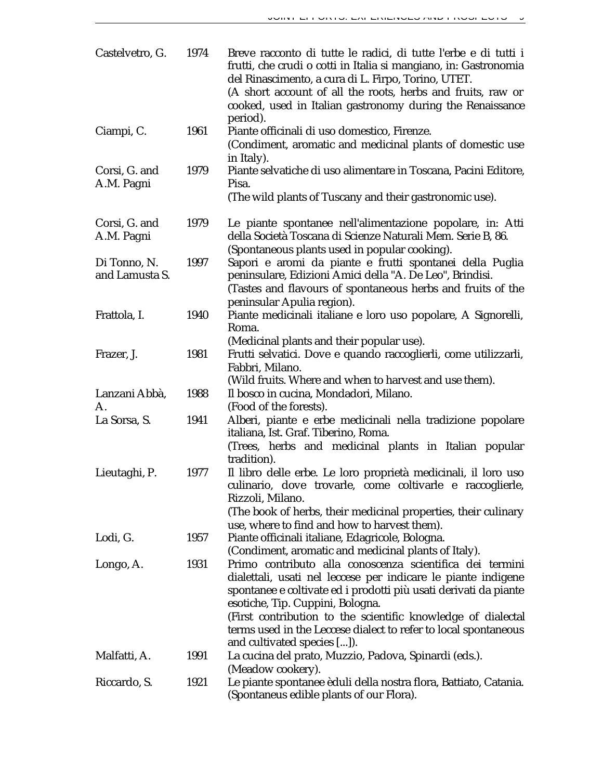| Castelvetro, G.                | 1974 | Breve racconto di tutte le radici, di tutte l'erbe e di tutti i<br>frutti, che crudi o cotti in Italia si mangiano, in: Gastronomia<br>del Rinascimento, a cura di L. Firpo, Torino, UTET.<br>(A short account of all the roots, herbs and fruits, raw or<br>cooked, used in Italian gastronomy during the Renaissance                                                                              |
|--------------------------------|------|-----------------------------------------------------------------------------------------------------------------------------------------------------------------------------------------------------------------------------------------------------------------------------------------------------------------------------------------------------------------------------------------------------|
| Ciampi, C.                     | 1961 | period).<br>Piante officinali di uso domestico, Firenze.<br>(Condiment, aromatic and medicinal plants of domestic use                                                                                                                                                                                                                                                                               |
| Corsi, G. and<br>A.M. Pagni    | 1979 | in Italy).<br>Piante selvatiche di uso alimentare in Toscana, Pacini Editore,<br>Pisa.<br>(The wild plants of Tuscany and their gastronomic use).                                                                                                                                                                                                                                                   |
| Corsi, G. and<br>A.M. Pagni    | 1979 | Le piante spontanee nell'alimentazione popolare, in: Atti<br>della Società Toscana di Scienze Naturali Mem. Serie B, 86.<br>(Spontaneous plants used in popular cooking).                                                                                                                                                                                                                           |
| Di Tonno, N.<br>and Lamusta S. | 1997 | Sapori e aromi da piante e frutti spontanei della Puglia<br>peninsulare, Edizioni Amici della "A. De Leo", Brindisi.<br>(Tastes and flavours of spontaneous herbs and fruits of the<br>peninsular Apulia region).                                                                                                                                                                                   |
| Frattola, I.                   | 1940 | Piante medicinali italiane e loro uso popolare, A Signorelli,<br>Roma.<br>(Medicinal plants and their popular use).                                                                                                                                                                                                                                                                                 |
| Frazer, J.                     | 1981 | Frutti selvatici. Dove e quando raccoglierli, come utilizzarli,<br>Fabbri, Milano.<br>(Wild fruits. Where and when to harvest and use them).                                                                                                                                                                                                                                                        |
| Lanzani Abbà,<br>A.            | 1988 | Il bosco in cucina, Mondadori, Milano.<br>(Food of the forests).                                                                                                                                                                                                                                                                                                                                    |
| La Sorsa, S.                   | 1941 | Alberi, piante e erbe medicinali nella tradizione popolare<br>italiana, Ist. Graf. Tiberino, Roma.<br>(Trees, herbs and medicinal plants in Italian popular<br>tradition).                                                                                                                                                                                                                          |
| Lieutaghi, P.                  | 1977 | Il libro delle erbe. Le loro proprietà medicinali, il loro uso<br>culinario, dove trovarle, come coltivarle e raccoglierle,<br>Rizzoli, Milano.<br>(The book of herbs, their medicinal properties, their culinary<br>use, where to find and how to harvest them).                                                                                                                                   |
| Lodi, G.                       | 1957 | Piante officinali italiane, Edagricole, Bologna.<br>(Condiment, aromatic and medicinal plants of Italy).                                                                                                                                                                                                                                                                                            |
| Longo, A.                      | 1931 | Primo contributo alla conoscenza scientifica dei termini<br>dialettali, usati nel leccese per indicare le piante indigene<br>spontanee e coltivate ed i prodotti più usati derivati da piante<br>esotiche, Tip. Cuppini, Bologna.<br>(First contribution to the scientific knowledge of dialectal<br>terms used in the Leccese dialect to refer to local spontaneous<br>and cultivated species []). |
| Malfatti, A.                   | 1991 | La cucina del prato, Muzzio, Padova, Spinardi (eds.).<br>(Meadow cookery).                                                                                                                                                                                                                                                                                                                          |
| Riccardo, S.                   | 1921 | Le piante spontanee èduli della nostra flora, Battiato, Catania.<br>(Spontaneus edible plants of our Flora).                                                                                                                                                                                                                                                                                        |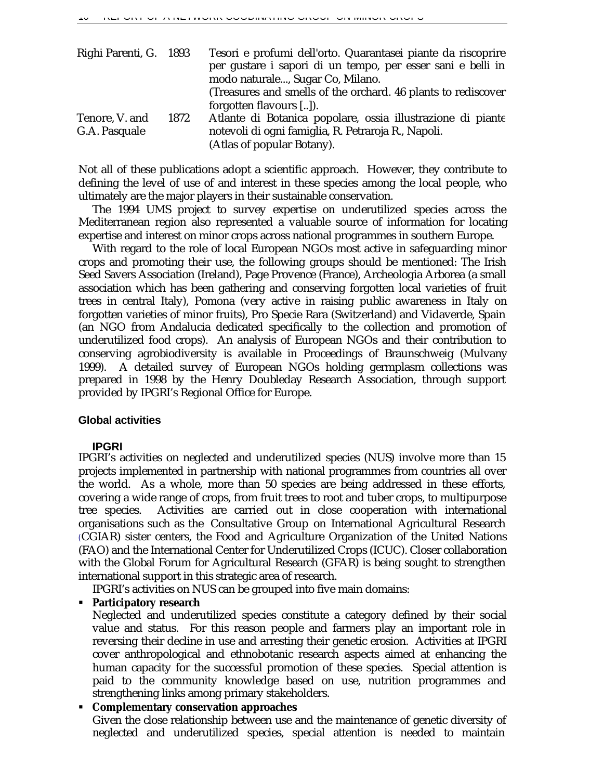| Righi Parenti, G. 1893 |      | Tesori e profumi dell'orto. Quarantasei piante da riscoprire  |
|------------------------|------|---------------------------------------------------------------|
|                        |      | per gustare i sapori di un tempo, per esser sani e belli in   |
|                        |      | modo naturale, Sugar Co, Milano.                              |
|                        |      | (Treasures and smells of the orchard. 46 plants to rediscover |
|                        |      | forgotten flavours []).                                       |
| Tenore, V. and         | 1872 | Atlante di Botanica popolare, ossia illustrazione di piante   |
| G.A. Pasquale          |      | notevoli di ogni famiglia, R. Petraroja R., Napoli.           |
|                        |      | (Atlas of popular Botany).                                    |

Not all of these publications adopt a scientific approach. However, they contribute to defining the level of use of and interest in these species among the local people, who ultimately are the major players in their sustainable conservation.

The 1994 UMS project to survey expertise on underutilized species across the Mediterranean region also represented a valuable source of information for locating expertise and interest on minor crops across national programmes in southern Europe.

With regard to the role of local European NGOs most active in safeguarding minor crops and promoting their use, the following groups should be mentioned: The Irish Seed Savers Association (Ireland), Page Provence (France), Archeologia Arborea (a small association which has been gathering and conserving forgotten local varieties of fruit trees in central Italy), Pomona (very active in raising public awareness in Italy on forgotten varieties of minor fruits), Pro Specie Rara (Switzerland) and Vidaverde, Spain (an NGO from Andalucia dedicated specifically to the collection and promotion of underutilized food crops). An analysis of European NGOs and their contribution to conserving agrobiodiversity is available in Proceedings of Braunschweig (Mulvany 1999). A detailed survey of European NGOs holding germplasm collections was prepared in 1998 by the Henry Doubleday Research Association, through support provided by IPGRI's Regional Office for Europe.

### **Global activities**

### **IPGRI**

IPGRI's activities on neglected and underutilized species (NUS) involve more than 15 projects implemented in partnership with national programmes from countries all over the world. As a whole, more than 50 species are being addressed in these efforts, covering a wide range of crops, from fruit trees to root and tuber crops, to multipurpose tree species. Activities are carried out in close cooperation with international organisations such as the Consultative Group on International Agricultural Research (CGIAR) sister centers, the Food and Agriculture Organization of the United Nations (FAO) and the International Center for Underutilized Crops (ICUC). Closer collaboration with the Global Forum for Agricultural Research (GFAR) is being sought to strengthen international support in this strategic area of research.

IPGRI's activities on NUS can be grouped into five main domains:

ß **Participatory research**

Neglected and underutilized species constitute a category defined by their social value and status. For this reason people and farmers play an important role in reversing their decline in use and arresting their genetic erosion. Activities at IPGRI cover anthropological and ethnobotanic research aspects aimed at enhancing the human capacity for the successful promotion of these species. Special attention is paid to the community knowledge based on use, nutrition programmes and strengthening links among primary stakeholders.

### ß **Complementary conservation approaches**

Given the close relationship between use and the maintenance of genetic diversity of neglected and underutilized species, special attention is needed to maintain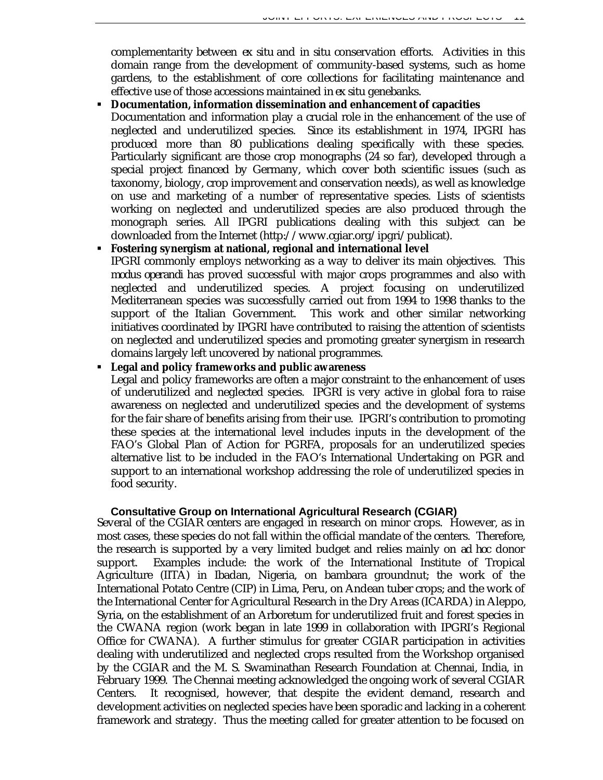complementarity between *ex situ* and *in situ* conservation efforts. Activities in this domain range from the development of community-based systems, such as home gardens, to the establishment of core collections for facilitating maintenance and effective use of those accessions maintained in *ex situ* genebanks.

### ß **Documentation, information dissemination and enhancement of capacities**

Documentation and information play a crucial role in the enhancement of the use of neglected and underutilized species. Since its establishment in 1974, IPGRI has produced more than 80 publications dealing specifically with these species. Particularly significant are those crop monographs (24 so far), developed through a special project financed by Germany, which cover both scientific issues (such as taxonomy, biology, crop improvement and conservation needs), as well as knowledge on use and marketing of a number of representative species. Lists of scientists working on neglected and underutilized species are also produced through the monograph series. All IPGRI publications dealing with this subject can be downloaded from the Internet (http://www.cgiar.org/ipgri/publicat).

### ß **Fostering synergism at national, regional and international level**

IPGRI commonly employs networking as a way to deliver its main objectives. This *modus operandi* has proved successful with major crops programmes and also with neglected and underutilized species. A project focusing on underutilized Mediterranean species was successfully carried out from 1994 to 1998 thanks to the support of the Italian Government. This work and other similar networking initiatives coordinated by IPGRI have contributed to raising the attention of scientists on neglected and underutilized species and promoting greater synergism in research domains largely left uncovered by national programmes.

### ß **Legal and policy frameworks and public awareness**

Legal and policy frameworks are often a major constraint to the enhancement of uses of underutilized and neglected species. IPGRI is very active in global fora to raise awareness on neglected and underutilized species and the development of systems for the fair share of benefits arising from their use. IPGRI's contribution to promoting these species at the international level includes inputs in the development of the FAO's Global Plan of Action for PGRFA, proposals for an underutilized species alternative list to be included in the FAO's International Undertaking on PGR and support to an international workshop addressing the role of underutilized species in food security.

# **Consultative Group on International Agricultural Research (CGIAR)**

Several of the CGIAR centers are engaged in research on minor crops. However, as in most cases, these species do not fall within the official mandate of the centers. Therefore, the research is supported by a very limited budget and relies mainly on *ad hoc* donor support. Examples include: the work of the International Institute of Tropical Agriculture (IITA) in Ibadan, Nigeria, on bambara groundnut; the work of the International Potato Centre (CIP) in Lima, Peru, on Andean tuber crops; and the work of the International Center for Agricultural Research in the Dry Areas (ICARDA) in Aleppo, Syria, on the establishment of an Arboretum for underutilized fruit and forest species in the CWANA region (work began in late 1999 in collaboration with IPGRI's Regional Office for CWANA). A further stimulus for greater CGIAR participation in activities dealing with underutilized and neglected crops resulted from the Workshop organised by the CGIAR and the M. S. Swaminathan Research Foundation at Chennai, India, in February 1999. The Chennai meeting acknowledged the ongoing work of several CGIAR Centers. It recognised, however, that despite the evident demand, research and development activities on neglected species have been sporadic and lacking in a coherent framework and strategy. Thus the meeting called for greater attention to be focused on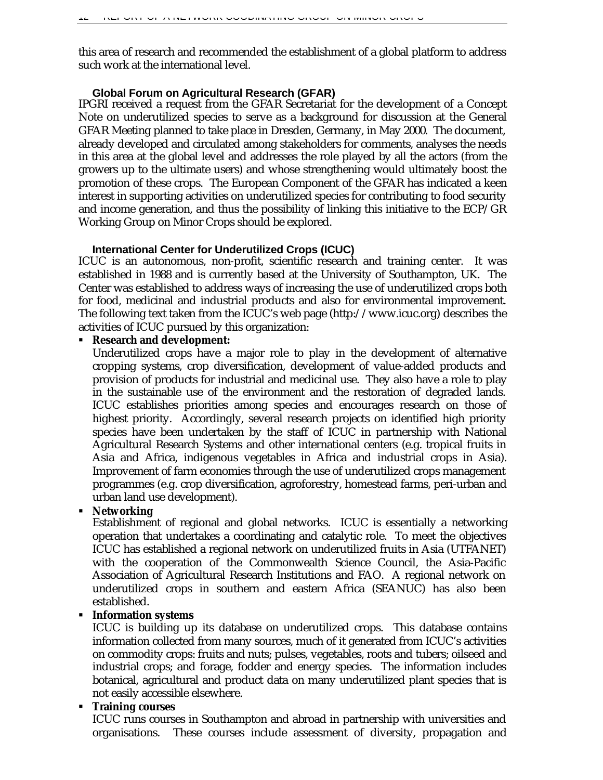this area of research and recommended the establishment of a global platform to address such work at the international level.

### **Global Forum on Agricultural Research (GFAR)**

IPGRI received a request from the GFAR Secretariat for the development of a Concept Note on underutilized species to serve as a background for discussion at the General GFAR Meeting planned to take place in Dresden, Germany, in May 2000. The document, already developed and circulated among stakeholders for comments, analyses the needs in this area at the global level and addresses the role played by all the actors (from the growers up to the ultimate users) and whose strengthening would ultimately boost the promotion of these crops. The European Component of the GFAR has indicated a keen interest in supporting activities on underutilized species for contributing to food security and income generation, and thus the possibility of linking this initiative to the ECP/GR Working Group on Minor Crops should be explored.

### **International Center for Underutilized Crops (ICUC)**

ICUC is an autonomous, non-profit, scientific research and training center. It was established in 1988 and is currently based at the University of Southampton, UK. The Center was established to address ways of increasing the use of underutilized crops both for food, medicinal and industrial products and also for environmental improvement. The following text taken from the ICUC's web page (http://www.icuc.org*)* describes the activities of ICUC pursued by this organization:

### ß **Research and development:**

Underutilized crops have a major role to play in the development of alternative cropping systems, crop diversification, development of value-added products and provision of products for industrial and medicinal use. They also have a role to play in the sustainable use of the environment and the restoration of degraded lands. ICUC establishes priorities among species and encourages research on those of highest priority. Accordingly, several research projects on identified high priority species have been undertaken by the staff of ICUC in partnership with National Agricultural Research Systems and other international centers (e.g. tropical fruits in Asia and Africa, indigenous vegetables in Africa and industrial crops in Asia). Improvement of farm economies through the use of underutilized crops management programmes (e.g. crop diversification, agroforestry, homestead farms, peri-urban and urban land use development).

### ß **Networking**

Establishment of regional and global networks. ICUC is essentially a networking operation that undertakes a coordinating and catalytic role. To meet the objectives ICUC has established a regional network on underutilized fruits in Asia (UTFANET) with the cooperation of the Commonwealth Science Council, the Asia-Pacific Association of Agricultural Research Institutions and FAO. A regional network on underutilized crops in southern and eastern Africa (SEANUC) has also been established.

### ß **Information systems**

ICUC is building up its database on underutilized crops. This database contains information collected from many sources, much of it generated from ICUC's activities on commodity crops: fruits and nuts; pulses, vegetables, roots and tubers; oilseed and industrial crops; and forage, fodder and energy species. The information includes botanical, agricultural and product data on many underutilized plant species that is not easily accessible elsewhere.

### ß **Training courses**

ICUC runs courses in Southampton and abroad in partnership with universities and organisations. These courses include assessment of diversity, propagation and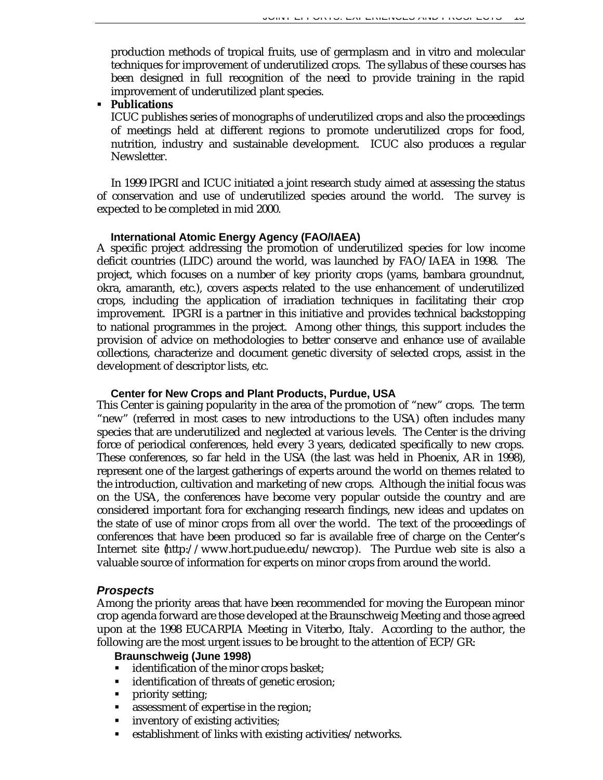production methods of tropical fruits, use of germplasm and *in vitro* and molecular techniques for improvement of underutilized crops. The syllabus of these courses has been designed in full recognition of the need to provide training in the rapid improvement of underutilized plant species.

### ß **Publications**

ICUC publishes series of monographs of underutilized crops and also the proceedings of meetings held at different regions to promote underutilized crops for food, nutrition, industry and sustainable development. ICUC also produces a regular Newsletter.

In 1999 IPGRI and ICUC initiated a joint research study aimed at assessing the status of conservation and use of underutilized species around the world. The survey is expected to be completed in mid 2000.

### **International Atomic Energy Agency (FAO/IAEA)**

A specific project addressing the promotion of underutilized species for low income deficit countries (LIDC) around the world, was launched by FAO/IAEA in 1998. The project, which focuses on a number of key priority crops (yams, bambara groundnut, okra, amaranth, etc.), covers aspects related to the use enhancement of underutilized crops, including the application of irradiation techniques in facilitating their crop improvement. IPGRI is a partner in this initiative and provides technical backstopping to national programmes in the project. Among other things, this support includes the provision of advice on methodologies to better conserve and enhance use of available collections, characterize and document genetic diversity of selected crops, assist in the development of descriptor lists, etc.

### **Center for New Crops and Plant Products, Purdue, USA**

This Center is gaining popularity in the area of the promotion of "new" crops. The term "new" (referred in most cases to new introductions to the USA) often includes many species that are underutilized and neglected at various levels. The Center is the driving force of periodical conferences, held every 3 years, dedicated specifically to new crops. These conferences, so far held in the USA (the last was held in Phoenix, AR in 1998), represent one of the largest gatherings of experts around the world on themes related to the introduction, cultivation and marketing of new crops. Although the initial focus was on the USA, the conferences have become very popular outside the country and are considered important fora for exchanging research findings, new ideas and updates on the state of use of minor crops from all over the world. The text of the proceedings of conferences that have been produced so far is available free of charge on the Center's Internet site (http://www.hort.pudue.edu/newcrop). The Purdue web site is also a valuable source of information for experts on minor crops from around the world.

### *Prospects*

Among the priority areas that have been recommended for moving the European minor crop agenda forward are those developed at the Braunschweig Meeting and those agreed upon at the 1998 EUCARPIA Meeting in Viterbo, Italy. According to the author, the following are the most urgent issues to be brought to the attention of ECP/GR:

### **Braunschweig (June 1998)**

- identification of the minor crops basket;
- **identification of threats of genetic erosion;**
- priority setting;
- assessment of expertise in the region;
- ß inventory of existing activities;
- **Example 1** establishment of links with existing activities/networks.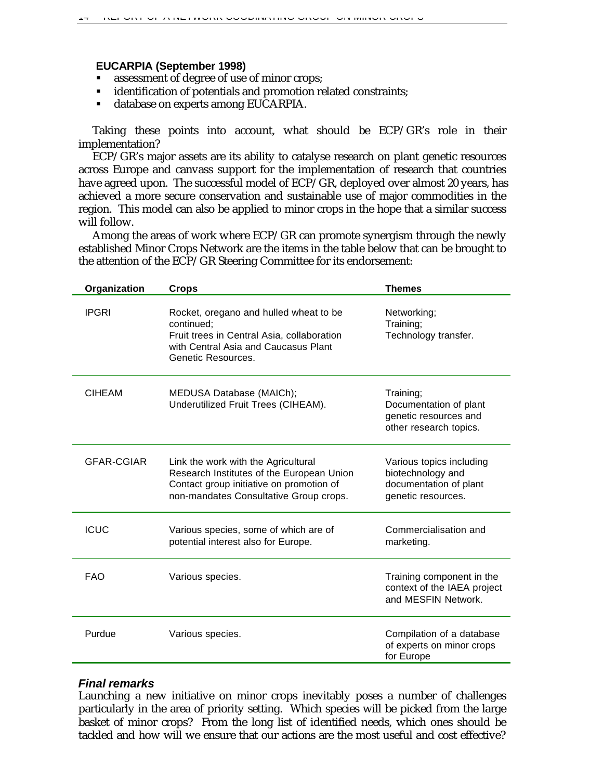#### **EUCARPIA (September 1998)**

- **s** assessment of degree of use of minor crops;
- identification of potentials and promotion related constraints;
- ß database on experts among EUCARPIA.

Taking these points into account, what should be ECP/GR's role in their implementation?

ECP/GR's major assets are its ability to catalyse research on plant genetic resources across Europe and canvass support for the implementation of research that countries have agreed upon. The successful model of ECP/GR, deployed over almost 20 years, has achieved a more secure conservation and sustainable use of major commodities in the region. This model can also be applied to minor crops in the hope that a similar success will follow.

Among the areas of work where ECP/GR can promote synergism through the newly established Minor Crops Network are the items in the table below that can be brought to the attention of the ECP/GR Steering Committee for its endorsement:

| Organization  | <b>Crops</b>                                                                                                                                                           | <b>Themes</b>                                                                                 |
|---------------|------------------------------------------------------------------------------------------------------------------------------------------------------------------------|-----------------------------------------------------------------------------------------------|
| <b>IPGRI</b>  | Rocket, oregano and hulled wheat to be<br>continued:<br>Fruit trees in Central Asia, collaboration<br>with Central Asia and Caucasus Plant<br>Genetic Resources.       | Networking;<br>Training;<br>Technology transfer.                                              |
| <b>CIHEAM</b> | MEDUSA Database (MAICh);<br>Underutilized Fruit Trees (CIHEAM).                                                                                                        | Training;<br>Documentation of plant<br>genetic resources and<br>other research topics.        |
| GFAR-CGIAR    | Link the work with the Agricultural<br>Research Institutes of the European Union<br>Contact group initiative on promotion of<br>non-mandates Consultative Group crops. | Various topics including<br>biotechnology and<br>documentation of plant<br>genetic resources. |
| <b>ICUC</b>   | Various species, some of which are of<br>potential interest also for Europe.                                                                                           | Commercialisation and<br>marketing.                                                           |
| <b>FAO</b>    | Various species.                                                                                                                                                       | Training component in the<br>context of the IAEA project<br>and MESFIN Network.               |
| Purdue        | Various species.                                                                                                                                                       | Compilation of a database<br>of experts on minor crops<br>for Europe                          |

### *Final remarks*

Launching a new initiative on minor crops inevitably poses a number of challenges particularly in the area of priority setting. Which species will be picked from the large basket of minor crops? From the long list of identified needs, which ones should be tackled and how will we ensure that our actions are the most useful and cost effective?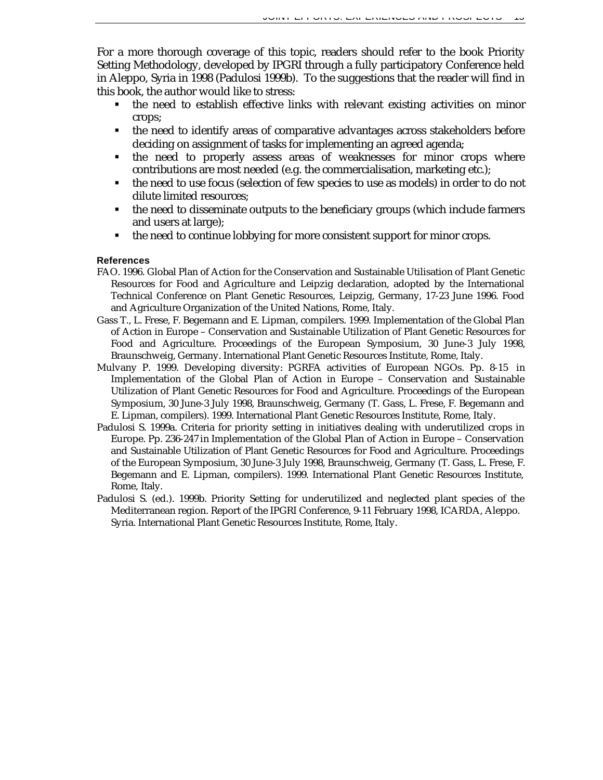For a more thorough coverage of this topic, readers should refer to the book Priority Setting Methodology, developed by IPGRI through a fully participatory Conference held in Aleppo, Syria in 1998 (Padulosi 1999b). To the suggestions that the reader will find in this book, the author would like to stress:

- ß the need to establish effective links with relevant existing activities on minor crops;
- the need to identify areas of comparative advantages across stakeholders before deciding on assignment of tasks for implementing an agreed agenda;
- $\blacksquare$  the need to properly assess areas of weaknesses for minor crops where contributions are most needed (e.g. the commercialisation, marketing etc.);
- the need to use focus (selection of few species to use as models) in order to do not dilute limited resources;
- the need to disseminate outputs to the beneficiary groups (which include farmers and users at large);
- the need to continue lobbying for more consistent support for minor crops.

### **References**

- FAO. 1996. Global Plan of Action for the Conservation and Sustainable Utilisation of Plant Genetic Resources for Food and Agriculture and Leipzig declaration, adopted by the International Technical Conference on Plant Genetic Resources, Leipzig, Germany, 17-23 June 1996. Food and Agriculture Organization of the United Nations, Rome, Italy.
- Gass T., L. Frese, F. Begemann and E. Lipman, compilers. 1999. Implementation of the Global Plan of Action in Europe – Conservation and Sustainable Utilization of Plant Genetic Resources for Food and Agriculture. Proceedings of the European Symposium, 30 June-3 July 1998, Braunschweig, Germany. International Plant Genetic Resources Institute, Rome, Italy.
- Mulvany P. 1999. Developing diversity: PGRFA activities of European NGOs. Pp. 8-15 *in* Implementation of the Global Plan of Action in Europe – Conservation and Sustainable Utilization of Plant Genetic Resources for Food and Agriculture. Proceedings of the European Symposium, 30 June-3 July 1998, Braunschweig, Germany (T. Gass, L. Frese, F. Begemann and E. Lipman, compilers). 1999. International Plant Genetic Resources Institute, Rome, Italy.
- Padulosi S. 1999a. Criteria for priority setting in initiatives dealing with underutilized crops in Europe. Pp. 236-247 *in* Implementation of the Global Plan of Action in Europe – Conservation and Sustainable Utilization of Plant Genetic Resources for Food and Agriculture. Proceedings of the European Symposium, 30 June-3 July 1998, Braunschweig, Germany (T. Gass, L. Frese, F. Begemann and E. Lipman, compilers). 1999. International Plant Genetic Resources Institute, Rome, Italy.
- Padulosi S. (ed.). 1999b. Priority Setting for underutilized and neglected plant species of the Mediterranean region. Report of the IPGRI Conference, 9-11 February 1998, ICARDA, Aleppo. Syria. International Plant Genetic Resources Institute, Rome, Italy.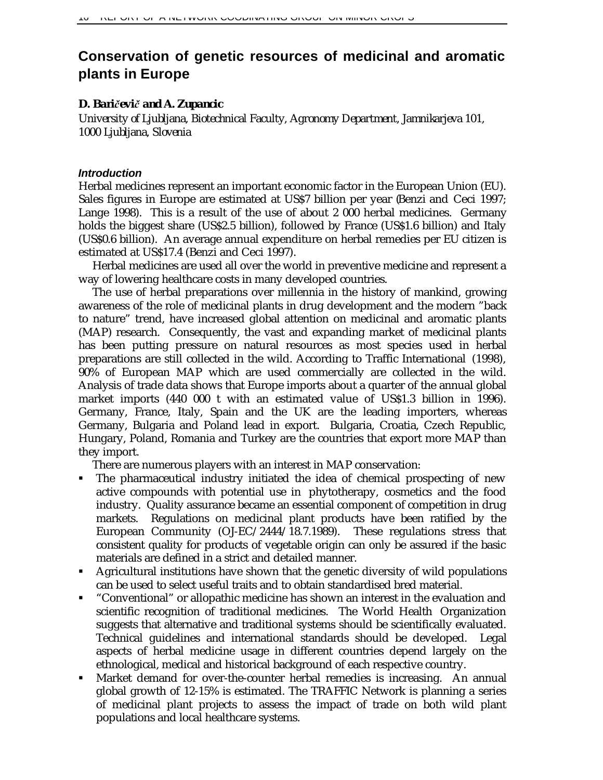# **Conservation of genetic resources of medicinal and aromatic plants in Europe**

### *D. Bari¹evi¹ and A. Zupancic*

*University of Ljubljana, Biotechnical Faculty, Agronomy Department, Jamnikarjeva 101, 1000 Ljubljana, Slovenia*

### *Introduction*

Herbal medicines represent an important economic factor in the European Union (EU). Sales figures in Europe are estimated at US\$7 billion per year (Benzi and Ceci 1997; Lange 1998). This is a result of the use of about 2 000 herbal medicines. Germany holds the biggest share (US\$2.5 billion), followed by France (US\$1.6 billion) and Italy (US\$0.6 billion). An average annual expenditure on herbal remedies per EU citizen is estimated at US\$17.4 (Benzi and Ceci 1997).

Herbal medicines are used all over the world in preventive medicine and represent a way of lowering healthcare costs in many developed countries.

The use of herbal preparations over millennia in the history of mankind, growing awareness of the role of medicinal plants in drug development and the modern "back to nature" trend, have increased global attention on medicinal and aromatic plants (MAP) research. Consequently, the vast and expanding market of medicinal plants has been putting pressure on natural resources as most species used in herbal preparations are still collected in the wild. According to Traffic International (1998), 90% of European MAP which are used commercially are collected in the wild. Analysis of trade data shows that Europe imports about a quarter of the annual global market imports (440 000 t with an estimated value of US\$1.3 billion in 1996). Germany, France, Italy, Spain and the UK are the leading importers, whereas Germany, Bulgaria and Poland lead in export. Bulgaria, Croatia, Czech Republic, Hungary, Poland, Romania and Turkey are the countries that export more MAP than they import.

There are numerous players with an interest in MAP conservation:

- ß The pharmaceutical industry initiated the idea of chemical prospecting of new active compounds with potential use in phytotherapy, cosmetics and the food industry. Quality assurance became an essential component of competition in drug markets. Regulations on medicinal plant products have been ratified by the European Community (OJ-EC/2444/18.7.1989). These regulations stress that consistent quality for products of vegetable origin can only be assured if the basic materials are defined in a strict and detailed manner.
- **•** Agricultural institutions have shown that the genetic diversity of wild populations can be used to select useful traits and to obtain standardised bred material.
- **•** "Conventional" or allopathic medicine has shown an interest in the evaluation and scientific recognition of traditional medicines. The World Health Organization suggests that alternative and traditional systems should be scientifically evaluated. Technical guidelines and international standards should be developed. Legal aspects of herbal medicine usage in different countries depend largely on the ethnological, medical and historical background of each respective country.
- ß Market demand for over-the-counter herbal remedies is increasing. An annual global growth of 12-15% is estimated. The TRAFFIC Network is planning a series of medicinal plant projects to assess the impact of trade on both wild plant populations and local healthcare systems.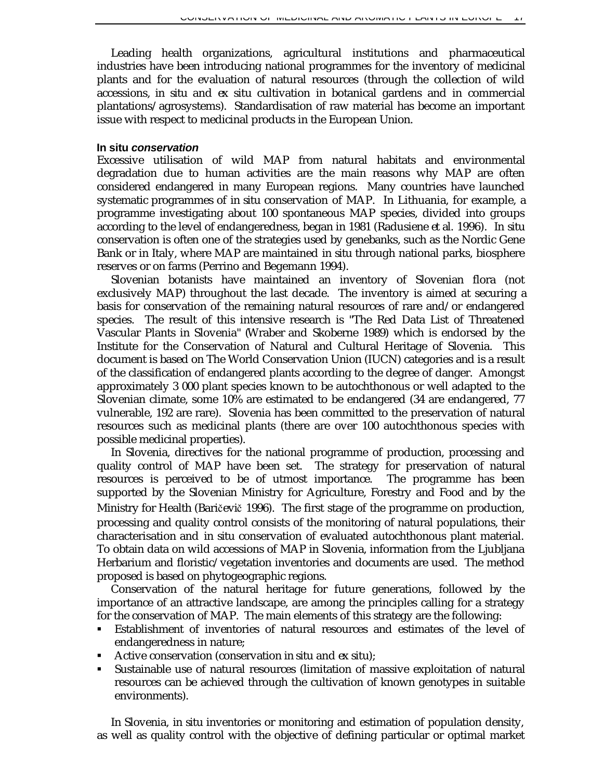Leading health organizations, agricultural institutions and pharmaceutical industries have been introducing national programmes for the inventory of medicinal plants and for the evaluation of natural resources (through the collection of wild accessions, *in situ* and *ex situ* cultivation in botanical gardens and in commercial plantations/agrosystems). Standardisation of raw material has become an important issue with respect to medicinal products in the European Union.

### **In situ** *conservation*

Excessive utilisation of wild MAP from natural habitats and environmental degradation due to human activities are the main reasons why MAP are often considered endangered in many European regions. Many countries have launched systematic programmes of *in situ* conservation of MAP. In Lithuania, for example, a programme investigating about 100 spontaneous MAP species, divided into groups according to the level of endangeredness, began in 1981 (Radusiene *et al.* 1996). *In situ* conservation is often one of the strategies used by genebanks, such as the Nordic Gene Bank or in Italy, where MAP are maintained *in situ* through national parks, biosphere reserves or on farms (Perrino and Begemann 1994).

Slovenian botanists have maintained an inventory of Slovenian flora (not exclusively MAP) throughout the last decade. The inventory is aimed at securing a basis for conservation of the remaining natural resources of rare and/or endangered species. The result of this intensive research is "The Red Data List of Threatened Vascular Plants in Slovenia" (Wraber and Skoberne 1989) which is endorsed by the Institute for the Conservation of Natural and Cultural Heritage of Slovenia. This document is based on The World Conservation Union (IUCN) categories and is a result of the classification of endangered plants according to the degree of danger. Amongst approximately 3 000 plant species known to be autochthonous or well adapted to the Slovenian climate, some 10% are estimated to be endangered (34 are endangered, 77 vulnerable, 192 are rare). Slovenia has been committed to the preservation of natural resources such as medicinal plants (there are over 100 autochthonous species with possible medicinal properties).

In Slovenia, directives for the national programme of production, processing and quality control of MAP have been set. The strategy for preservation of natural resources is perceived to be of utmost importance. The programme has been supported by the Slovenian Ministry for Agriculture, Forestry and Food and by the Ministry for Health (Baričevič 1996). The first stage of the programme on production, processing and quality control consists of the monitoring of natural populations, their characterisation and *in situ* conservation of evaluated autochthonous plant material. To obtain data on wild accessions of MAP in Slovenia, information from the Ljubljana Herbarium and floristic/vegetation inventories and documents are used. The method proposed is based on phytogeographic regions.

Conservation of the natural heritage for future generations, followed by the importance of an attractive landscape, are among the principles calling for a strategy for the conservation of MAP. The main elements of this strategy are the following:

- ß Establishment of inventories of natural resources and estimates of the level of endangeredness in nature;
- ß Active conservation (conservation *in situ* and *ex situ*);
- ß Sustainable use of natural resources (limitation of massive exploitation of natural resources can be achieved through the cultivation of known genotypes in suitable environments).

In Slovenia, *in situ* inventories or monitoring and estimation of population density, as well as quality control with the objective of defining particular or optimal market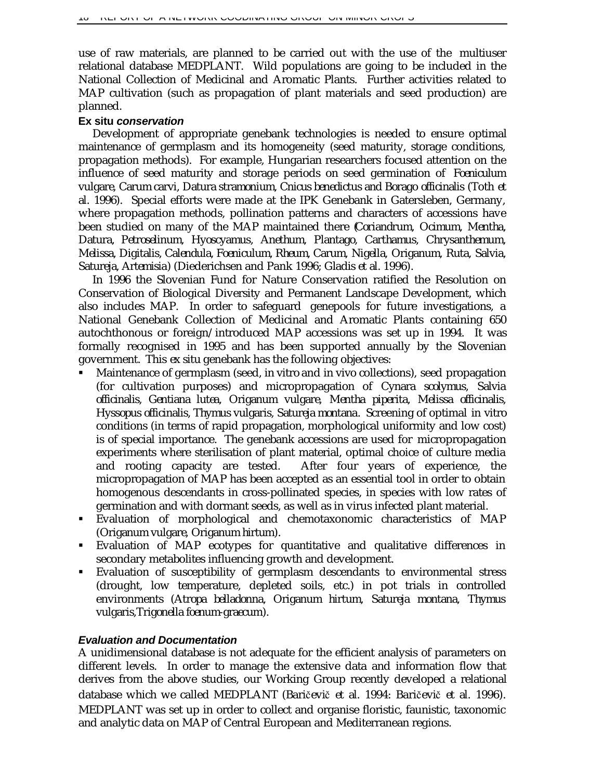use of raw materials, are planned to be carried out with the use of the multiuser relational database MEDPLANT. Wild populations are going to be included in the National Collection of Medicinal and Aromatic Plants. Further activities related to MAP cultivation (such as propagation of plant materials and seed production) are planned.

### **Ex situ** *conservation*

Development of appropriate genebank technologies is needed to ensure optimal maintenance of germplasm and its homogeneity (seed maturity, storage conditions, propagation methods). For example, Hungarian researchers focused attention on the influence of seed maturity and storage periods on seed germination of *Foeniculum vulgare, Carum carvi, Datura stramonium, Cnicus benedictus and Borago officinalis* (Toth *et al.* 1996). Special efforts were made at the IPK Genebank in Gatersleben, Germany, where propagation methods, pollination patterns and characters of accessions have been studied on many of the MAP maintained there (*Coriandrum, Ocimum, Mentha, Datura, Petroselinum, Hyoscyamus, Anethum, Plantago, Carthamus, Chrysanthemum, Melissa, Digitalis, Calendula, Foeniculum, Rheum, Carum, Nigella, Origanum, Ruta, Salvia, Satureja, Artemisia*) (Diederichsen and Pank 1996; Gladis *et al.* 1996).

In 1996 the Slovenian Fund for Nature Conservation ratified the Resolution on Conservation of Biological Diversity and Permanent Landscape Development, which also includes MAP. In order to safeguard genepools for future investigations, a National Genebank Collection of Medicinal and Aromatic Plants containing 650 autochthonous or foreign/introduced MAP accessions was set up in 1994. It was formally recognised in 1995 and has been supported annually by the Slovenian government. This *ex situ* genebank has the following objectives:

- ß Maintenance of germplasm (seed, *in vitro* and *in vivo* collections), seed propagation (for cultivation purposes) and micropropagation of *Cynara scolymus, Salvia officinalis, Gentiana lutea, Origanum vulgare, Mentha piperita, Melissa officinalis, Hyssopus officinalis, Thymus vulgaris, Satureja montana*. Screening of optimal *in vitro* conditions (in terms of rapid propagation, morphological uniformity and low cost) is of special importance. The genebank accessions are used for micropropagation experiments where sterilisation of plant material, optimal choice of culture media and rooting capacity are tested. After four years of experience, the micropropagation of MAP has been accepted as an essential tool in order to obtain homogenous descendants in cross-pollinated species, in species with low rates of germination and with dormant seeds, as well as in virus infected plant material.
- ß Evaluation of morphological and chemotaxonomic characteristics of MAP (*Origanum vulgare, Origanum hirtum*).
- ß Evaluation of MAP ecotypes for quantitative and qualitative differences in secondary metabolites influencing growth and development.
- ß Evaluation of susceptibility of germplasm descendants to environmental stress (drought, low temperature, depleted soils, etc.) in pot trials in controlled environments (*Atropa belladonna, Origanum hirtum, Satureja montana, Thymus vulgaris,Trigonella foenum-graecum*).

### *Evaluation and Documentation*

A unidimensional database is not adequate for the efficient analysis of parameters on different levels. In order to manage the extensive data and information flow that derives from the above studies, our Working Group recently developed a relational database which we called MEDPLANT (Baričevič *et al.* 1994: Baričevič *et al.* 1996). MEDPLANT was set up in order to collect and organise floristic, faunistic, taxonomic and analytic data on MAP of Central European and Mediterranean regions.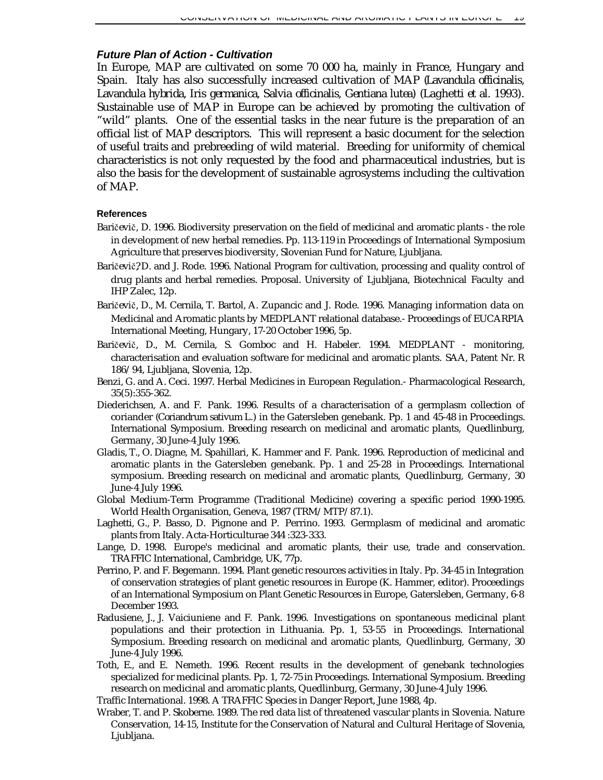### *Future Plan of Action - Cultivation*

In Europe, MAP are cultivated on some 70 000 ha, mainly in France, Hungary and Spain. Italy has also successfully increased cultivation of MAP (*Lavandula officinalis, Lavandula hybrida, Iris germanica, Salvia officinalis, Gentiana lutea*) (Laghetti *et al.* 1993). Sustainable use of MAP in Europe can be achieved by promoting the cultivation of "wild" plants. One of the essential tasks in the near future is the preparation of an official list of MAP descriptors. This will represent a basic document for the selection of useful traits and prebreeding of wild material. Breeding for uniformity of chemical characteristics is not only requested by the food and pharmaceutical industries, but is also the basis for the development of sustainable agrosystems including the cultivation of MAP.

#### **References**

- Baričevič, D. 1996. Biodiversity preservation on the field of medicinal and aromatic plants the role in development of new herbal remedies. Pp. 113-119 *in* Proceedings of International Symposium Agriculture that preserves biodiversity, Slovenian Fund for Nature, Ljubljana.
- Baričevič?D. and J. Rode. 1996. National Program for cultivation, processing and quality control of drug plants and herbal remedies. Proposal. University of Ljubljana, Biotechnical Faculty and IHP Zalec, 12p.
- Baričevič, D., M. Cernila, T. Bartol, A. Zupancic and J. Rode. 1996. Managing information data on Medicinal and Aromatic plants by MEDPLANT relational database.- Proceedings of EUCARPIA International Meeting, Hungary, 17-20 October 1996, 5p.
- Baričevič, D., M. Cernila, S. Gomboc and H. Habeler. 1994. MEDPLANT monitoring, characterisation and evaluation software for medicinal and aromatic plants. SAA, Patent Nr. R 186/94, Ljubljana, Slovenia, 12p.
- Benzi, G. and A. Ceci. 1997. Herbal Medicines in European Regulation.- Pharmacological Research, 35(5):355-362.
- Diederichsen, A. and F. Pank. 1996. Results of a characterisation of a germplasm collection of coriander (*Coriandrum sativum* L.) in the Gatersleben genebank. Pp. 1 and 45-48 *in* Proceedings. International Symposium. Breeding research on medicinal and aromatic plants, Quedlinburg, Germany, 30 June-4 July 1996.
- Gladis, T., O. Diagne, M. Spahillari, K. Hammer and F. Pank. 1996. Reproduction of medicinal and aromatic plants in the Gatersleben genebank. Pp. 1 and 25-28 *in* Proceedings. International symposium. Breeding research on medicinal and aromatic plants, Quedlinburg, Germany, 30 June-4 July 1996.
- Global Medium-Term Programme (Traditional Medicine) covering a specific period 1990-1995. World Health Organisation, Geneva, 1987 (TRM/MTP/87.1).
- Laghetti, G., P. Basso, D. Pignone and P. Perrino. 1993. Germplasm of medicinal and aromatic plants from Italy. Acta-Horticulturae 344 :323-333.
- Lange, D. 1998. Europe's medicinal and aromatic plants, their use, trade and conservation. TRAFFIC International, Cambridge, UK, 77p.
- Perrino, P. and F. Begemann. 1994. Plant genetic resources activities in Italy. Pp. 34-45 *in* Integration of conservation strategies of plant genetic resources in Europe (K. Hammer, editor). Proceedings of an International Symposium on Plant Genetic Resources in Europe, Gatersleben, Germany, 6-8 December 1993.
- Radusiene, J., J. Vaiciuniene and F. Pank. 1996. Investigations on spontaneous medicinal plant populations and their protection in Lithuania. Pp. 1, 53-55 *in* Proceedings. International Symposium. Breeding research on medicinal and aromatic plants, Quedlinburg, Germany, 30 June-4 July 1996.
- Toth, E., and E. Nemeth. 1996. Recent results in the development of genebank technologies specialized for medicinal plants. Pp. 1, 72-75 *in* Proceedings. International Symposium. Breeding research on medicinal and aromatic plants, Quedlinburg, Germany, 30 June-4 July 1996.
- Traffic International. 1998. A TRAFFIC Species in Danger Report, June 1988, 4p.
- Wraber, T. and P. Skoberne. 1989. The red data list of threatened vascular plants in Slovenia. Nature Conservation, 14-15, Institute for the Conservation of Natural and Cultural Heritage of Slovenia, Ljubljana.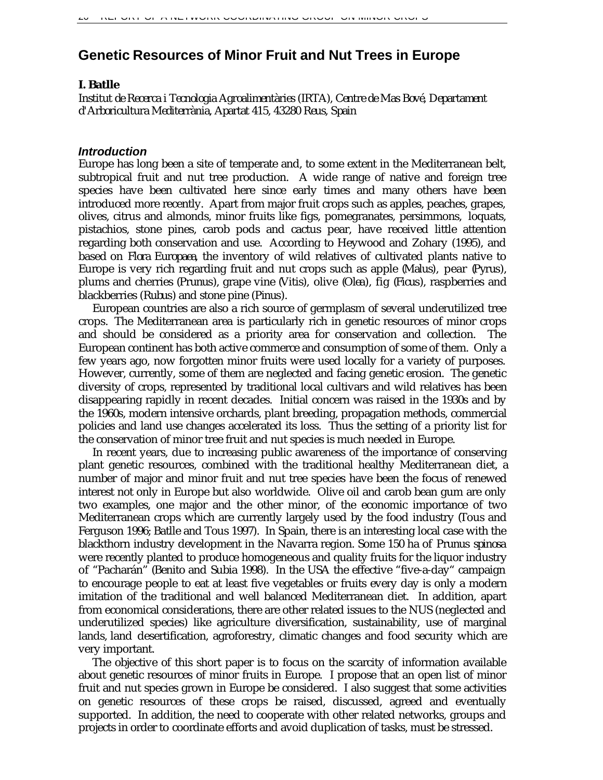# **Genetic Resources of Minor Fruit and Nut Trees in Europe**

### *I. Batlle*

*Institut de Recerca i Tecnologia Agroalimentàries (IRTA), Centre de Mas Bové, Departament d'Arboricultura Mediterrània, Apartat 415, 43280 Reus, Spain*

### *Introduction*

Europe has long been a site of temperate and, to some extent in the Mediterranean belt, subtropical fruit and nut tree production. A wide range of native and foreign tree species have been cultivated here since early times and many others have been introduced more recently. Apart from major fruit crops such as apples, peaches, grapes, olives, citrus and almonds, minor fruits like figs, pomegranates, persimmons, loquats, pistachios, stone pines, carob pods and cactus pear, have received little attention regarding both conservation and use. According to Heywood and Zohary (1995), and based on *Flora Europaea*, the inventory of wild relatives of cultivated plants native to Europe is very rich regarding fruit and nut crops such as apple (*Malus*), pear (*Pyrus*), plums and cherries (*Prunus*), grape vine (*Vitis*), olive (*Olea*), fig (*Ficus*), raspberries and blackberries (*Rubus*) and stone pine (*Pinus*).

European countries are also a rich source of germplasm of several underutilized tree crops. The Mediterranean area is particularly rich in genetic resources of minor crops and should be considered as a priority area for conservation and collection. The European continent has both active commerce and consumption of some of them. Only a few years ago, now forgotten minor fruits were used locally for a variety of purposes. However, currently, some of them are neglected and facing genetic erosion. The genetic diversity of crops, represented by traditional local cultivars and wild relatives has been disappearing rapidly in recent decades. Initial concern was raised in the 1930s and by the 1960s, modern intensive orchards, plant breeding, propagation methods, commercial policies and land use changes accelerated its loss. Thus the setting of a priority list for the conservation of minor tree fruit and nut species is much needed in Europe.

In recent years, due to increasing public awareness of the importance of conserving plant genetic resources, combined with the traditional healthy Mediterranean diet, a number of major and minor fruit and nut tree species have been the focus of renewed interest not only in Europe but also worldwide. Olive oil and carob bean gum are only two examples, one major and the other minor, of the economic importance of two Mediterranean crops which are currently largely used by the food industry (Tous and Ferguson 1996; Batlle and Tous 1997). In Spain, there is an interesting local case with the blackthorn industry development in the Navarra region. Some 150 ha of *Prunus spinosa* were recently planted to produce homogeneous and quality fruits for the liquor industry of "Pacharán" (Benito and Subia 1998). In the USA the effective "five-a-day" campaign to encourage people to eat at least five vegetables or fruits every day is only a modern imitation of the traditional and well balanced Mediterranean diet. In addition, apart from economical considerations, there are other related issues to the NUS (neglected and underutilized species) like agriculture diversification, sustainability, use of marginal lands, land desertification, agroforestry, climatic changes and food security which are very important.

The objective of this short paper is to focus on the scarcity of information available about genetic resources of minor fruits in Europe. I propose that an open list of minor fruit and nut species grown in Europe be considered. I also suggest that some activities on genetic resources of these crops be raised, discussed, agreed and eventually supported. In addition, the need to cooperate with other related networks, groups and projects in order to coordinate efforts and avoid duplication of tasks, must be stressed.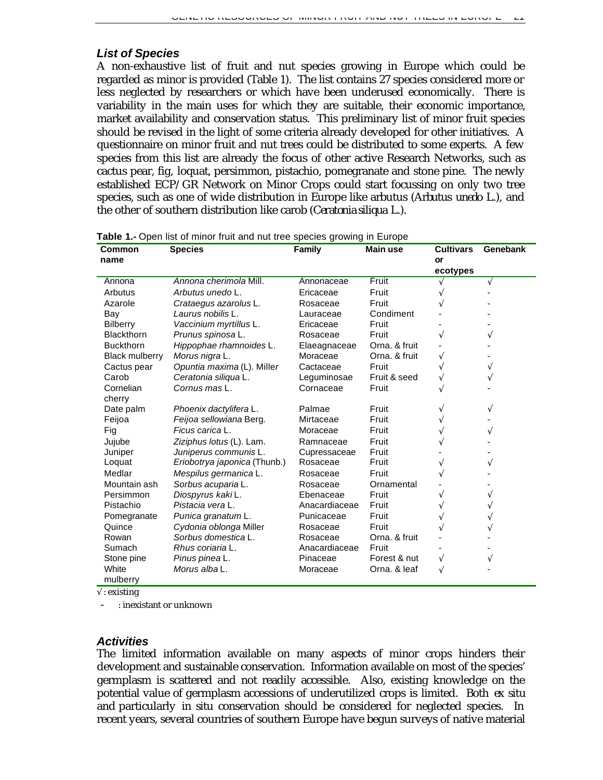### *List of Species*

A non-exhaustive list of fruit and nut species growing in Europe which could be regarded as minor is provided (Table 1). The list contains 27 species considered more or less neglected by researchers or which have been underused economically. There is variability in the main uses for which they are suitable, their economic importance, market availability and conservation status. This preliminary list of minor fruit species should be revised in the light of some criteria already developed for other initiatives. A questionnaire on minor fruit and nut trees could be distributed to some experts. A few species from this list are already the focus of other active Research Networks, such as cactus pear, fig, loquat, persimmon, pistachio, pomegranate and stone pine. The newly established ECP/GR Network on Minor Crops could start focussing on only two tree species, such as one of wide distribution in Europe like arbutus (*Arbutus unedo* L.), and the other of southern distribution like carob (*Ceratonia siliqua* L.).

| Common                | <b>Species</b>               | Family        | <b>Main use</b> | <b>Cultivars</b> | <b>Genebank</b> |
|-----------------------|------------------------------|---------------|-----------------|------------------|-----------------|
| name                  |                              |               |                 | or               |                 |
|                       |                              |               |                 | ecotypes         |                 |
| Annona                | Annona cherimola Mill.       | Annonaceae    | Fruit           |                  | V               |
| Arbutus               | Arbutus unedo L.             | Ericaceae     | Fruit           |                  |                 |
| Azarole               | Crataegus azarolus L.        | Rosaceae      | Fruit           |                  |                 |
| Bay                   | Laurus nobilis L.            | Lauraceae     | Condiment       |                  |                 |
| <b>Bilberry</b>       | Vaccinium myrtillus L.       | Ericaceae     | Fruit           |                  |                 |
| Blackthorn            | Prunus spinosa L.            | Rosaceae      | Fruit           | V                |                 |
| <b>Buckthorn</b>      | Hippophae rhamnoides L.      | Elaeagnaceae  | Orna, & fruit   |                  |                 |
| <b>Black mulberry</b> | Morus nigra L.               | Moraceae      | Orna. & fruit   | V                |                 |
| Cactus pear           | Opuntia maxima (L). Miller   | Cactaceae     | Fruit           |                  | V               |
| Carob                 | Ceratonia siligua L.         | Leguminosae   | Fruit & seed    | V                | V               |
| Cornelian             | Cornus mas L.                | Cornaceae     | Fruit           |                  |                 |
| cherry                |                              |               |                 |                  |                 |
| Date palm             | Phoenix dactylifera L.       | Palmae        | Fruit           |                  | $\sqrt{}$       |
| Feijoa                | Feijoa sellowiana Berg.      | Mirtaceae     | Fruit           |                  |                 |
| Fig                   | Ficus carica L.              | Moraceae      | Fruit           |                  | $\sqrt{}$       |
| Jujube                | Ziziphus lotus (L). Lam.     | Ramnaceae     | Fruit           |                  |                 |
| Juniper               | Juniperus communis L.        | Cupressaceae  | Fruit           |                  |                 |
| Loquat                | Eriobotrya japonica (Thunb.) | Rosaceae      | Fruit           | V                | V               |
| Medlar                | Mespilus germanica L.        | Rosaceae      | Fruit           |                  |                 |
| Mountain ash          | Sorbus acuparia L.           | Rosaceae      | Ornamental      |                  |                 |
| Persimmon             | Diospyrus kakiL.             | Ebenaceae     | Fruit           | V                |                 |
| Pistachio             | Pistacia vera L.             | Anacardiaceae | Fruit           |                  |                 |
| Pomegranate           | Punica granatum L.           | Punicaceae    | Fruit           | V                |                 |
| Quince                | Cydonia oblonga Miller       | Rosaceae      | Fruit           |                  |                 |
| Rowan                 | Sorbus domestica L.          | Rosaceae      | Orna, & fruit   |                  |                 |
| Sumach                | Rhus coriaria L.             | Anacardiaceae | Fruit           |                  |                 |
| Stone pine            | Pinus pinea L.               | Pinaceae      | Forest & nut    | V                | V               |
| White                 | Morus alba L.                | Moraceae      | Orna, & leaf    | V                |                 |
| mulberry              |                              |               |                 |                  |                 |

**Table 1.-** Open list of minor fruit and nut tree species growing in Europe

 $\sqrt{\cdot}$  existing

- : inexistant or unknown

### *Activities*

The limited information available on many aspects of minor crops hinders their development and sustainable conservation. Information available on most of the species' germplasm is scattered and not readily accessible. Also, existing knowledge on the potential value of germplasm accessions of underutilized crops is limited. Both *ex situ* and particularly *in situ* conservation should be considered for neglected species. In recent years, several countries of southern Europe have begun surveys of native material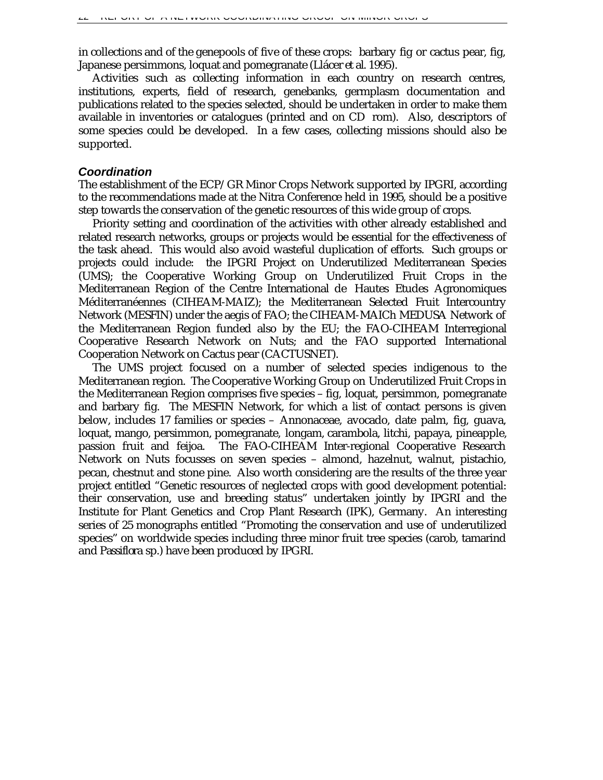in collections and of the genepools of five of these crops: barbary fig or cactus pear, fig, Japanese persimmons, loquat and pomegranate (Llácer *et al*. 1995).

Activities such as collecting information in each country on research centres, institutions, experts, field of research, genebanks, germplasm documentation and publications related to the species selected, should be undertaken in order to make them available in inventories or catalogues (printed and on CD rom). Also, descriptors of some species could be developed. In a few cases, collecting missions should also be supported.

### *Coordination*

The establishment of the ECP/GR Minor Crops Network supported by IPGRI, according to the recommendations made at the Nitra Conference held in 1995, should be a positive step towards the conservation of the genetic resources of this wide group of crops.

Priority setting and coordination of the activities with other already established and related research networks, groups or projects would be essential for the effectiveness of the task ahead. This would also avoid wasteful duplication of efforts. Such groups or projects could include: the IPGRI Project on Underutilized Mediterranean Species (UMS); the Cooperative Working Group on Underutilized Fruit Crops in the Mediterranean Region of the Centre International de Hautes Etudes Agronomiques Méditerranéennes (CIHEAM-MAIZ); the Mediterranean Selected Fruit Intercountry Network (MESFIN) under the aegis of FAO; the CIHEAM-MAICh MEDUSA Network of the Mediterranean Region funded also by the EU; the FAO-CIHEAM Interregional Cooperative Research Network on Nuts; and the FAO supported International Cooperation Network on Cactus pear (CACTUSNET).

The UMS project focused on a number of selected species indigenous to the Mediterranean region. The Cooperative Working Group on Underutilized Fruit Crops in the Mediterranean Region comprises five species – fig, loquat, persimmon, pomegranate and barbary fig. The MESFIN Network, for which a list of contact persons is given below, includes 17 families or species – Annonaceae, avocado, date palm, fig, guava, loquat, mango, persimmon, pomegranate, longam, carambola, litchi, papaya, pineapple, passion fruit and feijoa. The FAO-CIHEAM Inter-regional Cooperative Research Network on Nuts focusses on seven species – almond, hazelnut, walnut, pistachio, pecan, chestnut and stone pine. Also worth considering are the results of the three year project entitled "Genetic resources of neglected crops with good development potential: their conservation, use and breeding status" undertaken jointly by IPGRI and the Institute for Plant Genetics and Crop Plant Research (IPK), Germany. An interesting series of 25 monographs entitled "Promoting the conservation and use of underutilized species" on worldwide species including three minor fruit tree species (carob, tamarind and *Passiflora* sp.) have been produced by IPGRI.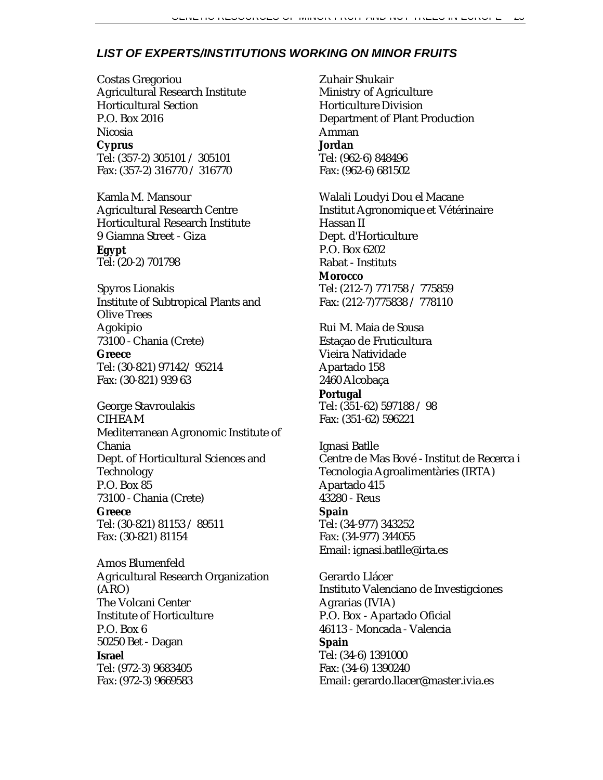### *LIST OF EXPERTS/INSTITUTIONS WORKING ON MINOR FRUITS*

Costas Gregoriou Agricultural Research Institute Horticultural Section P.O. Box 2016 Nicosia **Cyprus** Tel: (357-2) 305101 / 305101 Fax: (357-2) 316770 / 316770

Kamla M. Mansour Agricultural Research Centre Horticultural Research Institute 9 Giamna Street - Giza **Egypt** Tel: (20-2) 701798

Spyros Lionakis Institute of Subtropical Plants and Olive Trees Agokipio 73100 - Chania (Crete) **Greece** Tel: (30-821) 97142/ 95214 Fax: (30-821) 939 63

George Stavroulakis CIHEAM Mediterranean Agronomic Institute of Chania Dept. of Horticultural Sciences and Technology P.O. Box 85 73100 - Chania (Crete)

**Greece** Tel: (30-821) 81153 / 89511 Fax: (30-821) 81154

Amos Blumenfeld Agricultural Research Organization (ARO) The Volcani Center Institute of Horticulture P.O. Box 6 50250 Bet - Dagan **Israel** Tel: (972-3) 9683405 Fax: (972-3) 9669583

Zuhair Shukair Ministry of Agriculture Horticulture Division Department of Plant Production Amman **Jordan** Tel: (962-6) 848496 Fax: (962-6) 681502

Walali Loudyi Dou el Macane Institut Agronomique et Vétérinaire Hassan II Dept. d'Horticulture P.O. Box 6202 Rabat - Instituts **Morocco** Tel: (212-7) 771758 / 775859 Fax: (212-7)775838 / 778110

Rui M. Maia de Sousa Estaçao de Fruticultura Vieira Natividade Apartado 158 2460 Alcobaça **Portugal** Tel: (351-62) 597188 / 98 Fax: (351-62) 596221

Ignasi Batlle Centre de Mas Bové - Institut de Recerca i Tecnologia Agroalimentàries (IRTA) Apartado 415 43280 - Reus **Spain** Tel: (34-977) 343252 Fax: (34-977) 344055 Email: ignasi.batlle@irta.es

Gerardo Llácer Instituto Valenciano de Investigciones Agrarias (IVIA) P.O. Box - Apartado Oficial 46113 - Moncada - Valencia **Spain** Tel: (34-6) 1391000 Fax: (34-6) 1390240 Email: gerardo.llacer@master.ivia.es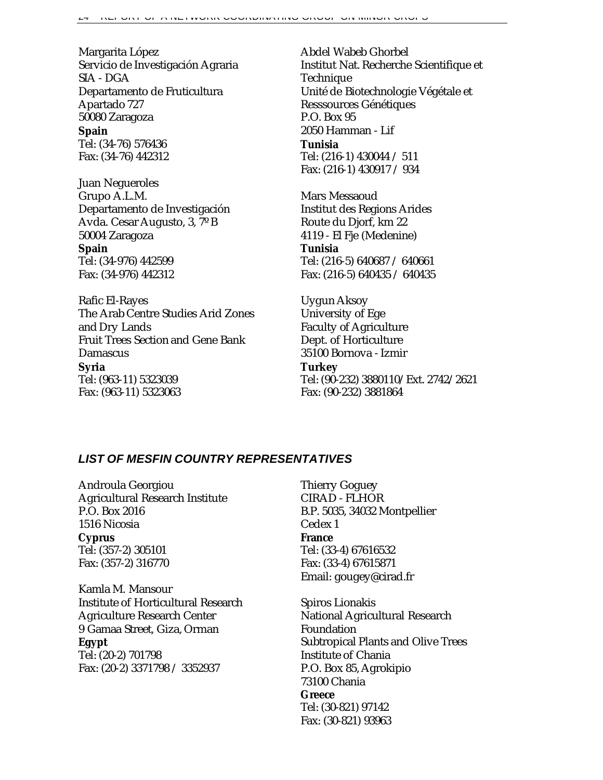Margarita López Servicio de Investigación Agraria SIA - DGA Departamento de Fruticultura Apartado 727 50080 Zaragoza

**Spain**

Tel: (34-76) 576436 Fax: (34-76) 442312

Juan Negueroles Grupo A.L.M. Departamento de Investigación Avda. Cesar Augusto, 3, 7º B 50004 Zaragoza **Spain** Tel: (34-976) 442599 Fax: (34-976) 442312

Rafic El-Rayes The Arab Centre Studies Arid Zones and Dry Lands Fruit Trees Section and Gene Bank Damascus **Syria** Tel: (963-11) 5323039 Fax: (963-11) 5323063

Abdel Wabeb Ghorbel Institut Nat. Recherche Scientifique et Technique Unité de Biotechnologie Végétale et Resssources Génétiques P.O. Box 95 2050 Hamman - Lif **Tunisia** Tel: (216-1) 430044 / 511 Fax: (216-1) 430917 / 934

Mars Messaoud Institut des Regions Arides Route du Djorf, km 22 4119 - El Fje (Medenine) **Tunisia** Tel: (216-5) 640687 / 640661

Fax: (216-5) 640435 / 640435

Uygun Aksoy University of Ege Faculty of Agriculture Dept. of Horticulture 35100 Bornova - Izmir

**Turkey** Tel: (90-232) 3880110/Ext. 2742/2621 Fax: (90-232) 3881864

### *LIST OF MESFIN COUNTRY REPRESENTATIVES*

Androula Georgiou Agricultural Research Institute P.O. Box 2016 1516 Nicosia **Cyprus** Tel: (357-2) 305101 Fax: (357-2) 316770

Kamla M. Mansour Institute of Horticultural Research Agriculture Research Center 9 Gamaa Street, Giza, Orman **Egypt** Tel: (20-2) 701798 Fax: (20-2) 3371798 / 3352937

Thierry Goguey CIRAD - FLHOR B.P. 5035, 34032 Montpellier Cedex 1 **France** Tel: (33-4) 67616532 Fax: (33-4) 67615871 Email: gougey@cirad.fr

Spiros Lionakis National Agricultural Research Foundation Subtropical Plants and Olive Trees Institute of Chania P.O. Box 85, Agrokipio 73100 Chania **Greece** Tel: (30-821) 97142 Fax: (30-821) 93963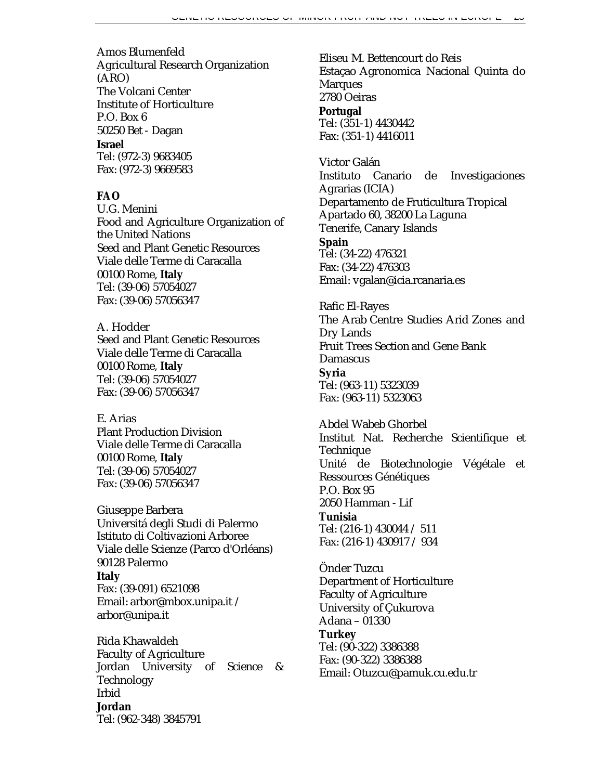Amos Blumenfeld Agricultural Research Organization (ARO) The Volcani Center Institute of Horticulture P.O. Box 6 50250 Bet - Dagan **Israel**

Tel: (972-3) 9683405 Fax: (972-3) 9669583

# **FAO**

U.G. Menini Food and Agriculture Organization of the United Nations Seed and Plant Genetic Resources Viale delle Terme di Caracalla 00100 Rome, **Italy** Tel: (39-06) 57054027 Fax: (39-06) 57056347

A. Hodder Seed and Plant Genetic Resources Viale delle Terme di Caracalla 00100 Rome, **Italy** Tel: (39-06) 57054027 Fax: (39-06) 57056347

### E. Arias

Plant Production Division Viale delle Terme di Caracalla 00100 Rome, **Italy** Tel: (39-06) 57054027 Fax: (39-06) 57056347

Giuseppe Barbera Universitá degli Studi di Palermo Istituto di Coltivazioni Arboree Viale delle Scienze (Parco d'Orléans) 90128 Palermo **Italy** Fax: (39-091) 6521098 Email: arbor@mbox.unipa.it / arbor@unipa.it

Rida Khawaldeh Faculty of Agriculture Jordan University of Science & Technology Irbid **Jordan** Tel: (962-348) 3845791

Eliseu M. Bettencourt do Reis Estaçao Agronomica Nacional Quinta do **Marques** 2780 Oeiras **Portugal** Tel: (351-1) 4430442 Fax: (351-1) 4416011

Victor Galán Instituto Canario de Investigaciones Agrarias (ICIA) Departamento de Fruticultura Tropical Apartado 60, 38200 La Laguna Tenerife, Canary Islands **Spain** Tel: (34-22) 476321 Fax: (34-22) 476303

Email: vgalan@icia.rcanaria.es

Rafic El-Rayes The Arab Centre Studies Arid Zones and Dry Lands Fruit Trees Section and Gene Bank Damascus **Syria** Tel: (963-11) 5323039 Fax: (963-11) 5323063

Abdel Wabeb Ghorbel Institut Nat. Recherche Scientifique et Technique Unité de Biotechnologie Végétale et Ressources Génétiques P.O. Box 95 2050 Hamman - Lif **Tunisia** Tel: (216-1) 430044 / 511

Fax: (216-1) 430917 / 934

Önder Tuzcu Department of Horticulture Faculty of Agriculture University of Çukurova Adana – 01330 **Turkey** Tel: (90-322) 3386388 Fax: (90-322) 3386388 Email: Otuzcu@pamuk.cu.edu.tr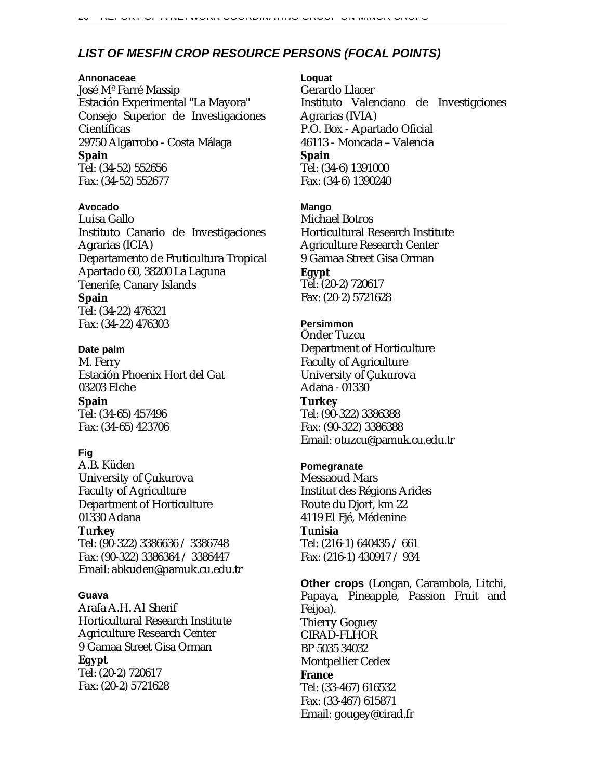# *LIST OF MESFIN CROP RESOURCE PERSONS (FOCAL POINTS)*

### **Annonaceae**

José Mª Farré Massip Estación Experimental "La Mayora" Consejo Superior de Investigaciones Científicas 29750 Algarrobo - Costa Málaga **Spain** Tel: (34-52) 552656

Fax: (34-52) 552677

### **Avocado**

Luisa Gallo Instituto Canario de Investigaciones Agrarias (ICIA) Departamento de Fruticultura Tropical Apartado 60, 38200 La Laguna Tenerife, Canary Islands **Spain** Tel: (34-22) 476321 Fax: (34-22) 476303

### **Date palm**

M. Ferry Estación Phoenix Hort del Gat 03203 Elche **Spain** Tel: (34-65) 457496

Fax: (34-65) 423706

### **Fig**

A.B. Küden University of Çukurova Faculty of Agriculture Department of Horticulture 01330 Adana **Turkey** Tel: (90-322) 3386636 / 3386748

Fax: (90-322) 3386364 / 3386447 Email: abkuden@pamuk.cu.edu.tr

### **Guava**

Arafa A.H. Al Sherif Horticultural Research Institute Agriculture Research Center 9 Gamaa Street Gisa Orman **Egypt** Tel: (20-2) 720617 Fax: (20-2) 5721628

#### **Loquat**

Gerardo Llacer Instituto Valenciano de Investigciones Agrarias (IVIA) P.O. Box - Apartado Oficial 46113 - Moncada – Valencia **Spain** Tel: (34-6) 1391000 Fax: (34-6) 1390240

### **Mango**

Michael Botros Horticultural Research Institute Agriculture Research Center 9 Gamaa Street Gisa Orman **Egypt** Tel: (20-2) 720617 Fax: (20-2) 5721628

### **Persimmon**

Önder Tuzcu Department of Horticulture Faculty of Agriculture University of Çukurova Adana - 01330 **Turkey** Tel: (90-322) 3386388 Fax: (90-322) 3386388 Email: otuzcu@pamuk.cu.edu.tr

### **Pomegranate**

Messaoud Mars Institut des Régions Arides Route du Djorf, km 22 4119 El Fjé, Médenine **Tunisia** Tel: (216-1) 640435 / 661 Fax: (216-1) 430917 / 934

**Other crops** (Longan, Carambola, Litchi, Papaya, Pineapple, Passion Fruit and Feijoa). Thierry Goguey CIRAD-FLHOR BP 5035 34032 Montpellier Cedex **France** Tel: (33-467) 616532 Fax: (33-467) 615871 Email: gougey@cirad.fr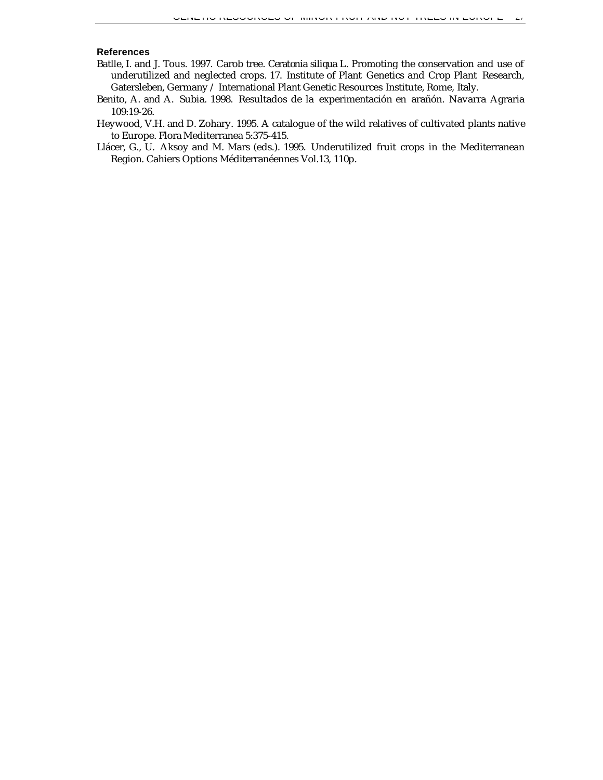#### **References**

Batlle, I. and J. Tous. 1997. Carob tree. *Ceratonia siliqua* L. Promoting the conservation and use of underutilized and neglected crops. 17. Institute of Plant Genetics and Crop Plant Research, Gatersleben, Germany / International Plant Genetic Resources Institute, Rome, Italy.

Benito, A. and A. Subia. 1998. Resultados de la experimentación en arañón. Navarra Agraria 109:19-26.

- Heywood, V.H. and D. Zohary. 1995. A catalogue of the wild relatives of cultivated plants native to Europe. Flora Mediterranea 5:375-415.
- Llácer, G., U. Aksoy and M. Mars (eds.). 1995. Underutilized fruit crops in the Mediterranean Region. Cahiers Options Méditerranéennes Vol.13, 110p.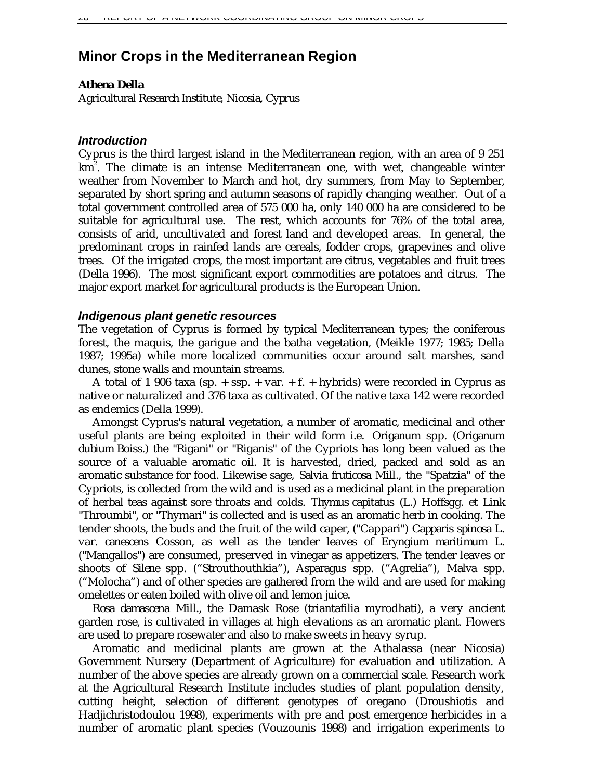# **Minor Crops in the Mediterranean Region**

### *Athena Della*

*Agricultural Research Institute, Nicosia, Cyprus*

### *Introduction*

Cyprus is the third largest island in the Mediterranean region, with an area of 9 251  $km^2$ . The climate is an intense Mediterranean one, with wet, changeable winter weather from November to March and hot, dry summers, from May to September, separated by short spring and autumn seasons of rapidly changing weather. Out of a total government controlled area of 575 000 ha, only 140 000 ha are considered to be suitable for agricultural use. The rest, which accounts for 76% of the total area, consists of arid, uncultivated and forest land and developed areas. In general, the predominant crops in rainfed lands are cereals, fodder crops, grapevines and olive trees. Of the irrigated crops, the most important are citrus, vegetables and fruit trees (Della 1996). The most significant export commodities are potatoes and citrus. The major export market for agricultural products is the European Union.

### *Indigenous plant genetic resources*

The vegetation of Cyprus is formed by typical Mediterranean types; the coniferous forest, the maquis, the garigue and the batha vegetation, (Meikle 1977; 1985; Della 1987; 1995a) while more localized communities occur around salt marshes, sand dunes, stone walls and mountain streams.

A total of 1 906 taxa (sp. + ssp. + var. + f. + hybrids) were recorded in Cyprus as native or naturalized and 376 taxa as cultivated. Of the native taxa 142 were recorded as endemics (Della 1999).

Amongst Cyprus's natural vegetation, a number of aromatic, medicinal and other useful plants are being exploited in their wild form i.e. *Origanum* spp. (*Origanum dubium* Boiss.) the "Rigani" or "Riganis" of the Cypriots has long been valued as the source of a valuable aromatic oil. It is harvested, dried, packed and sold as an aromatic substance for food. Likewise sage, *Salvia fruticosa* Mill., the "Spatzia" of the Cypriots, is collected from the wild and is used as a medicinal plant in the preparation of herbal teas against sore throats and colds. *Thymus capitatus* (L.) Hoffsgg. et Link "Throumbi", or "Thymari" is collected and is used as an aromatic herb in cooking. The tender shoots, the buds and the fruit of the wild caper, ("Cappari") *Capparis spinosa* L. var. *canescens* Cosson, as well as the tender leaves of *Eryngium maritimum* L. ("Mangallos") are consumed, preserved in vinegar as appetizers. The tender leaves or shoots of *Silene* spp. ("Strouthouthkia"), *Asparagus* spp. ("Agrelia"), *Malva* spp. ("Molocha") and of other species are gathered from the wild and are used for making omelettes or eaten boiled with olive oil and lemon juice.

*Rosa damascena* Mill., the Damask Rose (triantafilia myrodhati), a very ancient garden rose, is cultivated in villages at high elevations as an aromatic plant. Flowers are used to prepare rosewater and also to make sweets in heavy syrup.

Aromatic and medicinal plants are grown at the Athalassa (near Nicosia) Government Nursery (Department of Agriculture) for evaluation and utilization. A number of the above species are already grown on a commercial scale. Research work at the Agricultural Research Institute includes studies of plant population density, cutting height, selection of different genotypes of oregano (Droushiotis and Hadjichristodoulou 1998), experiments with pre and post emergence herbicides in a number of aromatic plant species (Vouzounis 1998) and irrigation experiments to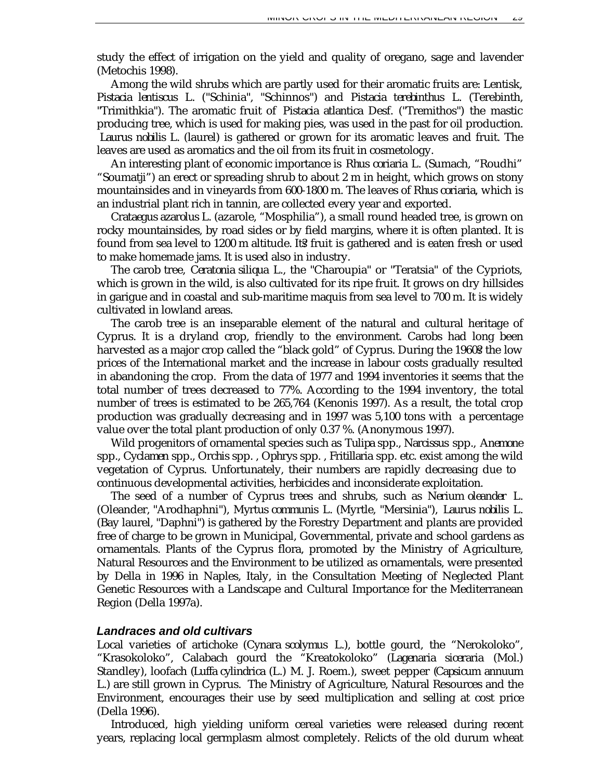study the effect of irrigation on the yield and quality of oregano, sage and lavender (Metochis 1998).

Among the wild shrubs which are partly used for their aromatic fruits are: Lentisk, *Pistacia lentiscus* L. ("Schinia", "Schinnos") and *Pistacia terebinthus* L. (Terebinth, "Trimithkia"). The aromatic fruit of *Pistacia atlantica* Desf. ("Tremithos") the mastic producing tree, which is used for making pies, was used in the past for oil production. *Laurus nobilis* L. (laurel) is gathered or grown for its aromatic leaves and fruit. The leaves are used as aromatics and the oil from its fruit in cosmetology.

An interesting plant of economic importance is *Rhus coriaria* L. (Sumach, "Roudhi" "Soumatji") an erect or spreading shrub to about 2 m in height, which grows on stony mountainsides and in vineyards from 600-1800 m. The leaves of *Rhus coriaria,* which is an industrial plant rich in tannin, are collected every year and exported.

*Crataegus azarolus* L. (azarole, "Mosphilia"), a small round headed tree, is grown on rocky mountainsides, by road sides or by field margins, where it is often planted. It is found from sea level to 1200 m altitude. Its fruit is gathered and is eaten fresh or used to make homemade jams. It is used also in industry.

The carob tree, *Ceratonia siliqua* L., the "Charoupia" or "Teratsia" of the Cypriots, which is grown in the wild, is also cultivated for its ripe fruit. It grows on dry hillsides in garigue and in coastal and sub-maritime maquis from sea level to 700 m. It is widely cultivated in lowland areas.

The carob tree is an inseparable element of the natural and cultural heritage of Cyprus. It is a dryland crop, friendly to the environment. Carobs had long been harvested as a major crop called the "black gold" of Cyprus. During the 19603 the low prices of the International market and the increase in labour costs gradually resulted in abandoning the crop. From the data of 1977 and 1994 inventories it seems that the total number of trees decreased to 77%. According to the 1994 inventory, the total number of trees is estimated to be 265,764 (Kenonis 1997). As a result, the total crop production was gradually decreasing and in 1997 was 5,100 tons with a percentage value over the total plant production of only 0.37 %. (Anonymous 1997).

Wild progenitors of ornamental species such as *Tulipa* spp., *Narcissus* spp., *Anemone* spp., *Cyclamen* spp., *Orchis* spp. , *Ophrys* spp. , *Fritillaria* spp. etc. exist among the wild vegetation of Cyprus. Unfortunately, their numbers are rapidly decreasing due to continuous developmental activities, herbicides and inconsiderate exploitation.

The seed of a number of Cyprus trees and shrubs, such as *Nerium oleander* L. (Oleander, "Arodhaphni"), *Myrtus communis* L. (Myrtle, "Mersinia"), *Laurus nobilis* L. (Bay laurel, "Daphni") is gathered by the Forestry Department and plants are provided free of charge to be grown in Municipal, Governmental, private and school gardens as ornamentals. Plants of the Cyprus flora, promoted by the Ministry of Agriculture, Natural Resources and the Environment to be utilized as ornamentals, were presented by Della in 1996 in Naples, Italy, in the Consultation Meeting of Neglected Plant Genetic Resources with a Landscape and Cultural Importance for the Mediterranean Region (Della 1997a).

### *Landraces and old cultivars*

Local varieties of artichoke (*Cynara scolymus* L.), bottle gourd, the "Nerokoloko", "Krasokoloko", Calabach gourd the "Kreatokoloko" (*Lagenaria siceraria* (Mol.) Standley), loofach (*Luffa cylindrica* (L.) M. J. Roem.), sweet pepper (*Capsicum annuum* L.) are still grown in Cyprus. The Ministry of Agriculture, Natural Resources and the Environment, encourages their use by seed multiplication and selling at cost price (Della 1996).

Introduced, high yielding uniform cereal varieties were released during recent years, replacing local germplasm almost completely. Relicts of the old durum wheat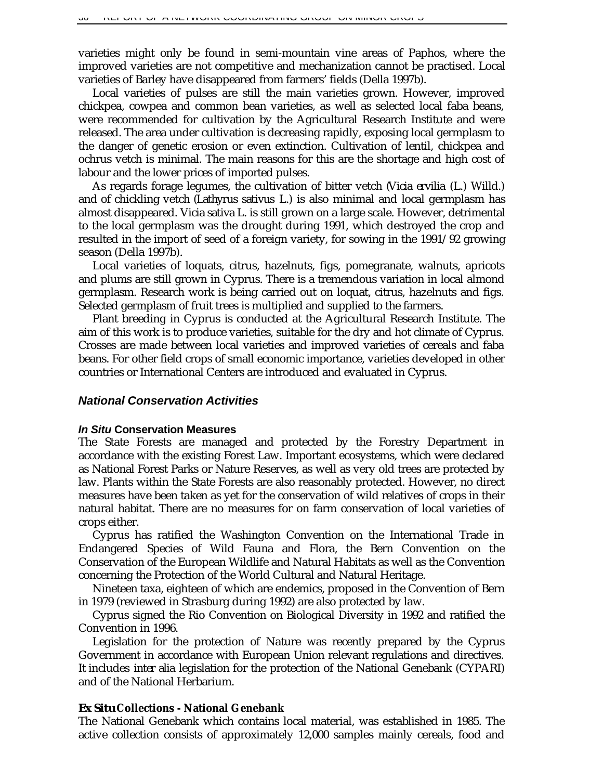varieties might only be found in semi-mountain vine areas of Paphos, where the improved varieties are not competitive and mechanization cannot be practised. Local varieties of Barley have disappeared from farmers' fields (Della 1997b).

Local varieties of pulses are still the main varieties grown. However, improved chickpea, cowpea and common bean varieties, as well as selected local faba beans, were recommended for cultivation by the Agricultural Research Institute and were released. The area under cultivation is decreasing rapidly, exposing local germplasm to the danger of genetic erosion or even extinction. Cultivation of lentil, chickpea and ochrus vetch is minimal. The main reasons for this are the shortage and high cost of labour and the lower prices of imported pulses.

As regards forage legumes, the cultivation of bitter vetch (*Vicia ervilia* (L.) Willd.) and of chickling vetch (*Lathyrus sativus* L.) is also minimal and local germplasm has almost disappeared. *Vicia sativa* L. is still grown on a large scale. However, detrimental to the local germplasm was the drought during 1991, which destroyed the crop and resulted in the import of seed of a foreign variety, for sowing in the 1991/92 growing season (Della 1997b).

Local varieties of loquats, citrus, hazelnuts, figs, pomegranate, walnuts, apricots and plums are still grown in Cyprus. There is a tremendous variation in local almond germplasm. Research work is being carried out on loquat, citrus, hazelnuts and figs. Selected germplasm of fruit trees is multiplied and supplied to the farmers.

Plant breeding in Cyprus is conducted at the Agricultural Research Institute. The aim of this work is to produce varieties, suitable for the dry and hot climate of Cyprus. Crosses are made between local varieties and improved varieties of cereals and faba beans. For other field crops of small economic importance, varieties developed in other countries or International Centers are introduced and evaluated in Cyprus.

### *National Conservation Activities*

### *In Situ* **Conservation Measures**

The State Forests are managed and protected by the Forestry Department in accordance with the existing Forest Law. Important ecosystems, which were declared as National Forest Parks or Nature Reserves, as well as very old trees are protected by law. Plants within the State Forests are also reasonably protected. However, no direct measures have been taken as yet for the conservation of wild relatives of crops in their natural habitat. There are no measures for on farm conservation of local varieties of crops either.

Cyprus has ratified the Washington Convention on the International Trade in Endangered Species of Wild Fauna and Flora, the Bern Convention on the Conservation of the European Wildlife and Natural Habitats as well as the Convention concerning the Protection of the World Cultural and Natural Heritage.

Nineteen taxa, eighteen of which are endemics, proposed in the Convention of Bern in 1979 (reviewed in Strasburg during 1992) are also protected by law.

Cyprus signed the Rio Convention on Biological Diversity in 1992 and ratified the Convention in 1996.

Legislation for the protection of Nature was recently prepared by the Cyprus Government in accordance with European Union relevant regulations and directives. It includes *inter alia* legislation for the protection of the National Genebank (CYPARI) and of the National Herbarium.

### *Ex Situ* **Collections - National Genebank**

The National Genebank which contains local material, was established in 1985. The active collection consists of approximately 12,000 samples mainly cereals, food and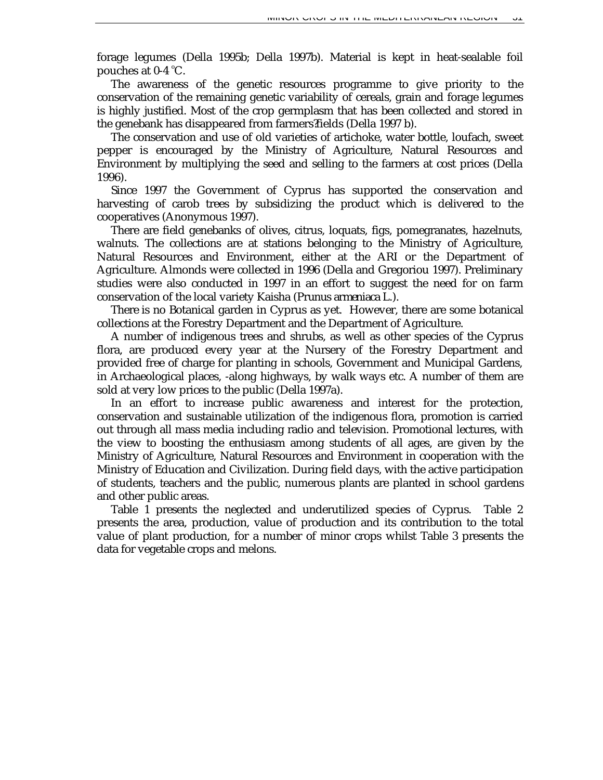forage legumes (Della 1995b; Della 1997b). Material is kept in heat-sealable foil pouches at 0-4 °C.

The awareness of the genetic resources programme to give priority to the conservation of the remaining genetic variability of cereals, grain and forage legumes is highly justified. Most of the crop germplasm that has been collected and stored in the genebank has disappeared from farmers? fields (Della 1997 b).

The conservation and use of old varieties of artichoke, water bottle, loufach, sweet pepper is encouraged by the Ministry of Agriculture, Natural Resources and Environment by multiplying the seed and selling to the farmers at cost prices (Della 1996).

Since 1997 the Government of Cyprus has supported the conservation and harvesting of carob trees by subsidizing the product which is delivered to the cooperatives (Anonymous 1997).

There are field genebanks of olives, citrus, loquats, figs, pomegranates, hazelnuts, walnuts. The collections are at stations belonging to the Ministry of Agriculture, Natural Resources and Environment, either at the ARI or the Department of Agriculture. Almonds were collected in 1996 (Della and Gregoriou 1997). Preliminary studies were also conducted in 1997 in an effort to suggest the need for on farm conservation of the local variety Kaisha (*Prunus armeniaca* L.).

There is no Botanical garden in Cyprus as yet. However, there are some botanical collections at the Forestry Department and the Department of Agriculture.

A number of indigenous trees and shrubs, as well as other species of the Cyprus flora, are produced every year at the Nursery of the Forestry Department and provided free of charge for planting in schools, Government and Municipal Gardens, in Archaeological places, -along highways, by walk ways etc. A number of them are sold at very low prices to the public (Della 1997a).

In an effort to increase public awareness and interest for the protection, conservation and sustainable utilization of the indigenous flora, promotion is carried out through all mass media including radio and television. Promotional lectures, with the view to boosting the enthusiasm among students of all ages, are given by the Ministry of Agriculture, Natural Resources and Environment in cooperation with the Ministry of Education and Civilization. During field days, with the active participation of students, teachers and the public, numerous plants are planted in school gardens and other public areas.

Table 1 presents the neglected and underutilized species of Cyprus. Table 2 presents the area, production, value of production and its contribution to the total value of plant production, for a number of minor crops whilst Table 3 presents the data for vegetable crops and melons.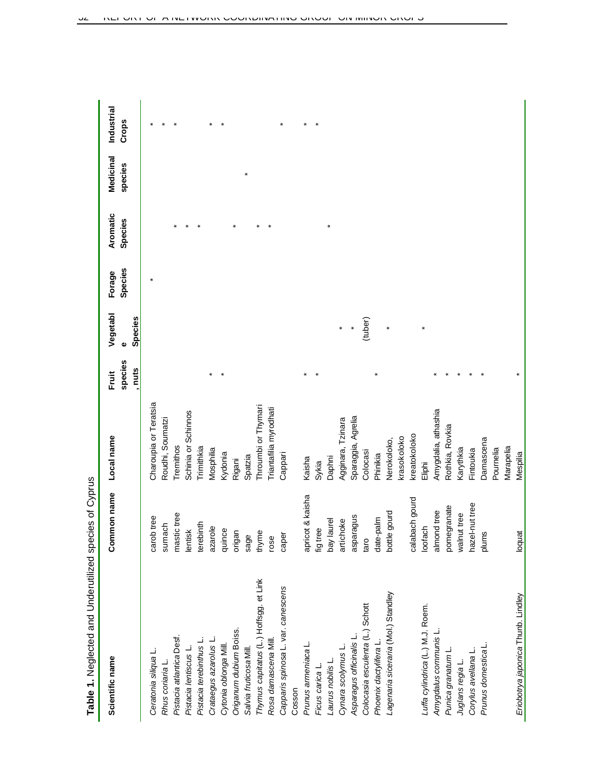| Scientific name                        | Common name      | Local name             | Fruit             | Vegetabl     | Forage  | Aromatic | Medicinal | Industrial |
|----------------------------------------|------------------|------------------------|-------------------|--------------|---------|----------|-----------|------------|
|                                        |                  |                        | species<br>, nuts | Species<br>Φ | Species | Species  | species   | Crops      |
| Ceratonia siliqua L.                   | carob tree       | Charoupia or Teratsia  |                   |              |         |          |           |            |
| Rhus coriaria L.                       | sumach           | Roudhi, Soumatzi       |                   |              |         |          |           |            |
| Pistacia atlantica Desf.               | mastic tree      | Tremithos              |                   |              |         |          |           |            |
| Pistacia lentiscus L.                  | lentisk          | Schinia or Schinnos    |                   |              |         |          |           |            |
| Pistacia terebinthus L.                | terebinth        | Trimithkia             |                   |              |         |          |           |            |
| Crataegus azarolus L.                  | azarole          | Mosphilia              |                   |              |         |          |           |            |
| Cytonia oblonga Mill.                  | quince           | Kydonia                |                   |              |         |          |           |            |
| Origanum dubium Boiss.                 | origan           | Rigani                 |                   |              |         |          |           |            |
| Salvia fruticosa Mill                  | sage             | Spatzia                |                   |              |         |          |           |            |
| Thymus capitatus (L.) Hoffsgg. et Link | thyme            | Throumbi or Thymari    |                   |              |         |          |           |            |
| Rosa damascena Mill.                   | rose             | Triantafilia myrodhati |                   |              |         |          |           |            |
| Capparis spinosa L. var. canescens     | caper            | Cappari                |                   |              |         |          |           |            |
| Cosson                                 |                  |                        |                   |              |         |          |           |            |
| Prunus armeniaca L.                    | apricot & kaisha | Kaisha                 |                   |              |         |          |           |            |
| Ficus carica L.                        | fig tree         | Sykia                  |                   |              |         |          |           |            |
| Laurus nobilis L.                      | bay laurel       | Daphni                 |                   |              |         |          |           |            |
| Cynara scolymus L.                     | artichoke        | Agginara, Tzinara      |                   |              |         |          |           |            |
| Asparagus officinalis L                | asparagus        | Sparaggia, Agrelia     |                   |              |         |          |           |            |
| Colocasia esculenta (L.) Schott        | taro             | Colocasi               |                   | (tuber)      |         |          |           |            |
| Phoenix dactylifera L                  | date-palm        | Phinikia               |                   |              |         |          |           |            |
| Lagenaria siceraria (Mol.) Standley    | e gourd<br>bottl | Nerokoloko,            |                   |              |         |          |           |            |
|                                        |                  | krasokoloko            |                   |              |         |          |           |            |
|                                        | calabach gourd   | kreatokoloko           |                   |              |         |          |           |            |
| Luffa cylindrica (L.) M.J. Roem.       | loofach          | Eliphi                 |                   |              |         |          |           |            |
| Amygdalus communis L.                  | almond tree      | Amygdalia, athashia    |                   |              |         |          |           |            |
| Punica granatum L                      | pomegranate      | Rothkia, Rovkia        |                   |              |         |          |           |            |
| Juglans regia L.                       | walnut tree      | Karythkia              |                   |              |         |          |           |            |
| Corylus avellana L                     | hazel-nut tree   | Fintoukia              |                   |              |         |          |           |            |
| Prunus domestica L.                    | plums            | Damascena              |                   |              |         |          |           |            |
|                                        |                  | Pournelia              |                   |              |         |          |           |            |
|                                        |                  | Marapelia              |                   |              |         |          |           |            |
| Eriobotrya japonica Thunb. Lindley     | loquat           | Mespilia               |                   |              |         |          |           |            |

Table 1. Neglected and Underutilized species of Cyprus **Table 1.** Neglected and Underutilized species of Cyprus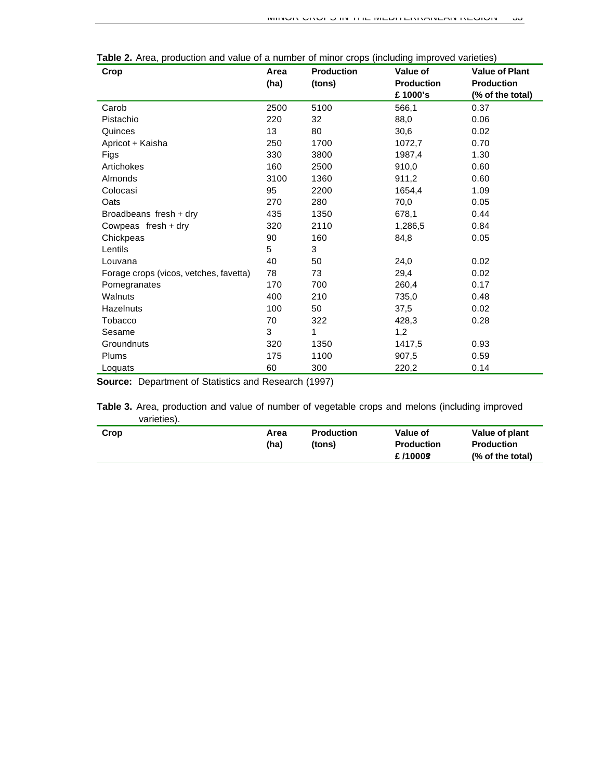| Crop                                   | Area | <b>Production</b> | Value of          | <b>Value of Plant</b> |
|----------------------------------------|------|-------------------|-------------------|-----------------------|
|                                        | (ha) | (tons)            | <b>Production</b> | <b>Production</b>     |
|                                        |      |                   | £1000's           | (% of the total)      |
| Carob                                  | 2500 | 5100              | 566,1             | 0.37                  |
| Pistachio                              | 220  | 32                | 88,0              | 0.06                  |
| Quinces                                | 13   | 80                | 30,6              | 0.02                  |
| Apricot + Kaisha                       | 250  | 1700              | 1072,7            | 0.70                  |
| Figs                                   | 330  | 3800              | 1987,4            | 1.30                  |
| Artichokes                             | 160  | 2500              | 910,0             | 0.60                  |
| Almonds                                | 3100 | 1360              | 911,2             | 0.60                  |
| Colocasi                               | 95   | 2200              | 1654,4            | 1.09                  |
| Oats                                   | 270  | 280               | 70,0              | 0.05                  |
| Broadbeans fresh + dry                 | 435  | 1350              | 678,1             | 0.44                  |
| Cowpeas fresh + dry                    | 320  | 2110              | 1,286,5           | 0.84                  |
| Chickpeas                              | 90   | 160               | 84,8              | 0.05                  |
| Lentils                                | 5    | 3                 |                   |                       |
| Louvana                                | 40   | 50                | 24,0              | 0.02                  |
| Forage crops (vicos, vetches, favetta) | 78   | 73                | 29,4              | 0.02                  |
| Pomegranates                           | 170  | 700               | 260,4             | 0.17                  |
| Walnuts                                | 400  | 210               | 735,0             | 0.48                  |
| Hazelnuts                              | 100  | 50                | 37,5              | 0.02                  |
| Tobacco                                | 70   | 322               | 428,3             | 0.28                  |
| Sesame                                 | 3    | 1                 | 1,2               |                       |
| Groundnuts                             | 320  | 1350              | 1417,5            | 0.93                  |
| Plums                                  | 175  | 1100              | 907,5             | 0.59                  |
| Loquats                                | 60   | 300               | 220,2             | 0.14                  |

**Table 2.** Area, production and value of a number of minor crops (including improved varieties)

**Source:** Department of Statistics and Research (1997)

**Table 3.** Area, production and value of number of vegetable crops and melons (including improved varieties).

| Crop | Area<br>(ha) | <b>Production</b><br>(tons) | Value of<br><b>Production</b><br>£/1000§ | Value of plant<br><b>Production</b><br>(% of the total) |
|------|--------------|-----------------------------|------------------------------------------|---------------------------------------------------------|
|      |              |                             |                                          |                                                         |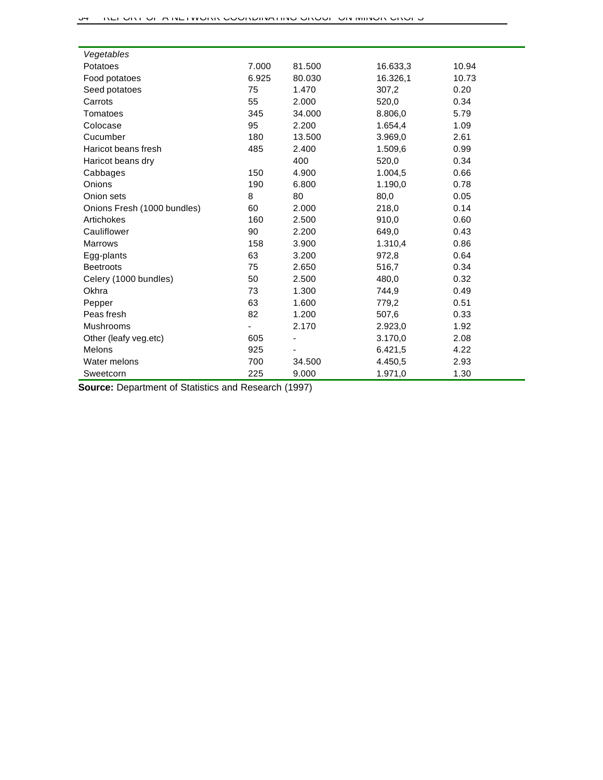| Vegetables                  |       |                          |          |       |
|-----------------------------|-------|--------------------------|----------|-------|
| Potatoes                    | 7.000 | 81.500                   | 16.633,3 | 10.94 |
| Food potatoes               | 6.925 | 80.030                   | 16.326,1 | 10.73 |
| Seed potatoes               | 75    | 1.470                    | 307,2    | 0.20  |
| Carrots                     | 55    | 2.000                    | 520,0    | 0.34  |
| Tomatoes                    | 345   | 34.000                   | 8.806,0  | 5.79  |
| Colocase                    | 95    | 2.200                    | 1.654,4  | 1.09  |
| Cucumber                    | 180   | 13.500                   | 3.969,0  | 2.61  |
| Haricot beans fresh         | 485   | 2.400                    | 1.509,6  | 0.99  |
| Haricot beans dry           |       | 400                      | 520,0    | 0.34  |
| Cabbages                    | 150   | 4.900                    | 1.004,5  | 0.66  |
| Onions                      | 190   | 6.800                    | 1.190,0  | 0.78  |
| Onion sets                  | 8     | 80                       | 80,0     | 0.05  |
| Onions Fresh (1000 bundles) | 60    | 2.000                    | 218,0    | 0.14  |
| Artichokes                  | 160   | 2.500                    | 910,0    | 0.60  |
| Cauliflower                 | 90    | 2.200                    | 649,0    | 0.43  |
| <b>Marrows</b>              | 158   | 3.900                    | 1.310,4  | 0.86  |
| Egg-plants                  | 63    | 3.200                    | 972,8    | 0.64  |
| <b>Beetroots</b>            | 75    | 2.650                    | 516,7    | 0.34  |
| Celery (1000 bundles)       | 50    | 2.500                    | 480,0    | 0.32  |
| Okhra                       | 73    | 1.300                    | 744,9    | 0.49  |
| Pepper                      | 63    | 1.600                    | 779,2    | 0.51  |
| Peas fresh                  | 82    | 1.200                    | 507,6    | 0.33  |
| <b>Mushrooms</b>            |       | 2.170                    | 2.923,0  | 1.92  |
| Other (leafy veg.etc)       | 605   | $\overline{\phantom{a}}$ | 3.170,0  | 2.08  |
| Melons                      | 925   |                          | 6.421,5  | 4.22  |
| Water melons                | 700   | 34.500                   | 4.450,5  | 2.93  |
| Sweetcorn                   | 225   | 9.000                    | 1.971,0  | 1.30  |

**Source:** Department of Statistics and Research (1997)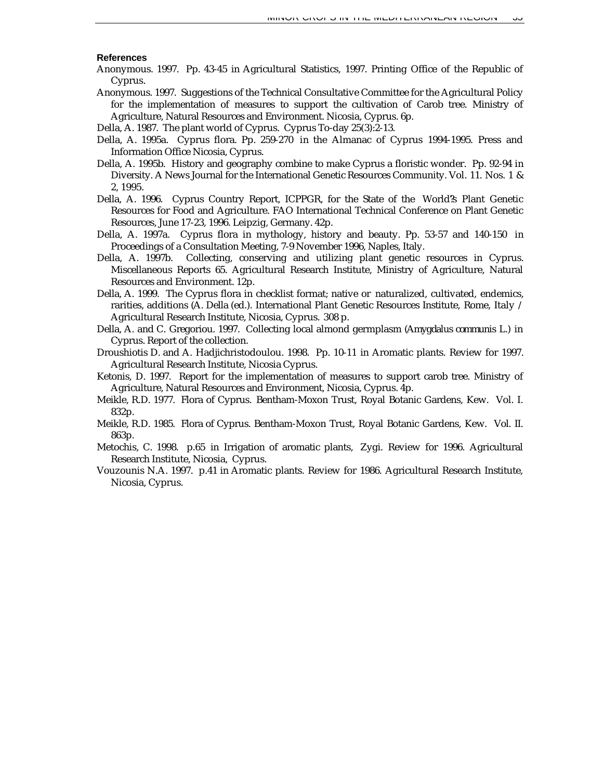#### **References**

- Anonymous. 1997. Pp. 43-45 *in* Agricultural Statistics, 1997. Printing Office of the Republic of Cyprus.
- Anonymous. 1997. Suggestions of the Technical Consultative Committee for the Agricultural Policy for the implementation of measures to support the cultivation of Carob tree. Ministry of Agriculture, Natural Resources and Environment. Nicosia, Cyprus. 6p.
- Della, A. 1987. The plant world of Cyprus. Cyprus To-day 25(3):2-13.
- Della, A. 1995a. Cyprus flora. Pp. 259-270 *in* the Almanac of Cyprus 1994-1995. Press and Information Office Nicosia, Cyprus.
- Della, A. 1995b. History and geography combine to make Cyprus a floristic wonder. Pp. 92-94 *in* Diversity. A News Journal for the International Genetic Resources Community. Vol. 11. Nos. 1 & 2, 1995.
- Della, A. 1996. Cyprus Country Report, ICPPGR, for the State of the World?'s Plant Genetic Resources for Food and Agriculture. FAO International Technical Conference on Plant Genetic Resources, June 17-23, 1996. Leipzig, Germany. 42p.
- Della, A. 1997a. Cyprus flora in mythology, history and beauty. Pp. 53-57 and 140-150 *in* Proceedings of a Consultation Meeting, 7-9 November 1996, Naples, Italy.
- Della, A. 1997b. Collecting, conserving and utilizing plant genetic resources in Cyprus. Miscellaneous Reports 65. Agricultural Research Institute, Ministry of Agriculture, Natural Resources and Environment. 12p.
- Della, A. 1999. The Cyprus flora in checklist format; native or naturalized, cultivated, endemics, rarities, additions (A. Della (ed.). International Plant Genetic Resources Institute, Rome, Italy / Agricultural Research Institute, Nicosia, Cyprus. 308 p.
- Della, A. and C. Gregoriou. 1997. Collecting local almond germplasm (*Amygdalus communis* L.) in Cyprus. Report of the collection.
- Droushiotis D. and A. Hadjichristodoulou. 1998. Pp. 10-11 *in* Aromatic plants. Review for 1997. Agricultural Research Institute, Nicosia Cyprus.
- Ketonis, D. 1997. Report for the implementation of measures to support carob tree. Ministry of Agriculture, Natural Resources and Environment, Nicosia, Cyprus. 4p.
- Meikle, R.D. 1977. Flora of Cyprus. Bentham-Moxon Trust, Royal Botanic Gardens, Kew. Vol. I. 832p.
- Meikle, R.D. 1985. Flora of Cyprus. Bentham-Moxon Trust, Royal Botanic Gardens, Kew. Vol. II. 863p.
- Metochis, C. 1998. p.65 *in* Irrigation of aromatic plants, Zygi. Review for 1996. Agricultural Research Institute, Nicosia, Cyprus.
- Vouzounis N.A. 1997. p.41 *in* Aromatic plants. Review for 1986. Agricultural Research Institute, Nicosia, Cyprus.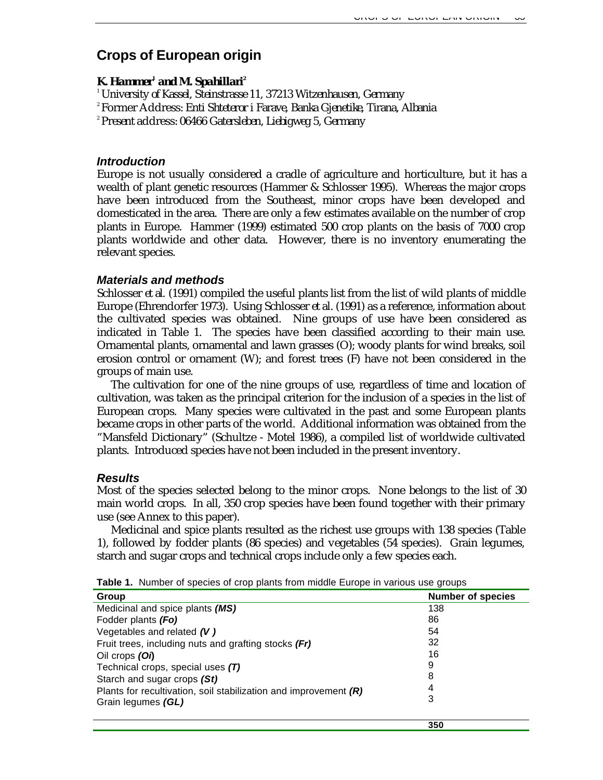# **Crops of European origin**

## $\boldsymbol{K}$ *. Hammer* $^{\prime}$  *and M. Spahillari* $^{\prime\prime}$

*<sup>1</sup>University of Kassel, Steinstrasse 11, 37213 Witzenhausen, Germany*

<sup>2</sup>Former Address: *Enti Shteteror i Farave, Banka Gjenetike, Tirana, Albania*

*<sup>2</sup>Present* address: *06466 Gatersleben, Liebigweg 5, Germany*

## *Introduction*

Europe is not usually considered a cradle of agriculture and horticulture, but it has a wealth of plant genetic resources (Hammer & Schlosser 1995). Whereas the major crops have been introduced from the Southeast, minor crops have been developed and domesticated in the area. There are only a few estimates available on the number of crop plants in Europe. Hammer (1999) estimated 500 crop plants on the basis of 7000 crop plants worldwide and other data. However, there is no inventory enumerating the relevant species.

## *Materials and methods*

Schlosser *et al.* (1991) compiled the useful plants list from the list of wild plants of middle Europe (Ehrendorfer 1973). Using Schlosser *et al.* (1991) as a reference, information about the cultivated species was obtained. Nine groups of use have been considered as indicated in Table 1. The species have been classified according to their main use. Ornamental plants, ornamental and lawn grasses (O); woody plants for wind breaks, soil erosion control or ornament (W); and forest trees (F) have not been considered in the groups of main use.

The cultivation for one of the nine groups of use, regardless of time and location of cultivation, was taken as the principal criterion for the inclusion of a species in the list of European crops. Many species were cultivated in the past and some European plants became crops in other parts of the world. Additional information was obtained from the "Mansfeld Dictionary" (Schultze - Motel 1986), a compiled list of worldwide cultivated plants. Introduced species have not been included in the present inventory.

#### *Results*

Most of the species selected belong to the minor crops. None belongs to the list of 30 main world crops. In all, 350 crop species have been found together with their primary use (see Annex to this paper).

Medicinal and spice plants resulted as the richest use groups with 138 species (Table 1), followed by fodder plants (86 species) and vegetables (54 species). Grain legumes, starch and sugar crops and technical crops include only a few species each.

| Group                                                              | <b>Number of species</b> |
|--------------------------------------------------------------------|--------------------------|
| Medicinal and spice plants (MS)                                    | 138                      |
| Fodder plants (Fo)                                                 | 86                       |
| Vegetables and related $(V)$                                       | 54                       |
| Fruit trees, including nuts and grafting stocks (Fr)               | 32                       |
| Oil crops (Oi)                                                     | 16                       |
| Technical crops, special uses (T)                                  | 9                        |
| Starch and sugar crops (St)                                        | 8                        |
| Plants for recultivation, soil stabilization and improvement $(R)$ | 4                        |
| Grain legumes (GL)                                                 | 3                        |
|                                                                    |                          |

**350**

**Table 1.** Number of species of crop plants from middle Europe in various use groups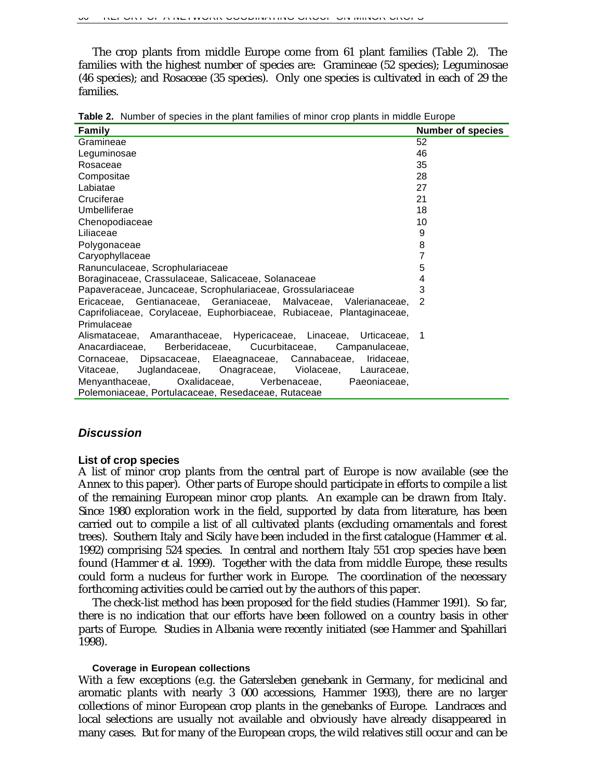The crop plants from middle Europe come from 61 plant families (Table 2). The families with the highest number of species are: Gramineae (52 species); Leguminosae (46 species); and Rosaceae (35 species). Only one species is cultivated in each of 29 the families.

| Family                                                                | <b>Number of species</b> |
|-----------------------------------------------------------------------|--------------------------|
| Gramineae                                                             | 52                       |
| Leguminosae                                                           | 46                       |
| Rosaceae                                                              | 35                       |
| Compositae                                                            | 28                       |
| Labiatae                                                              | 27                       |
| Cruciferae                                                            | 21                       |
| Umbelliferae                                                          | 18                       |
| Chenopodiaceae                                                        | 10                       |
| Liliaceae                                                             | 9                        |
| Polygonaceae                                                          | 8                        |
| Caryophyllaceae                                                       | 7                        |
| Ranunculaceae, Scrophulariaceae                                       | 5                        |
| Boraginaceae, Crassulaceae, Salicaceae, Solanaceae                    | 4                        |
| Papaveraceae, Juncaceae, Scrophulariaceae, Grossulariaceae            | 3                        |
| Ericaceae, Gentianaceae, Geraniaceae, Malvaceae, Valerianaceae,       | 2                        |
| Caprifoliaceae, Corylaceae, Euphorbiaceae, Rubiaceae, Plantaginaceae, |                          |
| Primulaceae                                                           |                          |
| Alismataceae, Amaranthaceae, Hypericaceae, Linaceae, Urticaceae, 1    |                          |
| Berberidaceae, Cucurbitaceae, Campanulaceae,<br>Anacardiaceae,        |                          |
| Cornaceae, Dipsacaceae, Elaeagnaceae, Cannabaceae, Iridaceae,         |                          |
| Juglandaceae, Onagraceae, Violaceae, Lauraceae,<br>Vitaceae.          |                          |
| Menyanthaceae, Oxalidaceae, Verbenaceae,<br>Paeoniaceae,              |                          |
| Polemoniaceae, Portulacaceae, Resedaceae, Rutaceae                    |                          |

**Table 2.** Number of species in the plant families of minor crop plants in middle Europe

## *Discussion*

#### **List of crop species**

A list of minor crop plants from the central part of Europe is now available (see the Annex to this paper). Other parts of Europe should participate in efforts to compile a list of the remaining European minor crop plants. An example can be drawn from Italy. Since 1980 exploration work in the field, supported by data from literature, has been carried out to compile a list of all cultivated plants (excluding ornamentals and forest trees). Southern Italy and Sicily have been included in the first catalogue (Hammer *et al.* 1992) comprising 524 species. In central and northern Italy 551 crop species have been found (Hammer *et al.* 1999). Together with the data from middle Europe, these results could form a nucleus for further work in Europe. The coordination of the necessary forthcoming activities could be carried out by the authors of this paper.

The check-list method has been proposed for the field studies (Hammer 1991). So far, there is no indication that our efforts have been followed on a country basis in other parts of Europe. Studies in Albania were recently initiated (see Hammer and Spahillari 1998).

#### **Coverage in European collections**

With a few exceptions (e.g. the Gatersleben genebank in Germany, for medicinal and aromatic plants with nearly 3 000 accessions, Hammer 1993), there are no larger collections of minor European crop plants in the genebanks of Europe. Landraces and local selections are usually not available and obviously have already disappeared in many cases. But for many of the European crops, the wild relatives still occur and can be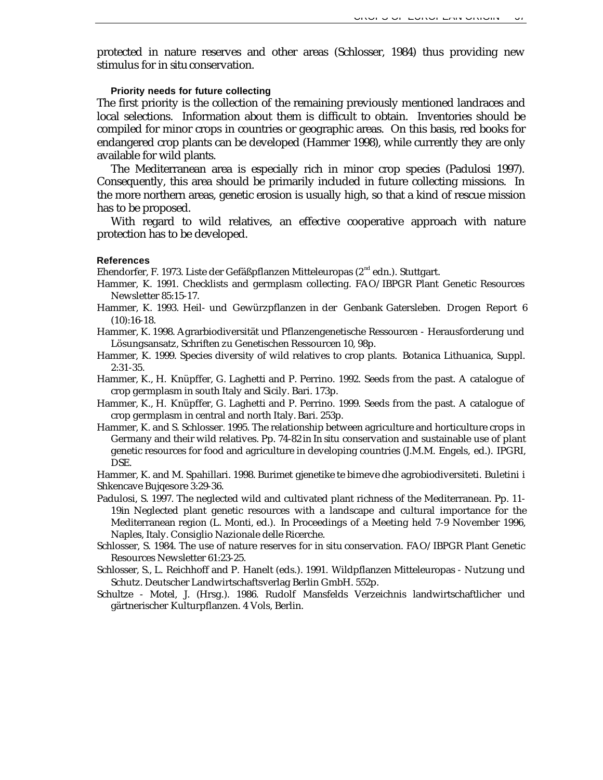protected in nature reserves and other areas (Schlosser, 1984) thus providing new stimulus for *in situ* conservation.

#### **Priority needs for future collecting**

The first priority is the collection of the remaining previously mentioned landraces and local selections. Information about them is difficult to obtain. Inventories should be compiled for minor crops in countries or geographic areas. On this basis, red books for endangered crop plants can be developed (Hammer 1998), while currently they are only available for wild plants.

The Mediterranean area is especially rich in minor crop species (Padulosi 1997). Consequently, this area should be primarily included in future collecting missions. In the more northern areas, genetic erosion is usually high, so that a kind of rescue mission has to be proposed.

With regard to wild relatives, an effective cooperative approach with nature protection has to be developed.

#### **References**

Ehendorfer, F. 1973. Liste der Gefäßpflanzen Mitteleuropas ( $2<sup>nd</sup>$ edn.). Stuttgart.

- Hammer, K. 1991. Checklists and germplasm collecting. FAO/IBPGR Plant Genetic Resources Newsletter 85:15-17.
- Hammer, K. 1993. Heil- und Gewürzpflanzen in der Genbank Gatersleben. Drogen Report 6 (10):16-18.
- Hammer, K. 1998. Agrarbiodiversität und Pflanzengenetische Ressourcen Herausforderung und Lösungsansatz, Schriften zu Genetischen Ressourcen 10, 98p.
- Hammer, K. 1999. Species diversity of wild relatives to crop plants. Botanica Lithuanica, Suppl. 2:31-35.
- Hammer, K., H. Knüpffer, G. Laghetti and P. Perrino. 1992. Seeds from the past. A catalogue of crop germplasm in south Italy and Sicily. Bari. 173p.
- Hammer, K., H. Knüpffer, G. Laghetti and P. Perrino. 1999. Seeds from the past. A catalogue of crop germplasm in central and north Italy. Bari. 253p.
- Hammer, K. and S. Schlosser. 1995. The relationship between agriculture and horticulture crops in Germany and their wild relatives. Pp. 74-82 *in In situ* conservation and sustainable use of plant genetic resources for food and agriculture in developing countries (J.M.M. Engels, ed.). IPGRI, DSE.

Hammer, K. and M. Spahillari. 1998. Burimet gjenetike te bimeve dhe agrobiodiversiteti. Buletini i Shkencave Bujqesore 3:29-36.

- Padulosi, S. 1997. The neglected wild and cultivated plant richness of the Mediterranean. Pp. 11- 19*in* Neglected plant genetic resources with a landscape and cultural importance for the Mediterranean region (L. Monti, ed.). *In* Proceedings of a Meeting held 7-9 November 1996, Naples, Italy. Consiglio Nazionale delle Ricerche.
- Schlosser, S. 1984. The use of nature reserves for *in situ* conservation. FAO/IBPGR Plant Genetic Resources Newsletter 61:23-25.
- Schlosser, S., L. Reichhoff and P. Hanelt (eds.). 1991. Wildpflanzen Mitteleuropas Nutzung und Schutz. Deutscher Landwirtschaftsverlag Berlin GmbH. 552p.
- Schultze Motel, J. (Hrsg.). 1986. Rudolf Mansfelds Verzeichnis landwirtschaftlicher und gärtnerischer Kulturpflanzen. 4 Vols, Berlin.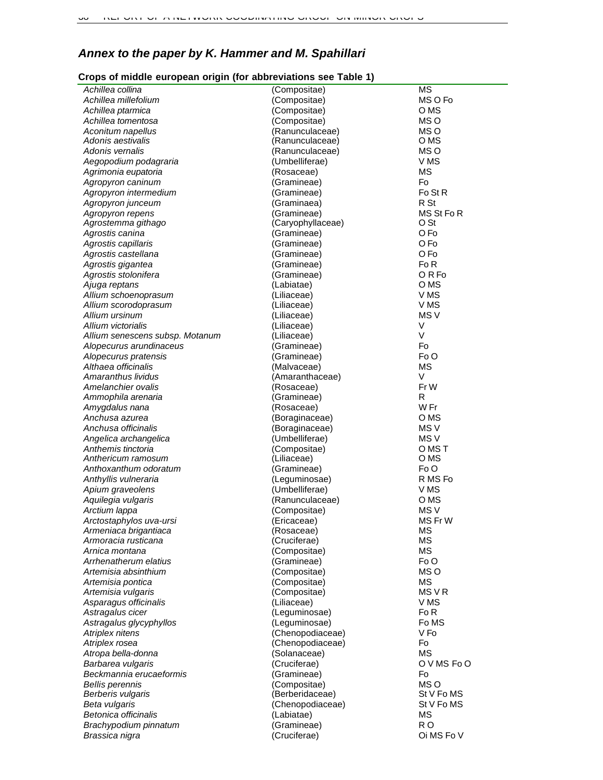# *Annex to the paper by K. Hammer and M. Spahillari*

## **Crops of middle european origin (for abbreviations see Table 1)**

| Achillea collina                             | (Compositae)               | <b>MS</b>              |
|----------------------------------------------|----------------------------|------------------------|
| Achillea millefolium                         | (Compositae)               | MS O Fo                |
| Achillea ptarmica                            | (Compositae)               | O MS                   |
| Achillea tomentosa                           | (Compositae)               | MS O                   |
| Aconitum napellus                            | (Ranunculaceae)            | MS O                   |
| Adonis aestivalis                            | (Ranunculaceae)            | O MS                   |
| Adonis vernalis                              | (Ranunculaceae)            | MS O                   |
| Aegopodium podagraria                        | (Umbelliferae)             | V MS                   |
| Agrimonia eupatoria                          | (Rosaceae)                 | <b>MS</b>              |
| Agropyron caninum                            | (Gramineae)                | Fo                     |
| Agropyron intermedium                        | (Gramineae)                | Fo St R                |
| Agropyron junceum                            | (Graminaea)                | R St                   |
| Agropyron repens                             | (Gramineae)                | MS St Fo R             |
| Agrostemma githago                           | (Caryophyllaceae)          | O St                   |
| Agrostis canina                              | (Gramineae)                | O Fo                   |
| Agrostis capillaris                          | (Gramineae)                | O Fo                   |
| Agrostis castellana                          | (Gramineae)                | O Fo                   |
| Agrostis gigantea                            | (Gramineae)                | Fo <sub>R</sub>        |
| Agrostis stolonifera                         | (Gramineae)                | ORF <sub>o</sub>       |
| Ajuga reptans                                | (Labiatae)                 | O MS                   |
| Allium schoenoprasum                         | (Liliaceae)                | V MS                   |
| Allium scorodoprasum                         | (Liliaceae)                | V MS                   |
| Allium ursinum                               | (Liliaceae)                | MS <sub>V</sub>        |
| Allium victorialis                           | (Liliaceae)                | V                      |
| Allium senescens subsp. Motanum              | (Liliaceae)                | $\vee$                 |
| Alopecurus arundinaceus                      | (Gramineae)                | Fo                     |
| Alopecurus pratensis                         | (Gramineae)                | Fo O                   |
| Althaea officinalis                          | (Malvaceae)                | <b>MS</b>              |
| Amaranthus lividus                           | (Amaranthaceae)            | V                      |
| Amelanchier ovalis                           | (Rosaceae)                 | Fr W                   |
| Ammophila arenaria                           | (Gramineae)                | R                      |
| Amygdalus nana                               | (Rosaceae)                 | W Fr                   |
| Anchusa azurea                               | (Boraginaceae)             | O MS                   |
| Anchusa officinalis                          | (Boraginaceae)             | MS <sub>V</sub>        |
| Angelica archangelica                        | (Umbelliferae)             | MS <sub>V</sub>        |
| Anthemis tinctoria                           | (Compositae)               | O MS T                 |
| Anthericum ramosum                           | (Liliaceae)                | O MS<br>Fo O           |
| Anthoxanthum odoratum                        | (Gramineae)                |                        |
| Anthyllis vulneraria                         | (Leguminosae)              | R MS Fo                |
| Apium graveolens                             | (Umbelliferae)             | V MS                   |
| Aquilegia vulgaris                           | (Ranunculaceae)            | O MS                   |
| Arctium lappa                                | (Compositae)               | MS <sub>V</sub>        |
| Arctostaphylos uva-ursi                      | (Ericaceae)                | MS Fr W                |
| Armeniaca brigantiaca<br>Armoracia rusticana | (Rosaceae)<br>(Cruciferae) | <b>MS</b><br><b>MS</b> |
| Arnica montana                               | (Compositae)               | <b>MS</b>              |
| Arrhenatherum elatius                        | (Gramineae)                | Fo O                   |
| Artemisia absinthium                         | (Compositae)               | MS O                   |
| Artemisia pontica                            | (Compositae)               | <b>MS</b>              |
| Artemisia vulgaris                           | (Compositae)               | MS V R                 |
| Asparagus officinalis                        | (Liliaceae)                | V MS                   |
| Astragalus cicer                             | (Leguminosae)              | Fo R                   |
| Astragalus glycyphyllos                      | (Leguminosae)              | Fo MS                  |
| Atriplex nitens                              | (Chenopodiaceae)           | V Fo                   |
| Atriplex rosea                               | (Chenopodiaceae)           | Fo                     |
| Atropa bella-donna                           | (Solanaceae)               | <b>MS</b>              |
| Barbarea vulgaris                            | (Cruciferae)               | O V MS Fo O            |
| Beckmannia erucaeformis                      | (Gramineae)                | Fo                     |
| <b>Bellis perennis</b>                       | (Compositae)               | MS O                   |
| Berberis vulgaris                            | (Berberidaceae)            | St V Fo MS             |
| Beta vulgaris                                | (Chenopodiaceae)           | St V Fo MS             |
| Betonica officinalis                         | (Labiatae)                 | <b>MS</b>              |
| Brachypodium pinnatum                        | (Gramineae)                | R <sub>O</sub>         |
| Brassica nigra                               | (Cruciferae)               | Oi MS Fo V             |
|                                              |                            |                        |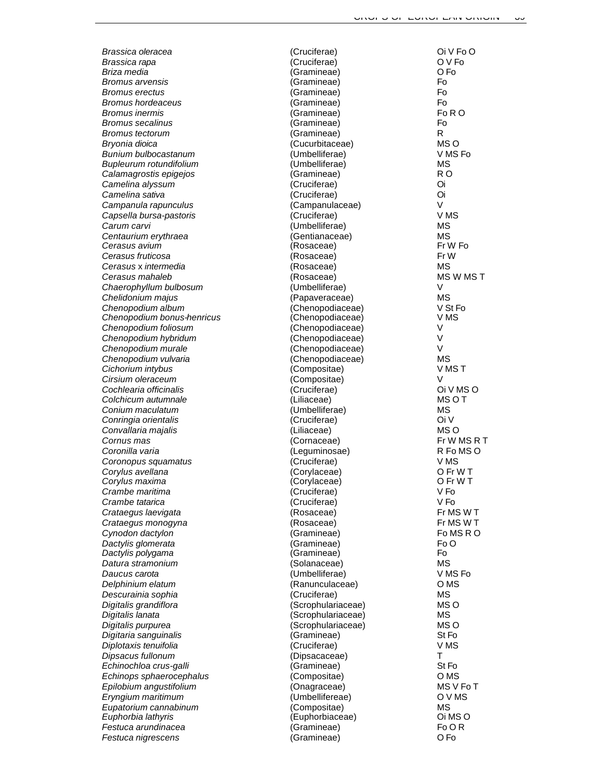**Bromus erectus** (Gramineae) **Bromus inermis** (Gramineae) **Bupleurum rotundifolium** *Campanula rapunculus* (Campanulaceae) V **Cerasus fruticosa** (Rosaceae) *Cerasus mahaleb* (Rosaceae)<br>Chaerophyllum bulbosum (Umbelliferae) **Chenopodium bonus-henricus**  $C$ olchicum autumnale **Convallaria majalis MS** (Liliaceae) Corylus maxima *Diplotaxis tenuifolia* (Cruciferae) *Echinochloa crus-galli* et al. (Gramineae) *Euphorbia lathyris* (Euphorbiaceae) *Festuca nigrescens* (Gramineae) O Fo

*Brassica oleracea* (Cruciferae) Oi V Fo O *Brassica rapa* (Cruciferae) O V Fo *Briza media* (Gramineae) O Fo *Bromus arvensis* (Gramineae) Fo *Bromus hordeaceus* (Gramineae) Fo *Bromus secalinus* Formulation (Gramineae) **Formulation** Formulation Formulation Formulation Formulation Formulation Formulation Formulation Formulation Formulation Formulation Formulation Formulation Formulation Formula *Bromus tectorum* R *R R* (Gramineae) **R** *Bryonia dioica* (Cucurbitaceae) MS O *Bunium bulbocastanum* (Umbelliferae) V MS Fo *Calamagrostis epigejos* (Gramineae) R O *Camelina alyssum* (Cruciferae) Oi *Camelina sativa* (Cruciferae) Oi *Capsella bursa-pastoris* (Cruciferae) V MS *Carum carvi* (Umbelliferae) MS *Centaurium erythraea* (Gentianaceae) MS *Cerasus avium* (Rosaceae) Fr W Fo *Cerasus* x *intermedia* (Rosaceae) MS *Chaerophyllum bulbosum* (Umbelliferae) V *Chelidonium majus* (Papaveraceae) MS Chenopodium album interesting and the chenopodiaceae) v St Form of the V St Form of the Chenopodiaceae) v N St F<br>Chenopodium bonus-henricus v Chenopodiaceae) v MS *Chenopodium foliosum* (Chenopodiaceae) V *Chenopodium hybridum* (Chenopodiaceae) V *Chenopodium murale* (Chenopodiaceae) V *Chenopodium vulvaria* (Chenopodiaceae) MS *Cichorium intybus* (Compositae) V MS T *Cirsium oleraceum* (Compositae) V *Cochlearia officinalis* (Cruciferae) Oi V MS O *Conium maculatum* (Umbelliferae) MS *Conringia orientalis* (Cruciferae) Oi V *Cornus mas* (Cornaceae) Fr W MS R T *Coronilla varia* (Leguminosae) R Fo MS O *Coronopus squamatus* (Cruciferae) V MS *Corylus avellana* (Corylaceae) O Fr W T *Crambe maritima* (Cruciferae) V Fo *Crambe tatarica* (Cruciferae) V Fo *Crataegus laevigata* (Rosaceae) Fr MS W T *Crataegus monogyna* (Rosaceae) Fr MS W T *Cynodon dactylon* (Gramineae) Fo MS R O *Dactylis glomerata* (Gramineae) Fo O *Dactylis polygama* (Gramineae) Fo *Datura stramonium* (Solanaceae) MS *Daucus carota* (Umbelliferae) V MS Fo *Delphinium elatum* (Ranunculaceae) O MS *Descurainia sophia* (Cruciferae) MS *Digitalis grandiflora* (Scrophulariaceae) MS O *Digitalis lanata* (Scrophulariaceae) MS *Digitalis purpurea* (Scrophulariaceae) MS O *Digitaria sanguinalis* (Gramineae) St Fo *Dipsacus fullonum* (Dipsacaceae) T *Echinops sphaerocephalus* (Compositae) O MS *Epilobium angustifolium* (Onagraceae) MS V Fo T *Eryngium maritimum* (Umbellifereae) O V MS *Eupatorium cannabinum* (Compositae) MS *Festuca arundinacea* (Gramineae) Fo O R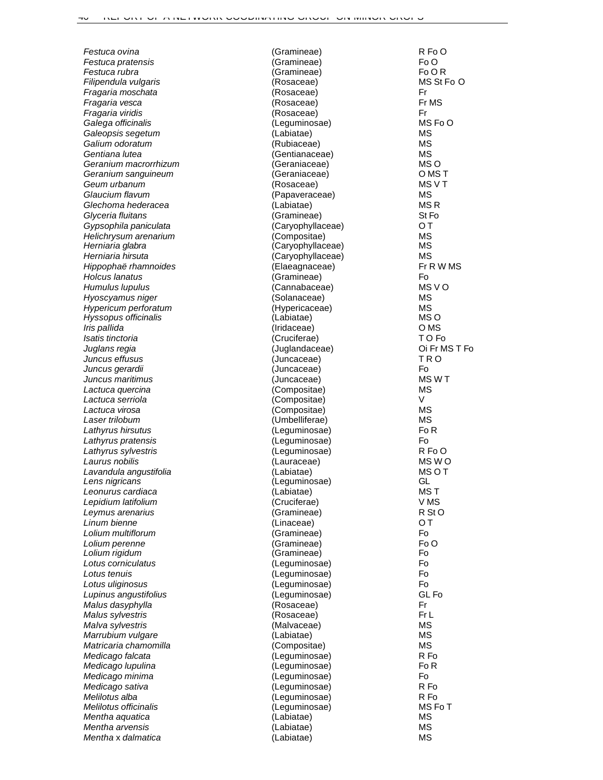| Festuca ovina                       | (Gramineae)                 | R Fo O          |
|-------------------------------------|-----------------------------|-----------------|
| Festuca pratensis                   | (Gramineae)                 | Fo O            |
| Festuca rubra                       | (Gramineae)                 | Fo O R          |
| Filipendula vulgaris                | (Rosaceae)                  | MS St Fo O      |
| Fragaria moschata                   | (Rosaceae)                  | Fr              |
| Fragaria vesca                      | (Rosaceae)                  | Fr MS           |
| Fragaria viridis                    | (Rosaceae)                  | Fr              |
| Galega officinalis                  | (Leguminosae)               | MS Fo O         |
| Galeopsis segetum                   | (Labiatae)                  | <b>MS</b>       |
| Galium odoratum                     | (Rubiaceae)                 | <b>MS</b>       |
| Gentiana lutea                      | (Gentianaceae)              | <b>MS</b>       |
| Geranium macrorrhizum               | (Geraniaceae)               | MS O<br>O MS T  |
| Geranium sanguineum<br>Geum urbanum | (Geraniaceae)<br>(Rosaceae) | MS V T          |
| Glaucium flavum                     | (Papaveraceae)              | <b>MS</b>       |
| Glechoma hederacea                  | (Labiatae)                  | MS <sub>R</sub> |
| Glyceria fluitans                   | (Gramineae)                 | St Fo           |
| Gypsophila paniculata               | (Caryophyllaceae)           | OТ              |
| Helichrysum arenarium               | (Compositae)                | <b>MS</b>       |
| Herniaria glabra                    | (Caryophyllaceae)           | <b>MS</b>       |
| Herniaria hirsuta                   | (Caryophyllaceae)           | <b>MS</b>       |
| Hippophaë rhamnoides                | (Elaeagnaceae)              | Fr R W MS       |
| Holcus Ianatus                      | (Gramineae)                 | Fo              |
| Humulus lupulus                     | (Cannabaceae)               | MS V O          |
| Hyoscyamus niger                    | (Solanaceae)                | <b>MS</b>       |
| Hypericum perforatum                | (Hypericaceae)              | <b>MS</b>       |
| Hyssopus officinalis                | (Labiatae)                  | MS O            |
| Iris pallida                        | (Iridaceae)                 | O MS            |
| Isatis tinctoria                    | (Cruciferae)                | TO Fo           |
| Juglans regia                       | (Juglandaceae)              | Oi Fr MS T Fo   |
| Juncus effusus                      | (Juncaceae)                 | TRO             |
| Juncus gerardii                     | (Juncaceae)                 | Fo              |
| Juncus maritimus                    | (Juncaceae)                 | MS W T          |
| Lactuca quercina                    | (Compositae)                | <b>MS</b>       |
| Lactuca serriola                    | (Compositae)                | V               |
| Lactuca virosa                      | (Compositae)                | <b>MS</b>       |
| Laser trilobum                      | (Umbelliferae)              | <b>MS</b>       |
| Lathyrus hirsutus                   | (Leguminosae)               | Fo <sub>R</sub> |
| Lathyrus pratensis                  | (Leguminosae)               | Fo              |
| Lathyrus sylvestris                 | (Leguminosae)               | R FoO           |
| Laurus nobilis                      | (Lauraceae)                 | MS WO           |
| Lavandula angustifolia              | (Labiatae)                  | <b>MSOT</b>     |
| Lens nigricans                      | (Leguminosae)               | GL              |
| Leonurus cardiaca                   | (Labiatae)                  | MS T            |
| Lepidium latifolium                 | (Cruciferae)                | V MS            |
| Leymus arenarius                    | (Gramineae)                 | R St O          |
| Linum bienne                        | (Linaceae)                  | ОT<br>Fo        |
| Lolium multiflorum                  | (Gramineae)                 | Fo O            |
| Lolium perenne<br>Lolium rigidum    | (Gramineae)<br>(Gramineae)  | Fo              |
| Lotus corniculatus                  | (Leguminosae)               | F <sub>o</sub>  |
| Lotus tenuis                        | (Leguminosae)               | F <sub>o</sub>  |
| Lotus uliginosus                    | (Leguminosae)               | Fo              |
| Lupinus angustifolius               | (Leguminosae)               | GL Fo           |
| Malus dasyphylla                    | (Rosaceae)                  | Fr              |
| Malus sylvestris                    | (Rosaceae)                  | Fr L            |
| Malva sylvestris                    | (Malvaceae)                 | <b>MS</b>       |
| Marrubium vulgare                   | (Labiatae)                  | <b>MS</b>       |
| Matricaria chamomilla               | (Compositae)                | <b>MS</b>       |
| Medicago falcata                    | (Leguminosae)               | R Fo            |
| Medicago lupulina                   | (Leguminosae)               | Fo <sub>R</sub> |
| Medicago minima                     | (Leguminosae)               | Fo              |
| Medicago sativa                     | (Leguminosae)               | R Fo            |
| Melilotus alba                      | (Leguminosae)               | R Fo            |
| Melilotus officinalis               | (Leguminosae)               | MS Fo T         |
| Mentha aquatica                     | (Labiatae)                  | MS              |
| Mentha arvensis                     | (Labiatae)                  | <b>MS</b>       |
| Mentha x dalmatica                  | (Labiatae)                  | <b>MS</b>       |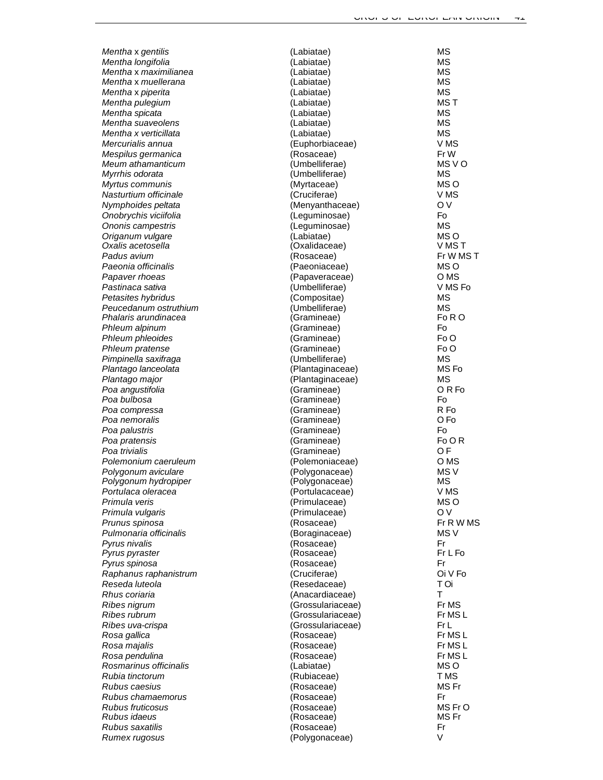*Mentha*  x *gentilis Mentha longifolia Mentha*  x *maximilianea Mentha* x *muellerana Mentha*  x *piperita Mentha pulegium Mentha spicata Mentha suaveolens Mentha x verticillata Mercurialis annua Mespilus germanica Meum athamanticum Myrrhis odorata Myrtus communis Nasturtium officinale Nymphoides peltata Onobrychis viciifolia Ononis campestris Origanum vulgare Oxalis acetosella Padus avium Paeonia officinalis Papaver rhoeas Pastinaca sativa Petasites hybridus Peucedanum ostruthium Phalaris arundinacea Phleum alpinum Phleum phleoides Phleum pratense Pimpinella saxifraga Plantago lanceolata Plantago major Poa angustifolia Poa bulbosa Poa compressa Poa nemoralis Poa palustris Poa pratensis Poa trivialis Polemonium caeruleum Polygonum aviculare Polygonum hydropiper Portulaca oleracea Primula veris Primula vulgaris Prunus spinosa Pulmonaria officinalis Pyrus nivalis Pyrus pyraster Pyrus spinosa Raphanus raphanistrum Reseda luteola Rhus coriaria Ribes nigrum Ribes rubrum Ribes uva-crispa Rosa gallica Rosa majalis Rosa pendulina Rosmarinus officinalis Rubia tinctorum Rubus caesius Rubus chamaemorus Rubus fruticosus Rubus idaeus Rubus saxatilis Rumex rugosus*

| (Labiatae)        | ΜS               |
|-------------------|------------------|
| (Labiatae)        | ΜS               |
| (Labiatae)        | ΜS               |
| (Labiatae)        | ΜS               |
| (Labiatae)        | ΜS               |
| (Labiatae)        | MS T             |
| (Labiatae)        | ΜS               |
| (Labiatae)        | ΜS               |
| (Labiatae)        | MS               |
| (Euphorbiaceae)   | V MS             |
| (Rosaceae)        | Fr W             |
| (Umbelliferae)    | MS V O           |
| (Umbelliferae)    | ΜS               |
| (Myrtaceae)       | MS O             |
| (Cruciferae)      | V MS             |
| (Menyanthaceae)   | O V              |
| (Leguminosae)     | Fo               |
| (Leguminosae)     | ΜS               |
| (Labiatae)        | MS <sub>O</sub>  |
| (Oxalidaceae)     | VMST             |
| (Rosaceae)        | Fr W MS T        |
| (Paeoniaceae)     | MS O             |
| (Papaveraceae)    | O MS             |
| (Umbelliferae)    | V MS Fo          |
| (Compositae)      | ΜS               |
| (Umbelliferae)    | <b>MS</b>        |
| (Gramineae)       | Fo R O           |
| (Gramineae)       | Fo               |
| (Gramineae)       | Fo O             |
| (Gramineae)       | Fo O             |
| (Umbelliferae)    | ΜS               |
| (Plantaginaceae)  | MS Fo            |
| (Plantaginaceae)  | ΜS               |
| (Gramineae)       | ORF <sub>o</sub> |
| (Gramineae)       | Fo               |
| (Gramineae)       | R Fo             |
| (Gramineae)       | O Fo             |
| (Gramineae)       | Fo               |
| (Gramineae)       | Fo OR            |
| (Gramineae)       | O <sub>F</sub>   |
| (Polemoniaceae)   | O <sub>M</sub> S |
| (Polygonaceae)    | MS <sub>V</sub>  |
| (Polygonaceae)    | ΜS               |
| (Portulacaceae)   | V MS             |
| (Primulaceae)     | MS O             |
| (Primulaceae)     | O V              |
| (Rosaceae)        | Fr R W MS        |
| (Boraginaceae)    | MS V             |
| (Rosaceae)        | Fr               |
| (Rosaceae)        | Fr L Fo          |
| (Rosaceae)        | Fr               |
| (Cruciferae)      | Oi V Fo          |
| (Resedaceae)      | T Oi             |
| (Anacardiaceae)   | Т                |
| (Grossulariaceae) | Fr MS            |
| (Grossulariaceae) | Fr MS L          |
| (Grossulariaceae) | Fr L             |
| (Rosaceae)        | Fr MS L          |
| (Rosaceae)        | Fr MS L          |
| (Rosaceae)        | Fr MSL           |
| (Labiatae)        | MS O             |
| (Rubiaceae)       | T MS             |
| (Rosaceae)        | MS Fr            |
| (Rosaceae)        | Fr               |
| (Rosaceae)        | MS FrO           |
| (Rosaceae)        | MS Fr            |
| (Rosaceae)        | Fr               |
| (Polygonaceae)    | V                |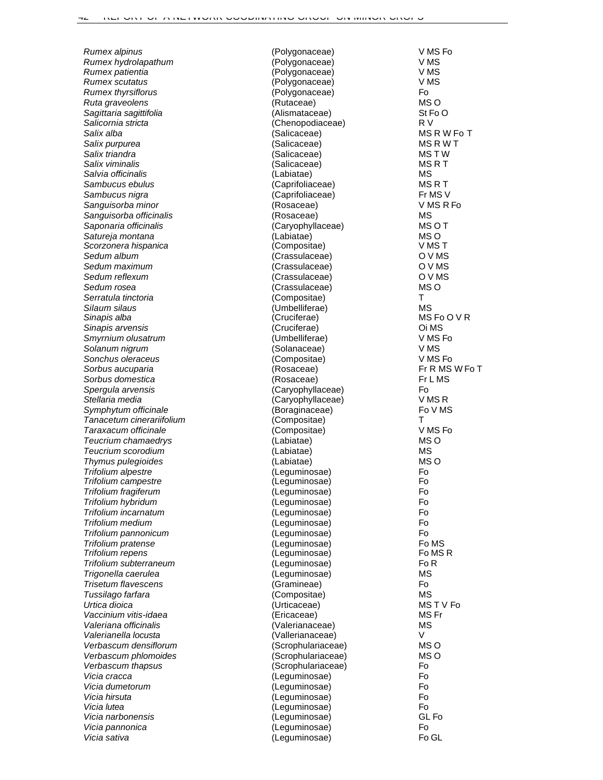**Sagittaria sagittifolia** (Alismataceae) **Salix viminalis** *Scorzonera hispanica*<br>Sedum album **Sorbus aucuparia** France (Rosaceae) **Thymus pulegioides** (Labiatae)<br> **Trifolium alpestre** (Leguminosae) **Trifolium campestre** (Leguminosae)<br> **Trifolium fragiferum**(Leguminosae) **Trifolium repens For Allen Construction** (Leguminosae) **Urtica dioica** (Urticaceae) *Verbascum phlomoides* (Scrophulariaceae)<br>
Verbascum thapsus (Scrophulariaceae)

*Rumex alpinus* (Polygonaceae) V MS Fo *Rumex hydrolapathum* (Polygonaceae) V MS *Rumex patientia* (Polygonaceae) V MS *(Polygonaceae) Rumex thyrsiflorus* (Polygonaceae) Fo<br> *Ruta graveolens* MS O *Ruta graveolens* (Rutaceae) MS O *Salicornia stricta* (Chenopodiaceae) R V *Salix alba* (Salicaceae) MS R W Fo T **Salix purpurea MS R W T** (Salicaceae) MS R W T **Salix triandra** MS T W (Salicaceae) MS T W (Salicaceae) MS T W S T W S R T W S R T W S R T W S R T W S R T W S R T *Salvia officinalis* (Labiatae) MS **Sambucus ebulus MS R T** (Caprifoliaceae) MS R T *Sambucus nigra* (Caprifoliaceae) Fr MS V *Sanguisorba minor* (Rosaceae) V MS R Fo *Sanguisorba officinalis* (Rosaceae) MS *Saponaria officinalis* (Caryophyllaceae) MS O T *Satureja montana* (Labiatae) MS O *Sedum album* (Crassulaceae) O V MS *Sedum maximum* (Crassulaceae) O V MS *Sedum reflexum* (Crassulaceae) O V MS *(Crassulaceae)*<br>*(Compositae) Serratula tinctoria* (Compositae) T *Silaum silaus* (Umbelliferae) MS *(Cruciferae) Sinapis arvensis* (Cruciferae) Oi MS *Smyrnium olusatrum* (Umbelliferae) V MS Fo *Solanum nigrum* (Solanaceae) V MS *Sonchus oleraceus* (Compositae) V MS Fo **Sorbus domestica Friday Friday CONS** (Rosaceae) **FRIDA FRIDAS FRIDAS FRIDAS FRIDAS FRIDAS FRIDAS** *Spergula arvensis* (Caryophyllaceae) Fo  $(Caryophyllaceae)$ Symphytum officinale **Example 3** (Boraginaceae) Fo V MS *Tanacetum cinerariifolium* (Compositae) T *Taraxacum officinale* (Compositae) V MS Fo *Teucrium chamaedrys* (Labiatae) MS O *Teucrium scorodium* (Labiatae) MS *Trifolium alpestre* (Leguminosae) Fo *Trifolium fragiferum* (Leguminosae) Fo *Trifolium hybridum* (Leguminosae) Fo *Trifolium incarnatum* (Leguminosae) Fo *Trifolium medium* (Leguminosae) Fo *Trifolium pannonicum* (Leguminosae) Fo *Trifolium pratense* (Leguminosae) Fo MS *Trifolium subterraneum* (Leguminosae) Fo R *Trigonella caerulea* (Leguminosae) MS *Trisetum flavescens* (Gramineae) Fo *Tussilago farfara* (Compositae) MS *Vaccinium vitis-idaea* (Ericaceae) MS Fr *Valeriana officinalis* (Valerianaceae) MS *Valerianella locusta* (Vallerianaceae) V *Verbascum densiflorum* (Scrophulariaceae) MS O *Verbascum thapsus* (Scrophulariaceae) Fo *Vicia cracca* (Leguminosae) Fo *Vicia dumetorum* (Leguminosae) Fo *Vicia hirsuta* (Leguminosae) Fo *Vicia lutea* (Leguminosae) Fo *Vicia narbonensis* (Leguminosae) GL Fo *Vicia pannonica* (Leguminosae) Fo *Vicia sativa* (Leguminosae) Fo GL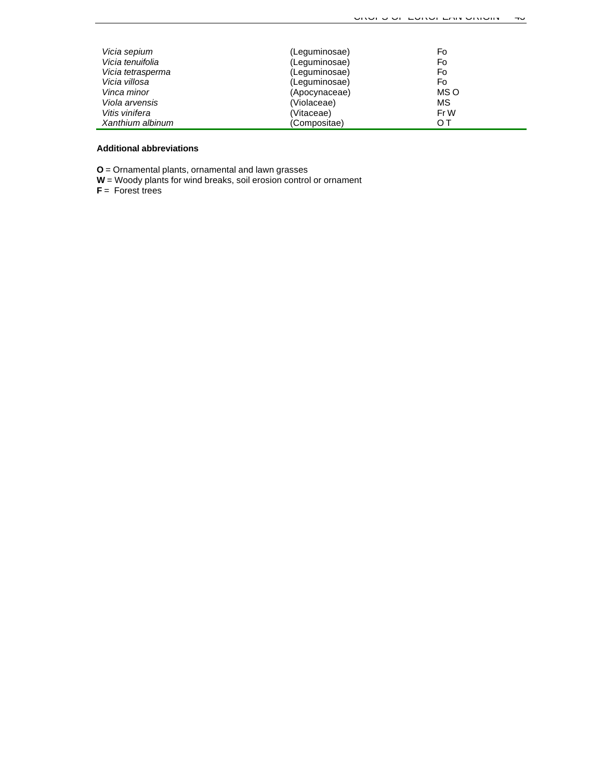| Vicia sepium      | (Leguminosae) | Fo        |
|-------------------|---------------|-----------|
| Vicia tenuifolia  | (Leguminosae) | Fo        |
| Vicia tetrasperma | (Leguminosae) | Fo        |
| Vicia villosa     | (Leguminosae) | Fo        |
| Vinca minor       | (Apocynaceae) | MS O      |
| Viola arvensis    | (Violaceae)   | <b>MS</b> |
| Vitis vinifera    | (Vitaceae)    | Fr W      |
| Xanthium albinum  | (Compositae)  | OТ        |

#### **Additional abbreviations**

**O** = Ornamental plants, ornamental and lawn grasses

**W** = Woody plants for wind breaks, soil erosion control or ornament

**F** = Forest trees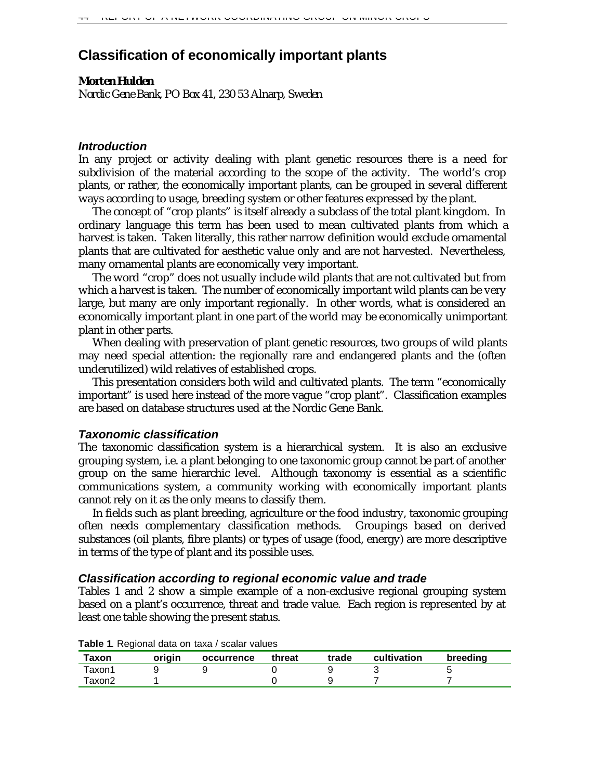# **Classification of economically important plants**

## *Morten Hulden*

*Nordic Gene Bank, PO Box 41, 230 53 Alnarp, Sweden*

## *Introduction*

In any project or activity dealing with plant genetic resources there is a need for subdivision of the material according to the scope of the activity. The world's crop plants, or rather, the economically important plants, can be grouped in several different ways according to usage, breeding system or other features expressed by the plant.

The concept of "crop plants" is itself already a subclass of the total plant kingdom. In ordinary language this term has been used to mean cultivated plants from which a harvest is taken. Taken literally, this rather narrow definition would exclude ornamental plants that are cultivated for aesthetic value only and are not harvested. Nevertheless, many ornamental plants are economically very important.

The word "crop" does not usually include wild plants that are not cultivated but from which a harvest is taken. The number of economically important wild plants can be very large, but many are only important regionally. In other words, what is considered an economically important plant in one part of the world may be economically unimportant plant in other parts.

When dealing with preservation of plant genetic resources, two groups of wild plants may need special attention: the regionally rare and endangered plants and the (often underutilized) wild relatives of established crops.

This presentation considers both wild and cultivated plants. The term "economically important" is used here instead of the more vague "crop plant". Classification examples are based on database structures used at the Nordic Gene Bank.

## *Taxonomic classification*

The taxonomic classification system is a hierarchical system. It is also an exclusive grouping system, i.e. a plant belonging to one taxonomic group cannot be part of another group on the same hierarchic level. Although taxonomy is essential as a scientific communications system, a community working with economically important plants cannot rely on it as the only means to classify them.

In fields such as plant breeding, agriculture or the food industry, taxonomic grouping often needs complementary classification methods. Groupings based on derived substances (oil plants, fibre plants) or types of usage (food, energy) are more descriptive in terms of the type of plant and its possible uses.

## *Classification according to regional economic value and trade*

Tables 1 and 2 show a simple example of a non-exclusive regional grouping system based on a plant's occurrence, threat and trade value. Each region is represented by at least one table showing the present status.

|        | . .    |            |        |       |             |          |
|--------|--------|------------|--------|-------|-------------|----------|
| Taxon  | origin | occurrence | threat | trade | cultivation | breeding |
| Taxon1 |        |            |        |       |             |          |
| ⊺axon2 |        |            |        |       |             |          |

**Table 1**. Regional data on taxa / scalar values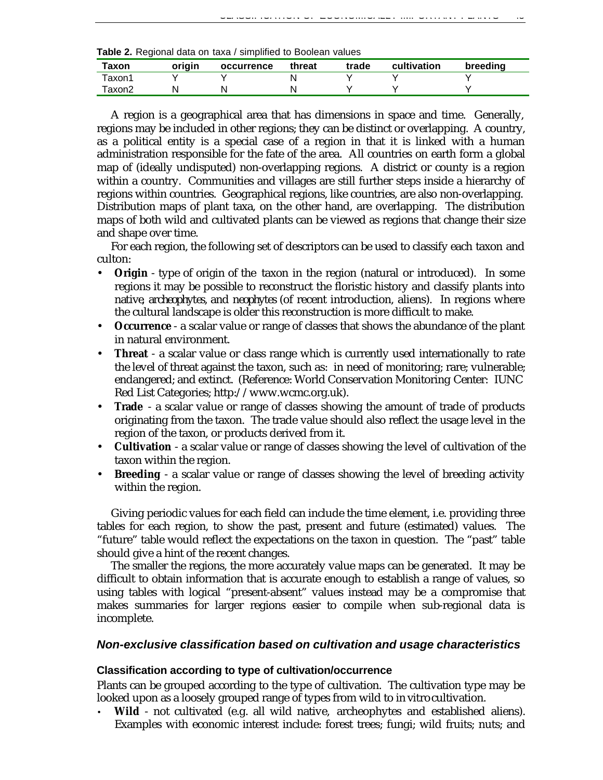| Table 2. Regional data on taxa / simplified to Boolean values |  |  |  |  |  |  |  |  |
|---------------------------------------------------------------|--|--|--|--|--|--|--|--|
|---------------------------------------------------------------|--|--|--|--|--|--|--|--|

| Taxon  | origin | occurrence | threat | trade | cultivation | breeding |
|--------|--------|------------|--------|-------|-------------|----------|
| Taxon1 |        |            |        |       |             |          |
| ⊺axon2 |        |            |        |       |             |          |

A region is a geographical area that has dimensions in space and time. Generally, regions may be included in other regions; they can be distinct or overlapping. A country, as a political entity is a special case of a region in that it is linked with a human administration responsible for the fate of the area. All countries on earth form a global map of (ideally undisputed) non-overlapping regions. A district or county is a region within a country. Communities and villages are still further steps inside a hierarchy of regions within countries. Geographical regions, like countries, are also non-overlapping. Distribution maps of plant taxa, on the other hand, are overlapping. The distribution maps of both wild and cultivated plants can be viewed as regions that change their size and shape over time.

For each region, the following set of descriptors can be used to classify each taxon and culton:

- **Origin** type of origin of the taxon in the region (natural or introduced). In some regions it may be possible to reconstruct the floristic history and classify plants into *native*, *archeophytes*, and *neophytes* (of recent introduction, aliens). In regions where the cultural landscape is older this reconstruction is more difficult to make.
- **Occurrence** a scalar value or range of classes that shows the abundance of the plant in natural environment.
- **Threat** a scalar value or class range which is currently used internationally to rate the level of threat against the taxon, such as: in need of monitoring; rare; vulnerable; endangered; and extinct. (Reference: World Conservation Monitoring Center: IUNC Red List Categories; http://www.wcmc.org.uk).
- **Trade** a scalar value or range of classes showing the amount of trade of products originating from the taxon. The trade value should also reflect the usage level in the region of the taxon, or products derived from it.
- **Cultivation** a scalar value or range of classes showing the level of cultivation of the taxon within the region.
- **Breeding** a scalar value or range of classes showing the level of breeding activity within the region.

Giving periodic values for each field can include the time element, i.e. providing three tables for each region, to show the past, present and future (estimated) values. The "future" table would reflect the expectations on the taxon in question. The "past" table should give a hint of the recent changes.

The smaller the regions, the more accurately value maps can be generated. It may be difficult to obtain information that is accurate enough to establish a range of values, so using tables with logical "present-absent" values instead may be a compromise that makes summaries for larger regions easier to compile when sub-regional data is incomplete.

## *Non-exclusive classification based on cultivation and usage characteristics*

#### **Classification according to type of cultivation/occurrence**

Plants can be grouped according to the type of cultivation. The cultivation type may be looked upon as a loosely grouped range of types from wild to *in vitro* cultivation.

• **Wild** - not cultivated (e.g. all wild native, archeophytes and established aliens). Examples with economic interest include: forest trees; fungi; wild fruits; nuts; and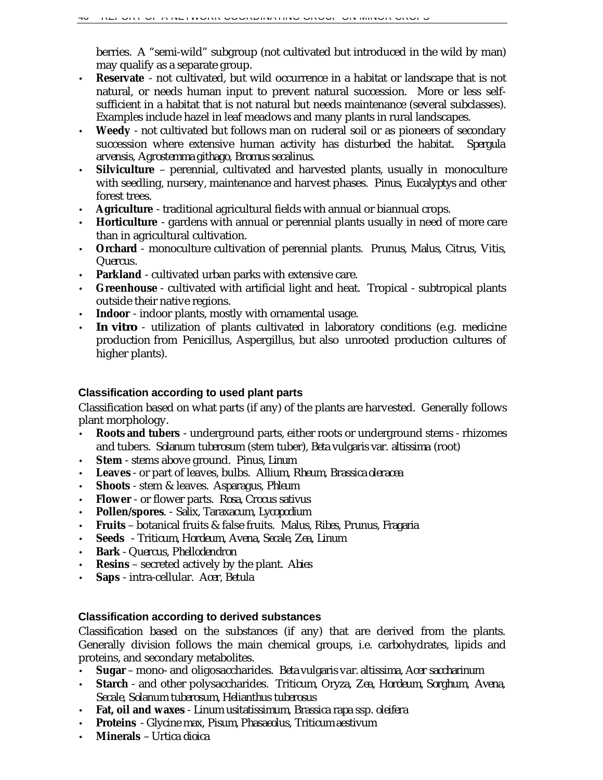berries. A "semi-wild" subgroup (not cultivated but introduced in the wild by man) may qualify as a separate group.

- **Reservate** not cultivated, but wild occurrence in a habitat or landscape that is not natural, or needs human input to prevent natural succession. More or less selfsufficient in a habitat that is not natural but needs maintenance (several subclasses). Examples include hazel in leaf meadows and many plants in rural landscapes.
- **Weedy** not cultivated but follows man on ruderal soil or as pioneers of secondary succession where extensive human activity has disturbed the habitat. *Spergula arvensis, Agrostemma githago, Bromus secalinus.*
- **Silviculture** perennial, cultivated and harvested plants, usually in monoculture with seedling, nursery, maintenance and harvest phases. *Pinus, Eucalyptys* and other forest trees.
- **Agriculture** traditional agricultural fields with annual or biannual crops.
- **Horticulture** gardens with annual or perennial plants usually in need of more care than in agricultural cultivation.
- **Orchard** monoculture cultivation of perennial plants. *Prunus, Malus, Citrus, Vitis, Quercus*.
- **Parkland** cultivated urban parks with extensive care.
- **Greenhouse** cultivated with artificial light and heat. Tropical subtropical plants outside their native regions.
- **Indoor** indoor plants, mostly with ornamental usage.
- **In vitro** utilization of plants cultivated in laboratory conditions (e.g. medicine production from Penicillus, Aspergillus, but also unrooted production cultures of higher plants).

## **Classification according to used plant parts**

Classification based on what parts (if any) of the plants are harvested. Generally follows plant morphology.

- **Roots and tubers** underground parts, either roots or underground stems rhizomes and tubers. *Solanum tuberosum* (stem tuber), *Beta vulgaris var. altissima* (root)
- **Stem** stems above ground. *Pinus, Linum*
- **Leaves** or part of leaves, bulbs. *Allium, Rheum, Brassica oleracea*
- **Shoots** stem & leaves. *Asparagus, Phleum*
- **Flower** or flower parts. *Rosa, Crocus sativus*
- **Pollen/spores***. Salix, Taraxacum, Lycopodium*
- **Fruits** botanical fruits & false fruits. *Malus, Ribes, Prunus, Fragaria*
- **Seeds** *Triticum, Hordeum, Avena, Secale, Zea, Linum*
- **Bark** *Quercus, Phellodendron*
- **Resins** secreted actively by the plant. *Abies*
- **Saps** intra-cellular. *Acer, Betula*

## **Classification according to derived substances**

Classification based on the substances (if any) that are derived from the plants. Generally division follows the main chemical groups, i.e. carbohydrates, lipids and proteins, and secondary metabolites.

- **Sugar** mono- and oligosaccharides. *Beta vulgaris* var. *altissima*, *Acer saccharinum*
- **Starch** and other polysaccharides. *Triticum, Oryza, Zea, Hordeum, Sorghum, Avena, Secale, Solanum tuberosum, Helianthus tuberosus*
- **Fat, oil and waxes** *Linum usitatissimum, Brassica rapa* ssp. *oleifera*
- **Proteins** *Glycine max, Pisum, Phasaeolus, Triticum aestivum*
- **Minerals** *Urtica dioica*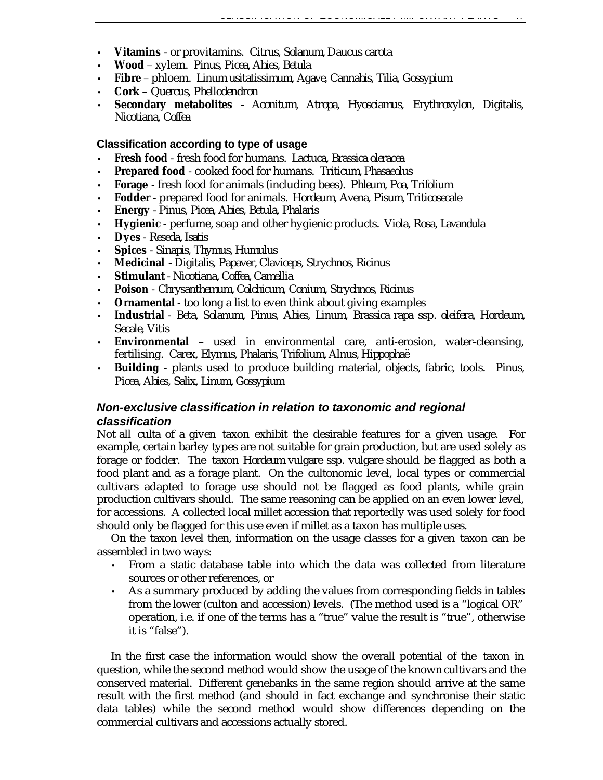- **Vitamins** or provitamins. *Citrus, Solanum, Daucus carota*
- **Wood** xylem. *Pinus, Picea, Abies, Betula*
- **Fibre** phloem. *Linum usitatissimum, Agave, Cannabis, Tilia, Gossypium*
- **Cork** *Quercus, Phellodendron*
- **Secondary metabolites** *Aconitum, Atropa, Hyosciamus, Erythroxylon, Digitalis, Nicotiana, Coffea*

#### **Classification according to type of usage**

- **Fresh food** fresh food for humans. *Lactuca, Brassica oleracea*
- **Prepared food** cooked food for humans. *Triticum, Phasaeolus*
- **Forage** fresh food for animals (including bees). *Phleum, Poa, Trifolium*
- **Fodder** prepared food for animals. *Hordeum, Avena, Pisum, Triticosecale*
- **Energy** *Pinus, Picea, Abies, Betula, Phalaris*
- **Hygienic** perfume, soap and other hygienic products. *Viola, Rosa, Lavandula*
- **Dyes** *Reseda, Isatis*
- **Spices** *Sinapis, Thymus, Humulus*
- **Medicinal** *Digitalis, Papaver, Claviceps, Strychnos, Ricinus*
- **Stimulant** *Nicotiana, Coffea, Camellia*
- **Poison** *Chrysanthemum, Colchicum, Conium, Strychnos, Ricinus*
- **Ornamental** too long a list to even think about giving examples
- **Industrial** *Beta, Solanum, Pinus, Abies, Linum, Brassica rapa* ssp*. oleifera, Hordeum, Secale, Vitis*
- **Environmental** used in environmental care, anti-erosion, water-cleansing, fertilising. *Carex, Elymus, Phalaris, Trifolium, Alnus, Hippophaë*
- **Building** plants used to produce building material, objects, fabric, tools. *Pinus, Picea, Abies, Salix, Linum, Gossypium*

## *Non-exclusive classification in relation to taxonomic and regional classification*

Not all culta of a given taxon exhibit the desirable features for a given usage. For example, certain barley types are not suitable for grain production, but are used solely as forage or fodder. The taxon *Hordeum vulgare* ssp. *vulgare* should be flagged as both a food plant and as a forage plant. On the cultonomic level, local types or commercial cultivars adapted to forage use should not be flagged as food plants, while grain production cultivars should. The same reasoning can be applied on an even lower level, for accessions. A collected local millet accession that reportedly was used solely for food should only be flagged for this use even if millet as a taxon has multiple uses.

On the taxon level then, information on the usage classes for a given taxon can be assembled in two ways:

- From a static database table into which the data was collected from literature sources or other references, or
- As a summary produced by adding the values from corresponding fields in tables from the lower (culton and accession) levels. (The method used is a "logical OR" operation, i.e. if one of the terms has a "true" value the result is "true", otherwise it is "false").

In the first case the information would show the overall potential of the taxon in question, while the second method would show the usage of the known cultivars and the conserved material. Different genebanks in the same region should arrive at the same result with the first method (and should in fact exchange and synchronise their static data tables) while the second method would show differences depending on the commercial cultivars and accessions actually stored.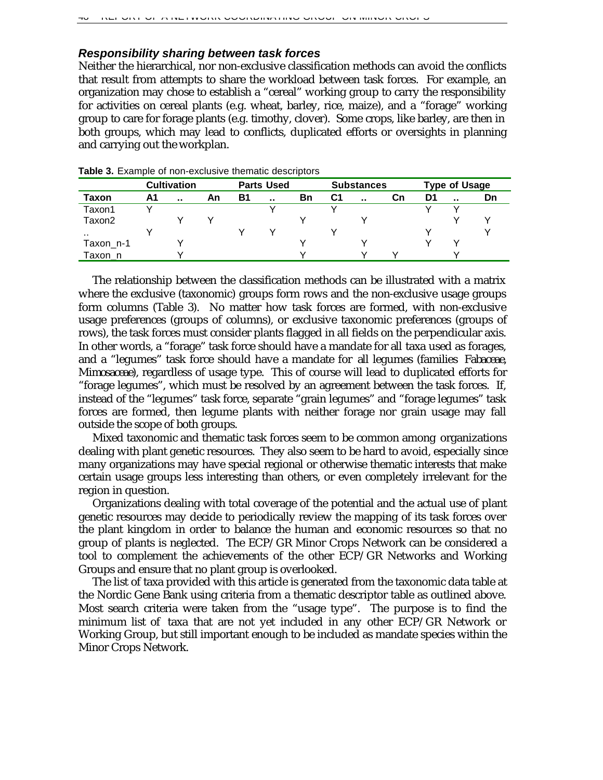## *Responsibility sharing between task forces*

Neither the hierarchical, nor non-exclusive classification methods can avoid the conflicts that result from attempts to share the workload between task forces. For example, an organization may chose to establish a "cereal" working group to carry the responsibility for activities on cereal plants (e.g. wheat, barley, rice, maize), and a "forage" working group to care for forage plants (e.g. timothy, clover). Some crops, like barley, are then in both groups, which may lead to conflicts, duplicated efforts or oversights in planning and carrying out the workplan.

|           |    | <b>Cultivation</b> |    |           | <b>Parts Used</b> |    |    | <b>Substances</b> |    |    | <b>Type of Usage</b> |    |
|-----------|----|--------------------|----|-----------|-------------------|----|----|-------------------|----|----|----------------------|----|
| Taxon     | Α1 | $\sim$             | An | <b>B1</b> |                   | Bn | C1 | $\sim$            | Сn | D1 | $\sim$               | Dn |
| Taxon1    |    |                    |    |           |                   |    |    |                   |    |    |                      |    |
| Taxon2    |    |                    |    |           |                   |    |    |                   |    |    |                      |    |
| . .       |    |                    |    |           |                   |    |    |                   |    |    |                      |    |
| Taxon_n-1 |    |                    |    |           |                   |    |    |                   |    |    |                      |    |
| Faxon n   |    |                    |    |           |                   |    |    |                   |    |    |                      |    |

**Table 3.** Example of non-exclusive thematic descriptors

The relationship between the classification methods can be illustrated with a matrix where the exclusive (taxonomic) groups form rows and the non-exclusive usage groups form columns (Table 3). No matter how task forces are formed, with non-exclusive usage preferences (groups of columns), or exclusive taxonomic preferences (groups of rows), the task forces must consider plants flagged in all fields on the perpendicular axis. In other words, a "forage" task force should have a mandate for *all* taxa used as forages, and a "legumes" task force should have a mandate for *all* legumes (families *Fabaceae*, *Mimosaceae*), regardless of usage type. This of course will lead to duplicated efforts for "forage legumes", which must be resolved by an agreement between the task forces. If, instead of the "legumes" task force, separate "grain legumes" and "forage legumes" task forces are formed, then legume plants with neither forage nor grain usage may fall outside the scope of both groups.

Mixed taxonomic and thematic task forces seem to be common among organizations dealing with plant genetic resources. They also seem to be hard to avoid, especially since many organizations may have special regional or otherwise thematic interests that make certain usage groups less interesting than others, or even completely irrelevant for the region in question.

Organizations dealing with total coverage of the potential and the actual use of plant genetic resources may decide to periodically review the mapping of its task forces over the plant kingdom in order to balance the human and economic resources so that no group of plants is neglected. The ECP/GR Minor Crops Network can be considered a tool to complement the achievements of the other ECP/GR Networks and Working Groups and ensure that no plant group is overlooked.

The list of taxa provided with this article is generated from the taxonomic data table at the Nordic Gene Bank using criteria from a thematic descriptor table as outlined above. Most search criteria were taken from the "usage type". The purpose is to find the minimum list of taxa that are not yet included in any other ECP/GR Network or Working Group, but still important enough to be included as mandate species within the Minor Crops Network.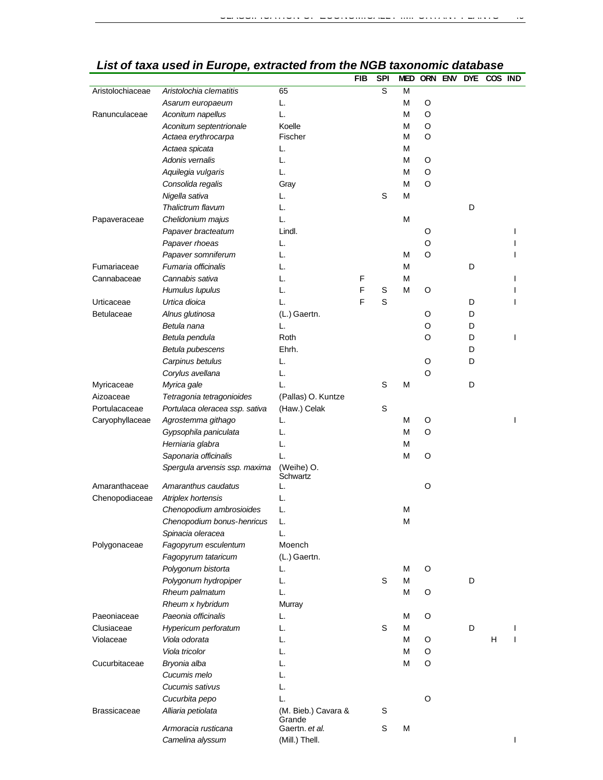|                     | List of taxa used in Lui Ope, extracted from the NOD taxonomic |                        | <b>FIB</b> | <b>SPI</b>     | <b>MED</b> |        | ORN ENV DYE COS IND |   | ualawas <del>c</del> |   |
|---------------------|----------------------------------------------------------------|------------------------|------------|----------------|------------|--------|---------------------|---|----------------------|---|
| Aristolochiaceae    | Aristolochia clematitis                                        | 65                     |            | $\overline{s}$ | M          |        |                     |   |                      |   |
|                     |                                                                | L.                     |            |                | M          | O      |                     |   |                      |   |
| Ranunculaceae       | Asarum europaeum<br>Aconitum napellus                          | L.                     |            |                | M          | O      |                     |   |                      |   |
|                     | Aconitum septentrionale                                        | Koelle                 |            |                | M          | O      |                     |   |                      |   |
|                     | Actaea erythrocarpa                                            | Fischer                |            |                | М          | O      |                     |   |                      |   |
|                     | Actaea spicata                                                 | L.                     |            |                | M          |        |                     |   |                      |   |
|                     | Adonis vernalis                                                | L.                     |            |                | M          | O      |                     |   |                      |   |
|                     | Aquilegia vulgaris                                             | L.                     |            |                | M          | O      |                     |   |                      |   |
|                     | Consolida regalis                                              | Gray                   |            |                | M          | O      |                     |   |                      |   |
|                     | Nigella sativa                                                 | L.                     |            | S              | M          |        |                     |   |                      |   |
|                     | Thalictrum flavum                                              | L.                     |            |                |            |        |                     | D |                      |   |
| Papaveraceae        | Chelidonium majus                                              | L.                     |            |                | M          |        |                     |   |                      |   |
|                     | Papaver bracteatum                                             | Lindl.                 |            |                |            | O      |                     |   |                      | I |
|                     | Papaver rhoeas                                                 | L.                     |            |                |            | O      |                     |   |                      |   |
|                     | Papaver somniferum                                             | L.                     |            |                | М          | O      |                     |   |                      | ı |
| Fumariaceae         | Fumaria officinalis                                            | L.                     |            |                | M          |        |                     | D |                      |   |
| Cannabaceae         | Cannabis sativa                                                | L.                     | F          |                | M          |        |                     |   |                      | I |
|                     | Humulus lupulus                                                | L.                     | F          | S              | M          | O      |                     |   |                      |   |
| Urticaceae          | Urtica dioica                                                  | L.                     | F          | $\mathsf S$    |            |        |                     | D |                      | I |
| <b>Betulaceae</b>   | Alnus glutinosa                                                | (L.) Gaertn.           |            |                |            | O      |                     | D |                      |   |
|                     | Betula nana                                                    | L.                     |            |                |            | O      |                     | D |                      |   |
|                     | Betula pendula                                                 | Roth                   |            |                |            | O      |                     | D |                      | I |
|                     | Betula pubescens                                               | Ehrh.                  |            |                |            |        |                     | D |                      |   |
|                     |                                                                | L.                     |            |                |            | O      |                     | D |                      |   |
|                     | Carpinus betulus<br>Corylus avellana                           | L.                     |            |                |            | O      |                     |   |                      |   |
|                     |                                                                | L.                     |            | S              | M          |        |                     | D |                      |   |
| Myricaceae          | Myrica gale                                                    |                        |            |                |            |        |                     |   |                      |   |
| Aizoaceae           | Tetragonia tetragonioides                                      | (Pallas) O. Kuntze     |            |                |            |        |                     |   |                      |   |
| Portulacaceae       | Portulaca oleracea ssp. sativa                                 | (Haw.) Celak           |            | S              | M          |        |                     |   |                      |   |
| Caryophyllaceae     | Agrostemma githago                                             | L.                     |            |                | M          | O<br>O |                     |   |                      | I |
|                     | Gypsophila paniculata                                          | L.                     |            |                |            |        |                     |   |                      |   |
|                     | Herniaria glabra                                               | L.                     |            |                | М          |        |                     |   |                      |   |
|                     | Saponaria officinalis                                          | L.                     |            |                | M          | O      |                     |   |                      |   |
|                     | Spergula arvensis ssp. maxima                                  | (Weihe) O.<br>Schwartz |            |                |            |        |                     |   |                      |   |
| Amaranthaceae       | Amaranthus caudatus                                            | L.                     |            |                |            | O      |                     |   |                      |   |
| Chenopodiaceae      | Atriplex hortensis                                             | L.                     |            |                |            |        |                     |   |                      |   |
|                     | Chenopodium ambrosioides                                       | L.                     |            |                | M          |        |                     |   |                      |   |
|                     | Chenopodium bonus-henricus                                     | L.                     |            |                | M          |        |                     |   |                      |   |
|                     | Spinacia oleracea                                              | L.                     |            |                |            |        |                     |   |                      |   |
| Polygonaceae        | Fagopyrum esculentum                                           | Moench                 |            |                |            |        |                     |   |                      |   |
|                     | Fagopyrum tataricum                                            | (L.) Gaertn.           |            |                |            |        |                     |   |                      |   |
|                     | Polygonum bistorta                                             | L.                     |            |                | M          | O      |                     |   |                      |   |
|                     | Polygonum hydropiper                                           | L.                     |            | S              | M          |        |                     | D |                      |   |
|                     | Rheum palmatum                                                 | L.                     |            |                | M          | O      |                     |   |                      |   |
|                     | Rheum x hybridum                                               | Murray                 |            |                |            |        |                     |   |                      |   |
| Paeoniaceae         | Paeonia officinalis                                            | L.                     |            |                | М          | O      |                     |   |                      |   |
| Clusiaceae          | Hypericum perforatum                                           | L.                     |            | S              | M          |        |                     | D |                      |   |
| Violaceae           | Viola odorata                                                  | L.                     |            |                | M          | O      |                     |   | H                    |   |
|                     | Viola tricolor                                                 | L.                     |            |                | M          | O      |                     |   |                      |   |
| Cucurbitaceae       | Bryonia alba                                                   | L.                     |            |                | M          | O      |                     |   |                      |   |
|                     | Cucumis melo                                                   | L.                     |            |                |            |        |                     |   |                      |   |
|                     | Cucumis sativus                                                | L.                     |            |                |            |        |                     |   |                      |   |
|                     | Cucurbita pepo                                                 | L.                     |            |                |            | O      |                     |   |                      |   |
| <b>Brassicaceae</b> | Alliaria petiolata                                             | (M. Bieb.) Cavara &    |            | S              |            |        |                     |   |                      |   |
|                     |                                                                | Grande                 |            |                |            |        |                     |   |                      |   |
|                     | Armoracia rusticana                                            | Gaertn. et al.         |            | S              | M          |        |                     |   |                      |   |
|                     | Camelina alyssum                                               | (Mill.) Thell.         |            |                |            |        |                     |   |                      |   |

# *List of taxa used in Europe, extracted from the NGB taxonomic database*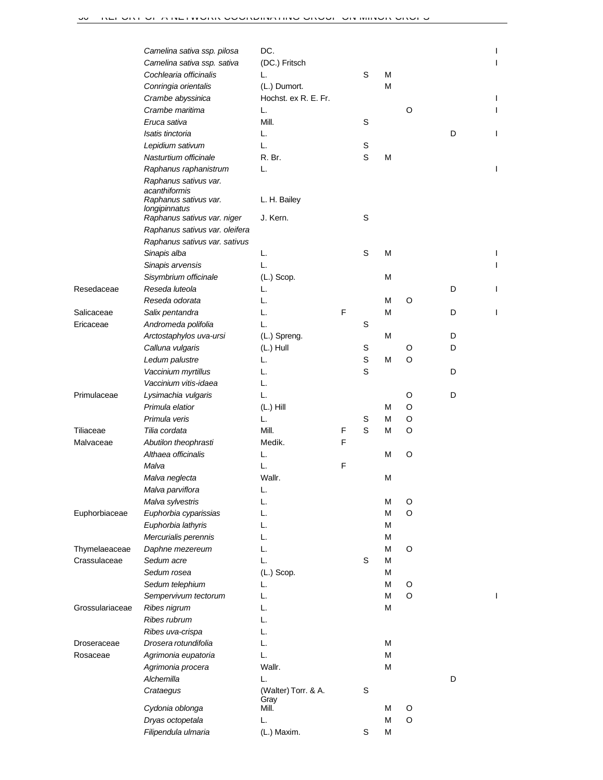|                 | Camelina sativa ssp. pilosa    | DC.                  |   |   |   |   |   |  |
|-----------------|--------------------------------|----------------------|---|---|---|---|---|--|
|                 | Camelina sativa ssp. sativa    | (DC.) Fritsch        |   |   |   |   |   |  |
|                 | Cochlearia officinalis         | L.                   |   | S | м |   |   |  |
|                 | Conringia orientalis           | (L.) Dumort.         |   |   | М |   |   |  |
|                 | Crambe abyssinica              | Hochst. ex R. E. Fr. |   |   |   |   |   |  |
|                 | Crambe maritima                | L.                   |   |   |   | O |   |  |
|                 | Eruca sativa                   | Mill.                |   | S |   |   |   |  |
|                 | Isatis tinctoria               | L.                   |   |   |   |   | D |  |
|                 | Lepidium sativum               | L.                   |   | S |   |   |   |  |
|                 | Nasturtium officinale          | R. Br.               |   | S | М |   |   |  |
|                 | Raphanus raphanistrum          | L.                   |   |   |   |   |   |  |
|                 | Raphanus sativus var.          |                      |   |   |   |   |   |  |
|                 | acanthiformis                  |                      |   |   |   |   |   |  |
|                 | Raphanus sativus var.          | L. H. Bailey         |   |   |   |   |   |  |
|                 | longipinnatus                  |                      |   |   |   |   |   |  |
|                 | Raphanus sativus var. niger    | J. Kern.             |   | S |   |   |   |  |
|                 | Raphanus sativus var. oleifera |                      |   |   |   |   |   |  |
|                 | Raphanus sativus var. sativus  |                      |   |   |   |   |   |  |
|                 | Sinapis alba                   | L.                   |   | S | м |   |   |  |
|                 | Sinapis arvensis               | L.                   |   |   |   |   |   |  |
|                 | Sisymbrium officinale          | $(L.)$ Scop.         |   |   | М |   |   |  |
| Resedaceae      | Reseda luteola                 | L.                   |   |   |   |   | D |  |
|                 | Reseda odorata                 | L.                   |   |   | м | O |   |  |
| Salicaceae      | Salix pentandra                | L.                   | F |   | м |   | D |  |
| Ericaceae       | Andromeda polifolia            | L.                   |   | S |   |   |   |  |
|                 | Arctostaphylos uva-ursi        | (L.) Spreng.         |   |   | м |   | D |  |
|                 | Calluna vulgaris               | (L.) Hull            |   | S |   | O | D |  |
|                 | Ledum palustre                 | L.                   |   | S | м | O |   |  |
|                 | Vaccinium myrtillus            | L.                   |   | S |   |   | D |  |
|                 | Vaccinium vitis-idaea          | L.                   |   |   |   |   |   |  |
| Primulaceae     | Lysimachia vulgaris            | L.                   |   |   |   | O | D |  |
|                 | Primula elatior                | $(L.)$ Hill          |   |   | м | O |   |  |
|                 | Primula veris                  | L.                   |   | S | м | O |   |  |
| Tiliaceae       | Tilia cordata                  | Mill.                | F | S | м | O |   |  |
| Malvaceae       | Abutilon theophrasti           | Medik.               | F |   |   |   |   |  |
|                 | Althaea officinalis            | L.                   |   |   | м | O |   |  |
|                 | Malva                          | L.                   | F |   |   |   |   |  |
|                 | Malva neglecta                 | Wallr.               |   |   | М |   |   |  |
|                 | Malva parviflora               | L.                   |   |   |   |   |   |  |
|                 | Malva sylvestris               | L.                   |   |   | М | O |   |  |
| Euphorbiaceae   | Euphorbia cyparissias          | L.                   |   |   | м | O |   |  |
|                 | Euphorbia lathyris             | L.                   |   |   | м |   |   |  |
|                 | Mercurialis perennis           | L.                   |   |   | м |   |   |  |
| Thymelaeaceae   | Daphne mezereum                | L.                   |   |   | М | O |   |  |
| Crassulaceae    | Sedum acre                     | L.                   |   | S | м |   |   |  |
|                 | Sedum rosea                    | $(L.)$ Scop.         |   |   | М |   |   |  |
|                 | Sedum telephium                | L.                   |   |   | м | O |   |  |
|                 | Sempervivum tectorum           | L.                   |   |   | м | O |   |  |
| Grossulariaceae | Ribes nigrum                   | L.                   |   |   | М |   |   |  |
|                 | Ribes rubrum                   | L.                   |   |   |   |   |   |  |
|                 | Ribes uva-crispa               | L.                   |   |   |   |   |   |  |
| Droseraceae     | Drosera rotundifolia           | L.                   |   |   | м |   |   |  |
| Rosaceae        | Agrimonia eupatoria            | L.                   |   |   | м |   |   |  |
|                 | Agrimonia procera              | Wallr.               |   |   | М |   |   |  |
|                 | Alchemilla                     | L.                   |   |   |   |   | D |  |
|                 | Crataegus                      | (Walter) Torr. & A.  |   | S |   |   |   |  |
|                 |                                | Gray                 |   |   |   |   |   |  |
|                 | Cydonia oblonga                | Mill.                |   |   | М | O |   |  |
|                 | Dryas octopetala               | L.                   |   |   | м | O |   |  |
|                 | Filipendula ulmaria            | (L.) Maxim.          |   | S | М |   |   |  |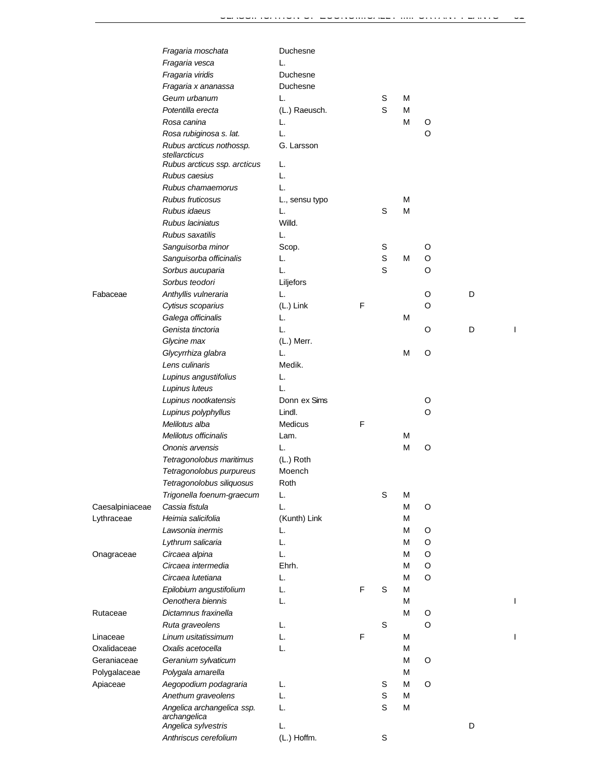|                 | Fragaria moschata                         | Duchesne       |   |   |   |   |   |  |
|-----------------|-------------------------------------------|----------------|---|---|---|---|---|--|
|                 | Fragaria vesca                            | L.             |   |   |   |   |   |  |
|                 | Fragaria viridis                          | Duchesne       |   |   |   |   |   |  |
|                 | Fragaria x ananassa                       | Duchesne       |   |   |   |   |   |  |
|                 | Geum urbanum                              | L.             |   | S | М |   |   |  |
|                 | Potentilla erecta                         | (L.) Raeusch.  |   | S | М |   |   |  |
|                 | Rosa canina                               | L.             |   |   | М | O |   |  |
|                 | Rosa rubiginosa s. lat.                   | L.             |   |   |   | O |   |  |
|                 | Rubus arcticus nothossp.<br>stellarcticus | G. Larsson     |   |   |   |   |   |  |
|                 | Rubus arcticus ssp. arcticus              | L.             |   |   |   |   |   |  |
|                 | Rubus caesius                             | L.             |   |   |   |   |   |  |
|                 | Rubus chamaemorus                         | L.             |   |   |   |   |   |  |
|                 | Rubus fruticosus                          | L., sensu typo |   |   | М |   |   |  |
|                 | Rubus idaeus                              | L.             |   | S | M |   |   |  |
|                 | Rubus laciniatus                          | Willd.         |   |   |   |   |   |  |
|                 | Rubus saxatilis                           | L.             |   |   |   |   |   |  |
|                 | Sanguisorba minor                         | Scop.          |   | S |   | O |   |  |
|                 | Sanguisorba officinalis                   | L.             |   | S | М | O |   |  |
|                 | Sorbus aucuparia                          | L.             |   | S |   | O |   |  |
|                 | Sorbus teodori                            | Liljefors      |   |   |   |   |   |  |
| Fabaceae        | Anthyllis vulneraria                      | L.             |   |   |   | O | D |  |
|                 | Cytisus scoparius                         | (L.) Link      | F |   |   | O |   |  |
|                 | Galega officinalis                        | L.             |   |   | М |   |   |  |
|                 | Genista tinctoria                         | L.             |   |   |   | O | D |  |
|                 | Glycine max                               | (L.) Merr.     |   |   |   |   |   |  |
|                 | Glycyrrhiza glabra                        | L.             |   |   | M | O |   |  |
|                 | Lens culinaris                            | Medik.         |   |   |   |   |   |  |
|                 | Lupinus angustifolius                     | L.             |   |   |   |   |   |  |
|                 | Lupinus luteus                            | L.             |   |   |   |   |   |  |
|                 | Lupinus nootkatensis                      | Donn ex Sims   |   |   |   | O |   |  |
|                 | Lupinus polyphyllus                       | Lindl.         |   |   |   | O |   |  |
|                 | Melilotus alba                            | Medicus        | F |   |   |   |   |  |
|                 | Melilotus officinalis                     | Lam.           |   |   | М |   |   |  |
|                 | Ononis arvensis                           | L.             |   |   | M | O |   |  |
|                 | Tetragonolobus maritimus                  | (L.) Roth      |   |   |   |   |   |  |
|                 | Tetragonolobus purpureus                  | Moench         |   |   |   |   |   |  |
|                 | Tetragonolobus siliquosus                 | Roth           |   |   |   |   |   |  |
|                 | Trigonella foenum-graecum                 | L.             |   | S | М |   |   |  |
| Caesalpiniaceae | Cassia fistula                            | L.             |   |   | М | O |   |  |
| Lythraceae      | Heimia salicifolia                        | (Kunth) Link   |   |   | М |   |   |  |
|                 | Lawsonia inermis                          | L.             |   |   | М | O |   |  |
|                 | Lythrum salicaria                         | L.             |   |   | М | O |   |  |
| Onagraceae      | Circaea alpina                            | L.             |   |   | М | O |   |  |
|                 | Circaea intermedia                        | Ehrh.          |   |   | М | O |   |  |
|                 | Circaea lutetiana                         | L.             |   |   | М | O |   |  |
|                 | Epilobium angustifolium                   | L.             | F | S | М |   |   |  |
|                 | Oenothera biennis                         | L.             |   |   | М |   |   |  |
| Rutaceae        | Dictamnus fraxinella                      |                |   |   | М | O |   |  |
|                 | Ruta graveolens                           | L.             |   | S |   | O |   |  |
| Linaceae        | Linum usitatissimum                       | L.             | F |   | М |   |   |  |
| Oxalidaceae     | Oxalis acetocella                         | L.             |   |   | М |   |   |  |
| Geraniaceae     | Geranium sylvaticum                       |                |   |   | М | O |   |  |
| Polygalaceae    | Polygala amarella                         |                |   |   | М |   |   |  |
| Apiaceae        | Aegopodium podagraria                     | L.             |   | S | М | O |   |  |
|                 | Anethum graveolens                        | L.             |   | S | M |   |   |  |
|                 | Angelica archangelica ssp.                | L.             |   | S | М |   |   |  |
|                 | archangelica                              |                |   |   |   |   |   |  |
|                 | Angelica sylvestris                       | L.             |   |   |   |   | D |  |
|                 | Anthriscus cerefolium                     | (L.) Hoffm.    |   | S |   |   |   |  |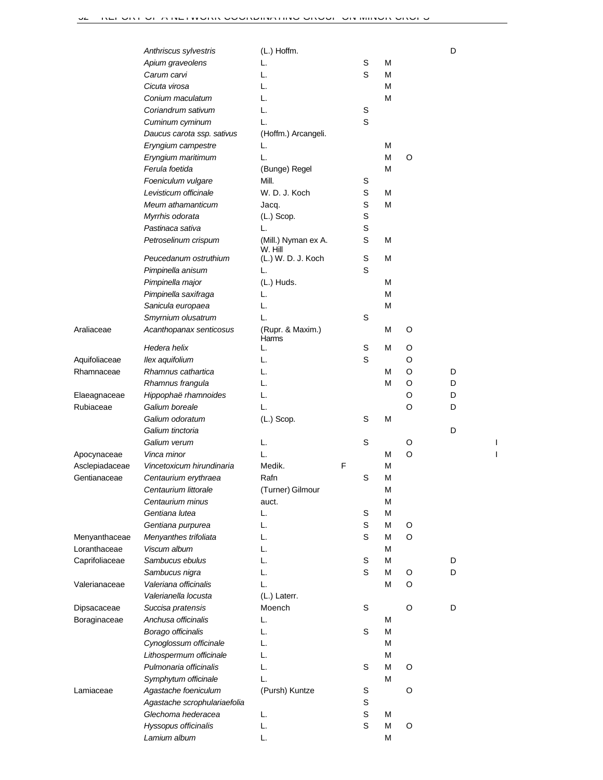|                | Anthriscus sylvestris        | (L.) Hoffm.                    |   |   |   |   | D |  |
|----------------|------------------------------|--------------------------------|---|---|---|---|---|--|
|                | Apium graveolens             | L.                             |   | S | M |   |   |  |
|                | Carum carvi                  | L.                             |   | S | M |   |   |  |
|                | Cicuta virosa                | L.                             |   |   | M |   |   |  |
|                | Conium maculatum             | L.                             |   |   | M |   |   |  |
|                | Coriandrum sativum           | L.                             |   | S |   |   |   |  |
|                | Cuminum cyminum              | L.                             |   | S |   |   |   |  |
|                | Daucus carota ssp. sativus   | (Hoffm.) Arcangeli.            |   |   |   |   |   |  |
|                | Eryngium campestre           | L.                             |   |   | M |   |   |  |
|                | Eryngium maritimum           | L.                             |   |   | M | O |   |  |
|                | Ferula foetida               | (Bunge) Regel                  |   |   | M |   |   |  |
|                | Foeniculum vulgare           | Mill.                          |   | S |   |   |   |  |
|                |                              |                                |   |   |   |   |   |  |
|                | Levisticum officinale        | W. D. J. Koch                  |   | S | M |   |   |  |
|                | Meum athamanticum            | Jacq.                          |   | S | M |   |   |  |
|                | Myrrhis odorata              | $(L.)$ Scop.                   |   | S |   |   |   |  |
|                | Pastinaca sativa             | L.                             |   | S |   |   |   |  |
|                | Petroselinum crispum         | (Mill.) Nyman ex A.<br>W. Hill |   | S | M |   |   |  |
|                | Peucedanum ostruthium        | (L.) W. D. J. Koch             |   | S | M |   |   |  |
|                | Pimpinella anisum            | L.                             |   | S |   |   |   |  |
|                | Pimpinella major             | (L.) Huds.                     |   |   | M |   |   |  |
|                | Pimpinella saxifraga         | L.                             |   |   | M |   |   |  |
|                | Sanicula europaea            | L.                             |   |   | M |   |   |  |
|                | Smyrnium olusatrum           | L.                             |   | S |   |   |   |  |
| Araliaceae     | Acanthopanax senticosus      | (Rupr. & Maxim.)<br>Harms      |   |   | M | O |   |  |
|                | Hedera helix                 | L.                             |   | S | M | O |   |  |
| Aquifoliaceae  | llex aquifolium              | L.                             |   | S |   | O |   |  |
| Rhamnaceae     | Rhamnus cathartica           | L.                             |   |   | М | O | D |  |
|                | Rhamnus frangula             | L.                             |   |   | М | O | D |  |
| Elaeagnaceae   | Hippophaë rhamnoides         | L.                             |   |   |   | O | D |  |
| Rubiaceae      | Galium boreale               | L.                             |   |   |   | O | D |  |
|                | Galium odoratum              | $(L.)$ Scop.                   |   | S | М |   |   |  |
|                | Galium tinctoria             |                                |   |   |   |   | D |  |
|                | Galium verum                 | L.                             |   | S |   | O |   |  |
| Apocynaceae    | Vinca minor                  | L.                             |   |   | М | O |   |  |
| Asclepiadaceae | Vincetoxicum hirundinaria    | Medik.                         | F |   | M |   |   |  |
| Gentianaceae   | Centaurium erythraea         | Rafn                           |   | S | M |   |   |  |
|                | Centaurium littorale         | (Turner) Gilmour               |   |   | M |   |   |  |
|                |                              |                                |   |   |   |   |   |  |
|                | Centaurium minus             | auct.                          |   |   | M |   |   |  |
|                | Gentiana lutea               | L.                             |   | S | M |   |   |  |
|                | Gentiana purpurea            | L.                             |   | S | M | O |   |  |
| Menyanthaceae  | Menyanthes trifoliata        | L.                             |   | S | M | O |   |  |
| Loranthaceae   | Viscum album                 | L.                             |   |   | M |   |   |  |
| Caprifoliaceae | Sambucus ebulus              | L.                             |   | S | M |   | D |  |
|                | Sambucus nigra               | L.                             |   | S | M | O | D |  |
| Valerianaceae  | Valeriana officinalis        | L.                             |   |   | M | O |   |  |
|                | Valerianella locusta         | (L.) Laterr.                   |   |   |   |   |   |  |
| Dipsacaceae    | Succisa pratensis            | Moench                         |   | S |   | O | D |  |
| Boraginaceae   | Anchusa officinalis          | L.                             |   |   | М |   |   |  |
|                | Borago officinalis           | L.                             |   | S | M |   |   |  |
|                | Cynoglossum officinale       | L.                             |   |   | M |   |   |  |
|                | Lithospermum officinale      | L.                             |   |   | M |   |   |  |
|                | Pulmonaria officinalis       | L.                             |   | S | M | O |   |  |
|                | Symphytum officinale         | L.                             |   |   | M |   |   |  |
| Lamiaceae      | Agastache foeniculum         | (Pursh) Kuntze                 |   | S |   | O |   |  |
|                | Agastache scrophulariaefolia |                                |   | S |   |   |   |  |
|                | Glechoma hederacea           | L.                             |   | S | M |   |   |  |
|                |                              |                                |   | S |   | O |   |  |
|                | Hyssopus officinalis         | L.                             |   |   | M |   |   |  |
|                | Lamium album                 | L.                             |   |   | M |   |   |  |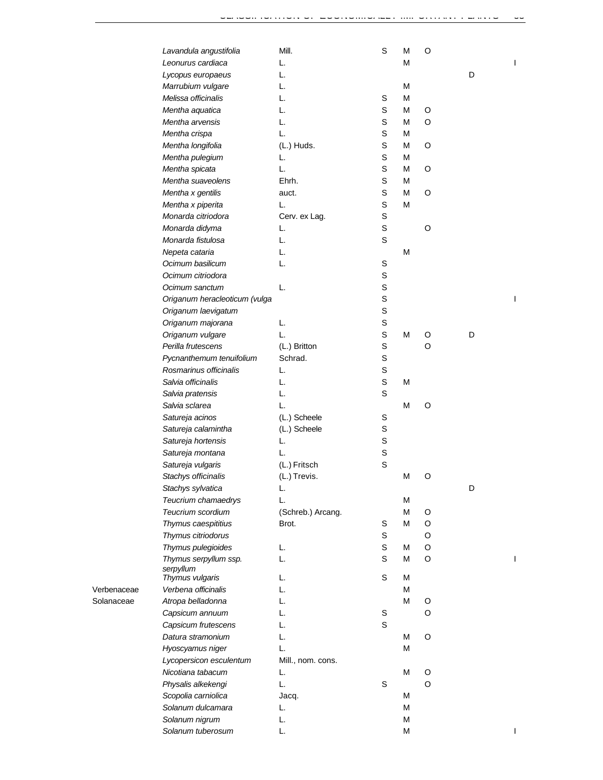|                                              | O |   |  |
|----------------------------------------------|---|---|--|
| Leonurus cardiaca<br>L.<br>M                 |   |   |  |
| L.<br>Lycopus europaeus                      |   | D |  |
| Marrubium vulgare<br>L.<br>M                 |   |   |  |
| Melissa officinalis<br>L.<br>S<br>M          |   |   |  |
| Mentha aquatica<br>L.<br>S<br>M              | O |   |  |
| Mentha arvensis<br>L.<br>S<br>M              | O |   |  |
| S<br>Mentha crispa<br>L.<br>М                |   |   |  |
| S<br>Mentha longifolia<br>(L.) Huds.<br>М    | O |   |  |
| S<br>Mentha pulegium<br>L.<br>М              |   |   |  |
| S<br>Mentha spicata<br>L.<br>М               | O |   |  |
| Mentha suaveolens<br>S<br>Ehrh.<br>М         |   |   |  |
| S<br>Mentha x gentilis<br>M<br>auct.         | O |   |  |
| S<br>Mentha x piperita<br>L.<br>M            |   |   |  |
| Monarda citriodora<br>S<br>Cerv. ex Lag.     |   |   |  |
| S<br>Monarda didyma<br>L.                    | O |   |  |
| Monarda fistulosa<br>S<br>L.                 |   |   |  |
| L.<br>M<br>Nepeta cataria                    |   |   |  |
| Ocimum basilicum<br>L.<br>S                  |   |   |  |
| S<br>Ocimum citriodora                       |   |   |  |
| S<br>Ocimum sanctum<br>L.                    |   |   |  |
| S<br>Origanum heracleoticum (vulga           |   |   |  |
| S<br>Origanum laevigatum                     |   |   |  |
| S<br>Origanum majorana<br>L.                 |   |   |  |
| L.<br>S<br>Origanum vulgare<br>M             | O | D |  |
| S<br>Perilla frutescens<br>(L.) Britton      | O |   |  |
| S<br>Schrad.                                 |   |   |  |
| Pycnanthemum tenuifolium                     |   |   |  |
| S<br>Rosmarinus officinalis<br>L.            |   |   |  |
| S<br>Salvia officinalis<br>L.<br>M           |   |   |  |
| S<br>Salvia pratensis<br>L.                  |   |   |  |
| Salvia sclarea<br>L.<br>M                    | O |   |  |
| Satureja acinos<br>(L.) Scheele<br>S         |   |   |  |
| Satureja calamintha<br>(L.) Scheele<br>S     |   |   |  |
| S<br>Satureja hortensis<br>L.                |   |   |  |
| S<br>Satureja montana<br>L.                  |   |   |  |
| (L.) Fritsch<br>S<br>Satureja vulgaris       |   |   |  |
| Stachys officinalis<br>(L.) Trevis.<br>M     | O |   |  |
| Stachys sylvatica<br>L.                      |   | D |  |
| Teucrium chamaedrys<br>M<br>L.               |   |   |  |
| Teucrium scordium<br>M<br>(Schreb.) Arcang.  | O |   |  |
| S<br>M<br>Thymus caespititius<br>Brot.       | O |   |  |
| Thymus citriodorus<br>S                      | O |   |  |
| S<br>Thymus pulegioides<br>L.<br>М           | O |   |  |
| S<br>Thymus serpyllum ssp.<br>L.<br>М        | O |   |  |
| serpyllum<br>S<br>L.                         |   |   |  |
| Thymus vulgaris<br>М<br>L.<br>M              |   |   |  |
| Verbena officinalis                          |   |   |  |
| L.<br>M<br>Atropa belladonna                 | O |   |  |
| L.<br>S<br>Capsicum annuum                   | O |   |  |
| S<br>L.<br>Capsicum frutescens               |   |   |  |
| L.<br>Datura stramonium<br>М                 | O |   |  |
| L.<br>M<br>Hyoscyamus niger                  |   |   |  |
| Lycopersicon esculentum<br>Mill., nom. cons. |   |   |  |
| M<br>Nicotiana tabacum<br>L.                 | O |   |  |
| S<br>L.<br>Physalis alkekengi                | O |   |  |
| Scopolia carniolica<br>M<br>Jacq.            |   |   |  |
| Solanum dulcamara<br>M<br>L.                 |   |   |  |
|                                              |   |   |  |
| M<br>Solanum nigrum<br>L.                    |   |   |  |

Verbenaceae *Verbena officinalis* L. M

Solanaceae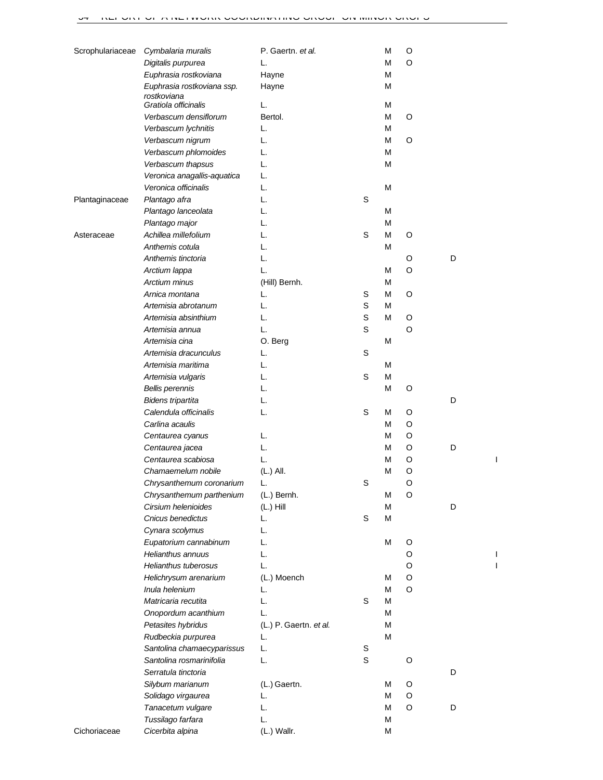| Scrophulariaceae | Cymbalaria muralis          | P. Gaertn. et al.      |             | M | O |   |  |
|------------------|-----------------------------|------------------------|-------------|---|---|---|--|
|                  | Digitalis purpurea          | L.                     |             | M | O |   |  |
|                  | Euphrasia rostkoviana       | Hayne                  |             | M |   |   |  |
|                  | Euphrasia rostkoviana ssp.  | Hayne                  |             | M |   |   |  |
|                  | rostkoviana                 |                        |             |   |   |   |  |
|                  | Gratiola officinalis        | L.                     |             | M |   |   |  |
|                  | Verbascum densiflorum       | Bertol.                |             | M | O |   |  |
|                  | Verbascum lychnitis         | L.                     |             | M |   |   |  |
|                  | Verbascum nigrum            | L.                     |             | M | O |   |  |
|                  | Verbascum phlomoides        | L.                     |             | M |   |   |  |
|                  | Verbascum thapsus           | L.                     |             | M |   |   |  |
|                  | Veronica anagallis-aquatica | L.                     |             |   |   |   |  |
|                  | Veronica officinalis        | L.                     |             | M |   |   |  |
| Plantaginaceae   | Plantago afra               | L.                     | S           |   |   |   |  |
|                  | Plantago lanceolata         | L.                     |             | M |   |   |  |
|                  | Plantago major              | L.                     |             | M |   |   |  |
| Asteraceae       | Achillea millefolium        | L.                     | $\mathbb S$ | M | O |   |  |
|                  | Anthemis cotula             | L.                     |             | M |   |   |  |
|                  | Anthemis tinctoria          | L.                     |             |   | O | D |  |
|                  | Arctium lappa               | L.                     |             | M | O |   |  |
|                  | Arctium minus               | (Hill) Bernh.          |             | M |   |   |  |
|                  | Arnica montana              | L.                     | S           | M | O |   |  |
|                  | Artemisia abrotanum         | L.                     | S           | M |   |   |  |
|                  | Artemisia absinthium        | L.                     | S           | M | O |   |  |
|                  | Artemisia annua             | L.                     | S           |   | O |   |  |
|                  | Artemisia cina              | O. Berg                |             | M |   |   |  |
|                  | Artemisia dracunculus       | L.                     | S           |   |   |   |  |
|                  | Artemisia maritima          | L.                     |             | M |   |   |  |
|                  | Artemisia vulgaris          | L.                     | $\mathbb S$ | M |   |   |  |
|                  | <b>Bellis perennis</b>      | L.                     |             | M | O |   |  |
|                  | <b>Bidens tripartita</b>    | L.                     |             |   |   | D |  |
|                  | Calendula officinalis       | L.                     | S           | M | O |   |  |
|                  | Carlina acaulis             |                        |             | M | O |   |  |
|                  | Centaurea cyanus            | L.                     |             | M | O |   |  |
|                  | Centaurea jacea             | L.                     |             | М | O | D |  |
|                  | Centaurea scabiosa          | L.                     |             | М | O |   |  |
|                  | Chamaemelum nobile          | (L.) All.              |             | M | O |   |  |
|                  | Chrysanthemum coronarium    | L.                     | S           |   | O |   |  |
|                  | Chrysanthemum parthenium    | (L.) Bernh.            |             | M | O |   |  |
|                  | Cirsium helenioides         | $(L.)$ Hill            |             | M |   | D |  |
|                  | Cnicus benedictus           | L.                     | S           | M |   |   |  |
|                  | Cynara scolymus             | L.                     |             |   |   |   |  |
|                  | Eupatorium cannabinum       | L.                     |             | M | O |   |  |
|                  | Helianthus annuus           | L.                     |             |   | O |   |  |
|                  | Helianthus tuberosus        | L.                     |             |   | O |   |  |
|                  | Helichrysum arenarium       | (L.) Moench            |             | м | O |   |  |
|                  | Inula helenium              | L.                     |             | M | O |   |  |
|                  | Matricaria recutita         | L.                     | S           | M |   |   |  |
|                  | Onopordum acanthium         | L.                     |             | M |   |   |  |
|                  | Petasites hybridus          | (L.) P. Gaertn. et al. |             | M |   |   |  |
|                  | Rudbeckia purpurea          | L.                     |             | M |   |   |  |
|                  | Santolina chamaecyparissus  | L.                     | $\mathbb S$ |   |   |   |  |
|                  | Santolina rosmarinifolia    | L.                     | $\mathbb S$ |   | O |   |  |
|                  | Serratula tinctoria         |                        |             |   |   | D |  |
|                  | Silybum marianum            | (L.) Gaertn.           |             | м | O |   |  |
|                  | Solidago virgaurea          | L.                     |             | M | O |   |  |
|                  | Tanacetum vulgare           | L.                     |             | M | O | D |  |
|                  | Tussilago farfara           | L.                     |             | M |   |   |  |
| Cichoriaceae     | Cicerbita alpina            | (L.) Wallr.            |             | M |   |   |  |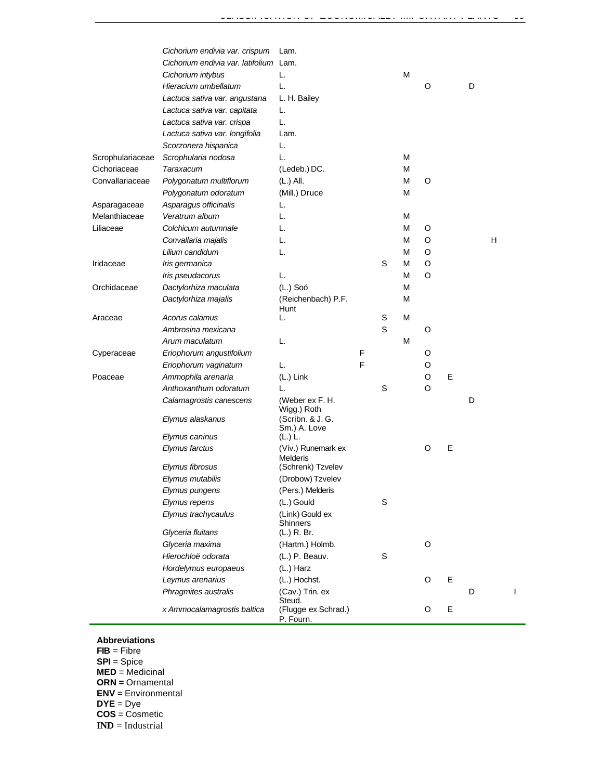| Cichorium endivia var. latifolium Lam.<br>M<br>Cichorium intybus<br>L.<br>Hieracium umbellatum<br>L.<br>O<br>D<br>L. H. Bailey<br>Lactuca sativa var. angustana<br>Lactuca sativa var. capitata<br>L.<br>L.<br>Lactuca sativa var. crispa<br>Lactuca sativa var. longifolia<br>Lam.<br>Scorzonera hispanica<br>L.<br>Scrophulariaceae<br>Scrophularia nodosa<br>L.<br>М<br>Cichoriaceae<br>(Ledeb.) DC.<br>М<br>Taraxacum<br>Convallariaceae<br>Polygonatum multiflorum<br>(L.) All.<br>М<br>O<br>Polygonatum odoratum<br>(Mill.) Druce<br>М<br>Asparagus officinalis<br>Asparagaceae<br>L.<br>Melanthiaceae<br>Veratrum album<br>М<br>L.<br>Liliaceae<br>Colchicum autumnale<br>М<br>O<br>L.<br>Convallaria majalis<br>М<br>O<br>L.<br>Lilium candidum<br>М<br>O<br>L.<br>S<br>М<br>O<br>Iridaceae<br>Iris germanica<br>М<br>O<br>Iris pseudacorus<br>L.<br>$(L.)$ Soó<br>Orchidaceae<br>Dactylorhiza maculata<br>М<br>Dactylorhiza majalis<br>(Reichenbach) P.F.<br>М<br>Hunt<br>M<br>Acorus calamus<br>S<br>Araceae<br>L.<br>S<br>Ambrosina mexicana<br>O<br>M<br>Arum maculatum<br>L.<br>Cyperaceae<br>Eriophorum angustifolium<br>F<br>O<br>F<br>Eriophorum vaginatum<br>O<br>L.<br>E<br>Poaceae<br>Ammophila arenaria<br>O<br>(L.) Link<br>S<br>Anthoxanthum odoratum<br>O<br>L.<br>(Weber ex F. H.<br>D<br>Calamagrostis canescens<br>Wigg.) Roth<br>Elymus alaskanus<br>(Scribn. & J. G. | н |
|--------------------------------------------------------------------------------------------------------------------------------------------------------------------------------------------------------------------------------------------------------------------------------------------------------------------------------------------------------------------------------------------------------------------------------------------------------------------------------------------------------------------------------------------------------------------------------------------------------------------------------------------------------------------------------------------------------------------------------------------------------------------------------------------------------------------------------------------------------------------------------------------------------------------------------------------------------------------------------------------------------------------------------------------------------------------------------------------------------------------------------------------------------------------------------------------------------------------------------------------------------------------------------------------------------------------------------------------------------------------------------------------------|---|
|                                                                                                                                                                                                                                                                                                                                                                                                                                                                                                                                                                                                                                                                                                                                                                                                                                                                                                                                                                                                                                                                                                                                                                                                                                                                                                                                                                                                  |   |
|                                                                                                                                                                                                                                                                                                                                                                                                                                                                                                                                                                                                                                                                                                                                                                                                                                                                                                                                                                                                                                                                                                                                                                                                                                                                                                                                                                                                  |   |
|                                                                                                                                                                                                                                                                                                                                                                                                                                                                                                                                                                                                                                                                                                                                                                                                                                                                                                                                                                                                                                                                                                                                                                                                                                                                                                                                                                                                  |   |
|                                                                                                                                                                                                                                                                                                                                                                                                                                                                                                                                                                                                                                                                                                                                                                                                                                                                                                                                                                                                                                                                                                                                                                                                                                                                                                                                                                                                  |   |
|                                                                                                                                                                                                                                                                                                                                                                                                                                                                                                                                                                                                                                                                                                                                                                                                                                                                                                                                                                                                                                                                                                                                                                                                                                                                                                                                                                                                  |   |
|                                                                                                                                                                                                                                                                                                                                                                                                                                                                                                                                                                                                                                                                                                                                                                                                                                                                                                                                                                                                                                                                                                                                                                                                                                                                                                                                                                                                  |   |
|                                                                                                                                                                                                                                                                                                                                                                                                                                                                                                                                                                                                                                                                                                                                                                                                                                                                                                                                                                                                                                                                                                                                                                                                                                                                                                                                                                                                  |   |
|                                                                                                                                                                                                                                                                                                                                                                                                                                                                                                                                                                                                                                                                                                                                                                                                                                                                                                                                                                                                                                                                                                                                                                                                                                                                                                                                                                                                  |   |
|                                                                                                                                                                                                                                                                                                                                                                                                                                                                                                                                                                                                                                                                                                                                                                                                                                                                                                                                                                                                                                                                                                                                                                                                                                                                                                                                                                                                  |   |
|                                                                                                                                                                                                                                                                                                                                                                                                                                                                                                                                                                                                                                                                                                                                                                                                                                                                                                                                                                                                                                                                                                                                                                                                                                                                                                                                                                                                  |   |
|                                                                                                                                                                                                                                                                                                                                                                                                                                                                                                                                                                                                                                                                                                                                                                                                                                                                                                                                                                                                                                                                                                                                                                                                                                                                                                                                                                                                  |   |
|                                                                                                                                                                                                                                                                                                                                                                                                                                                                                                                                                                                                                                                                                                                                                                                                                                                                                                                                                                                                                                                                                                                                                                                                                                                                                                                                                                                                  |   |
|                                                                                                                                                                                                                                                                                                                                                                                                                                                                                                                                                                                                                                                                                                                                                                                                                                                                                                                                                                                                                                                                                                                                                                                                                                                                                                                                                                                                  |   |
|                                                                                                                                                                                                                                                                                                                                                                                                                                                                                                                                                                                                                                                                                                                                                                                                                                                                                                                                                                                                                                                                                                                                                                                                                                                                                                                                                                                                  |   |
|                                                                                                                                                                                                                                                                                                                                                                                                                                                                                                                                                                                                                                                                                                                                                                                                                                                                                                                                                                                                                                                                                                                                                                                                                                                                                                                                                                                                  |   |
|                                                                                                                                                                                                                                                                                                                                                                                                                                                                                                                                                                                                                                                                                                                                                                                                                                                                                                                                                                                                                                                                                                                                                                                                                                                                                                                                                                                                  |   |
|                                                                                                                                                                                                                                                                                                                                                                                                                                                                                                                                                                                                                                                                                                                                                                                                                                                                                                                                                                                                                                                                                                                                                                                                                                                                                                                                                                                                  |   |
|                                                                                                                                                                                                                                                                                                                                                                                                                                                                                                                                                                                                                                                                                                                                                                                                                                                                                                                                                                                                                                                                                                                                                                                                                                                                                                                                                                                                  |   |
|                                                                                                                                                                                                                                                                                                                                                                                                                                                                                                                                                                                                                                                                                                                                                                                                                                                                                                                                                                                                                                                                                                                                                                                                                                                                                                                                                                                                  |   |
|                                                                                                                                                                                                                                                                                                                                                                                                                                                                                                                                                                                                                                                                                                                                                                                                                                                                                                                                                                                                                                                                                                                                                                                                                                                                                                                                                                                                  |   |
|                                                                                                                                                                                                                                                                                                                                                                                                                                                                                                                                                                                                                                                                                                                                                                                                                                                                                                                                                                                                                                                                                                                                                                                                                                                                                                                                                                                                  |   |
|                                                                                                                                                                                                                                                                                                                                                                                                                                                                                                                                                                                                                                                                                                                                                                                                                                                                                                                                                                                                                                                                                                                                                                                                                                                                                                                                                                                                  |   |
|                                                                                                                                                                                                                                                                                                                                                                                                                                                                                                                                                                                                                                                                                                                                                                                                                                                                                                                                                                                                                                                                                                                                                                                                                                                                                                                                                                                                  |   |
|                                                                                                                                                                                                                                                                                                                                                                                                                                                                                                                                                                                                                                                                                                                                                                                                                                                                                                                                                                                                                                                                                                                                                                                                                                                                                                                                                                                                  |   |
|                                                                                                                                                                                                                                                                                                                                                                                                                                                                                                                                                                                                                                                                                                                                                                                                                                                                                                                                                                                                                                                                                                                                                                                                                                                                                                                                                                                                  |   |
|                                                                                                                                                                                                                                                                                                                                                                                                                                                                                                                                                                                                                                                                                                                                                                                                                                                                                                                                                                                                                                                                                                                                                                                                                                                                                                                                                                                                  |   |
|                                                                                                                                                                                                                                                                                                                                                                                                                                                                                                                                                                                                                                                                                                                                                                                                                                                                                                                                                                                                                                                                                                                                                                                                                                                                                                                                                                                                  |   |
|                                                                                                                                                                                                                                                                                                                                                                                                                                                                                                                                                                                                                                                                                                                                                                                                                                                                                                                                                                                                                                                                                                                                                                                                                                                                                                                                                                                                  |   |
|                                                                                                                                                                                                                                                                                                                                                                                                                                                                                                                                                                                                                                                                                                                                                                                                                                                                                                                                                                                                                                                                                                                                                                                                                                                                                                                                                                                                  |   |
|                                                                                                                                                                                                                                                                                                                                                                                                                                                                                                                                                                                                                                                                                                                                                                                                                                                                                                                                                                                                                                                                                                                                                                                                                                                                                                                                                                                                  |   |
| Sm.) A. Love                                                                                                                                                                                                                                                                                                                                                                                                                                                                                                                                                                                                                                                                                                                                                                                                                                                                                                                                                                                                                                                                                                                                                                                                                                                                                                                                                                                     |   |
| Elymus caninus<br>(L.) L.<br>E                                                                                                                                                                                                                                                                                                                                                                                                                                                                                                                                                                                                                                                                                                                                                                                                                                                                                                                                                                                                                                                                                                                                                                                                                                                                                                                                                                   |   |
| Elymus farctus<br>(Viv.) Runemark ex<br>O<br>Melderis                                                                                                                                                                                                                                                                                                                                                                                                                                                                                                                                                                                                                                                                                                                                                                                                                                                                                                                                                                                                                                                                                                                                                                                                                                                                                                                                            |   |
| Elymus fibrosus<br>(Schrenk) Tzvelev                                                                                                                                                                                                                                                                                                                                                                                                                                                                                                                                                                                                                                                                                                                                                                                                                                                                                                                                                                                                                                                                                                                                                                                                                                                                                                                                                             |   |
| Elymus mutabilis<br>(Drobow) Tzvelev                                                                                                                                                                                                                                                                                                                                                                                                                                                                                                                                                                                                                                                                                                                                                                                                                                                                                                                                                                                                                                                                                                                                                                                                                                                                                                                                                             |   |
| (Pers.) Melderis<br>Elymus pungens                                                                                                                                                                                                                                                                                                                                                                                                                                                                                                                                                                                                                                                                                                                                                                                                                                                                                                                                                                                                                                                                                                                                                                                                                                                                                                                                                               |   |
| S<br>Elymus repens<br>(L.) Gould                                                                                                                                                                                                                                                                                                                                                                                                                                                                                                                                                                                                                                                                                                                                                                                                                                                                                                                                                                                                                                                                                                                                                                                                                                                                                                                                                                 |   |
| Elymus trachycaulus<br>(Link) Gould ex<br>Shinners                                                                                                                                                                                                                                                                                                                                                                                                                                                                                                                                                                                                                                                                                                                                                                                                                                                                                                                                                                                                                                                                                                                                                                                                                                                                                                                                               |   |
| Glyceria fluitans<br>(L.) R. Br.                                                                                                                                                                                                                                                                                                                                                                                                                                                                                                                                                                                                                                                                                                                                                                                                                                                                                                                                                                                                                                                                                                                                                                                                                                                                                                                                                                 |   |
| O<br>Glyceria maxima<br>(Hartm.) Holmb.                                                                                                                                                                                                                                                                                                                                                                                                                                                                                                                                                                                                                                                                                                                                                                                                                                                                                                                                                                                                                                                                                                                                                                                                                                                                                                                                                          |   |
| Hierochloë odorata<br>S<br>(L.) P. Beauv.                                                                                                                                                                                                                                                                                                                                                                                                                                                                                                                                                                                                                                                                                                                                                                                                                                                                                                                                                                                                                                                                                                                                                                                                                                                                                                                                                        |   |
| Hordelymus europaeus<br>(L.) Harz                                                                                                                                                                                                                                                                                                                                                                                                                                                                                                                                                                                                                                                                                                                                                                                                                                                                                                                                                                                                                                                                                                                                                                                                                                                                                                                                                                |   |
| Ε<br>Leymus arenarius<br>(L.) Hochst.<br>O                                                                                                                                                                                                                                                                                                                                                                                                                                                                                                                                                                                                                                                                                                                                                                                                                                                                                                                                                                                                                                                                                                                                                                                                                                                                                                                                                       |   |
| Phragmites australis<br>(Cav.) Trin. ex<br>D<br>Steud.                                                                                                                                                                                                                                                                                                                                                                                                                                                                                                                                                                                                                                                                                                                                                                                                                                                                                                                                                                                                                                                                                                                                                                                                                                                                                                                                           | L |
| Ε<br>x Ammocalamagrostis baltica<br>(Flugge ex Schrad.)<br>O<br>P. Fourn.                                                                                                                                                                                                                                                                                                                                                                                                                                                                                                                                                                                                                                                                                                                                                                                                                                                                                                                                                                                                                                                                                                                                                                                                                                                                                                                        |   |

## **Abbreviations**

- **FIB** = Fibre
- **SPI** = Spice
- **MED** = Medicinal
- **ORN =** Ornamental
- **ENV** = Environmental
- **DYE** = Dye
- **COS** = Cosmetic
- **IND** = Industrial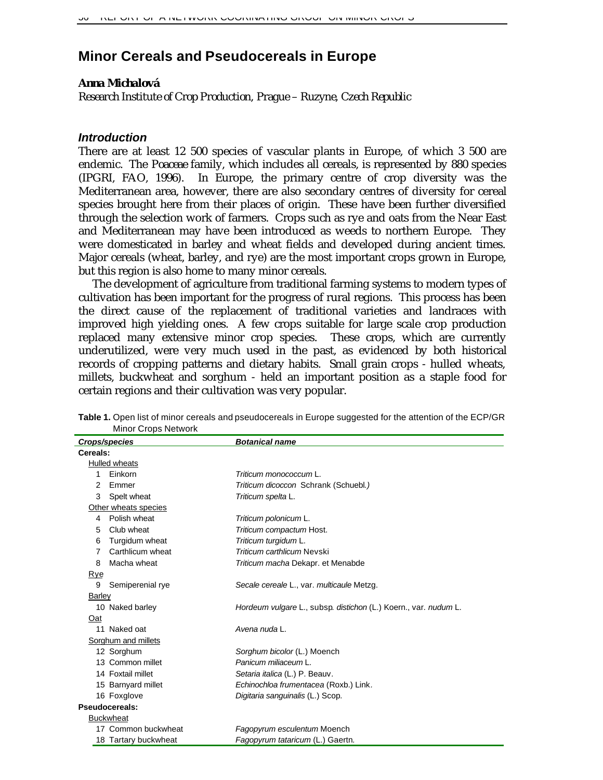# **Minor Cereals and Pseudocereals in Europe**

#### *Anna Michalová*

*Research Institute of Crop Production, Prague – Ruzyne, Czech Republic*

### *Introduction*

There are at least 12 500 species of vascular plants in Europe, of which 3 500 are endemic. The *Poaceae* family, which includes all cereals, is represented by 880 species (IPGRI, FAO, 1996). In Europe, the primary centre of crop diversity was the Mediterranean area, however, there are also secondary centres of diversity for cereal species brought here from their places of origin. These have been further diversified through the selection work of farmers. Crops such as rye and oats from the Near East and Mediterranean may have been introduced as weeds to northern Europe. They were domesticated in barley and wheat fields and developed during ancient times. Major cereals (wheat, barley, and rye) are the most important crops grown in Europe, but this region is also home to many minor cereals.

The development of agriculture from traditional farming systems to modern types of cultivation has been important for the progress of rural regions. This process has been the direct cause of the replacement of traditional varieties and landraces with improved high yielding ones. A few crops suitable for large scale crop production replaced many extensive minor crop species. These crops, which are currently underutilized, were very much used in the past, as evidenced by both historical records of cropping patterns and dietary habits. Small grain crops - hulled wheats, millets, buckwheat and sorghum - held an important position as a staple food for certain regions and their cultivation was very popular.

|          | Crops/species        | <b>Botanical name</b>                                           |
|----------|----------------------|-----------------------------------------------------------------|
| Cereals: |                      |                                                                 |
|          | Hulled wheats        |                                                                 |
| 1        | Einkorn              | Triticum monococcum L.                                          |
| 2        | Emmer                | Triticum dicoccon Schrank (Schuebl.)                            |
| 3        | Spelt wheat          | Triticum spelta L.                                              |
|          | Other wheats species |                                                                 |
| 4        | Polish wheat         | Triticum polonicum L.                                           |
| 5        | Club wheat           | Triticum compactum Host.                                        |
| 6        | Turgidum wheat       | Triticum turgidum L.                                            |
| 7        | Carthlicum wheat     | Triticum carthlicum Nevski                                      |
| 8        | Macha wheat          | Triticum macha Dekapr. et Menabde                               |
| Rye      |                      |                                                                 |
| 9        | Semiperenial rye     | Secale cereale L., var. multicaule Metzg.                       |
| Barley   |                      |                                                                 |
|          | 10 Naked barley      | Hordeum vulgare L., subsp. distichon (L.) Koern., var. nudum L. |
| Oat      |                      |                                                                 |
|          | 11 Naked oat         | Avena nuda L.                                                   |
|          | Sorghum and millets  |                                                                 |
|          | 12 Sorghum           | Sorghum bicolor (L.) Moench                                     |
|          | 13 Common millet     | Panicum miliaceum L.                                            |
|          | 14 Foxtail millet    | Setaria italica (L.) P. Beauv.                                  |
|          | 15 Barnyard millet   | Echinochloa frumentacea (Roxb.) Link.                           |
|          | 16 Foxglove          | Digitaria sanguinalis (L.) Scop.                                |
|          | Pseudocereals:       |                                                                 |
|          | <b>Buckwheat</b>     |                                                                 |
|          | 17 Common buckwheat  | Fagopyrum esculentum Moench                                     |
|          | 18 Tartary buckwheat | Fagopyrum tataricum (L.) Gaertn.                                |
|          |                      |                                                                 |

**Table 1.** Open list of minor cereals and pseudocereals in Europe suggested for the attention of the ECP/GR Minor Crops Network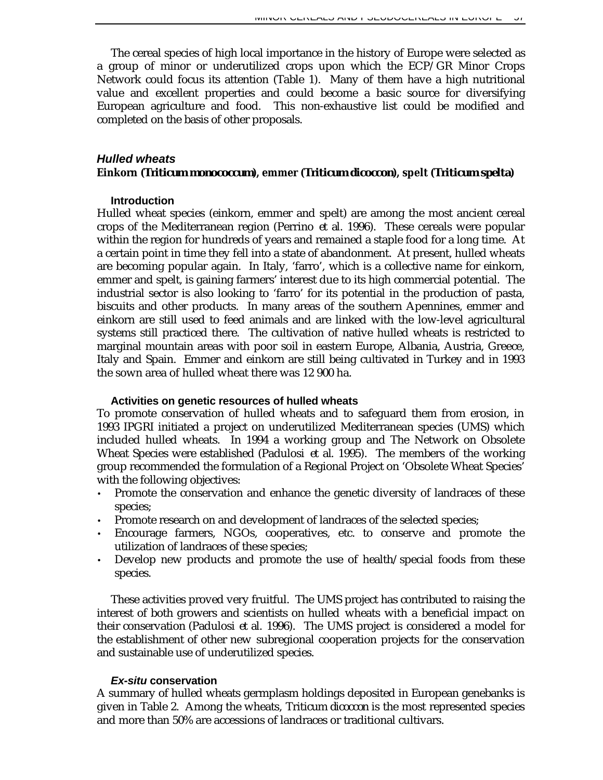The cereal species of high local importance in the history of Europe were selected as a group of minor or underutilized crops upon which the ECP/GR Minor Crops Network could focus its attention (Table 1). Many of them have a high nutritional value and excellent properties and could become a basic source for diversifying European agriculture and food. This non-exhaustive list could be modified and completed on the basis of other proposals.

## *Hulled wheats* **Einkorn (***Triticum monococcum***), emmer (***Triticum dicoccon***), spelt (***Triticum spelta***)**

## **Introduction**

Hulled wheat species (einkorn, emmer and spelt) are among the most ancient cereal crops of the Mediterranean region (Perrino *et al.* 1996). These cereals were popular within the region for hundreds of years and remained a staple food for a long time. At a certain point in time they fell into a state of abandonment. At present, hulled wheats are becoming popular again. In Italy, 'farro', which is a collective name for einkorn, emmer and spelt, is gaining farmers' interest due to its high commercial potential. The industrial sector is also looking to 'farro' for its potential in the production of pasta, biscuits and other products. In many areas of the southern Apennines, emmer and einkorn are still used to feed animals and are linked with the low-level agricultural systems still practiced there. The cultivation of native hulled wheats is restricted to marginal mountain areas with poor soil in eastern Europe, Albania, Austria, Greece, Italy and Spain. Emmer and einkorn are still being cultivated in Turkey and in 1993 the sown area of hulled wheat there was 12 900 ha.

## **Activities on genetic resources of hulled wheats**

To promote conservation of hulled wheats and to safeguard them from erosion, in 1993 IPGRI initiated a project on underutilized Mediterranean species (UMS) which included hulled wheats. In 1994 a working group and The Network on Obsolete Wheat Species were established (Padulosi *et al*. 1995). The members of the working group recommended the formulation of a Regional Project on 'Obsolete Wheat Species' with the following objectives:

- Promote the conservation and enhance the genetic diversity of landraces of these species;
- Promote research on and development of landraces of the selected species;
- Encourage farmers, NGOs, cooperatives, etc. to conserve and promote the utilization of landraces of these species;
- Develop new products and promote the use of health/special foods from these species.

These activities proved very fruitful. The UMS project has contributed to raising the interest of both growers and scientists on hulled wheats with a beneficial impact on their conservation (Padulosi *et al.* 1996). The UMS project is considered a model for the establishment of other new subregional cooperation projects for the conservation and sustainable use of underutilized species.

## *Ex-situ* **conservation**

A summary of hulled wheats germplasm holdings deposited in European genebanks is given in Table 2. Among the wheats, *Triticum dicoccon* is the most represented species and more than 50% are accessions of landraces or traditional cultivars.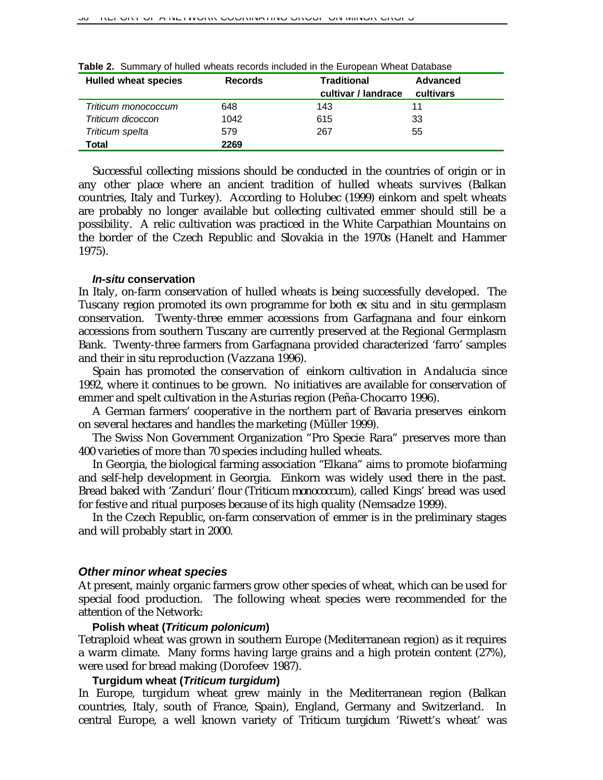| <b>Hulled wheat species</b> | <b>Records</b> | <b>Traditional</b><br>cultivar / landrace | Advanced<br>cultivars |
|-----------------------------|----------------|-------------------------------------------|-----------------------|
| Triticum monococcum         | 648            | 143                                       | 11                    |
| Triticum dicoccon           | 1042           | 615                                       | 33                    |
| Triticum spelta             | 579            | 267                                       | 55                    |
| Total                       | 2269           |                                           |                       |

**Table 2.** Summary of hulled wheats records included in the European Wheat Database

Successful collecting missions should be conducted in the countries of origin or in any other place where an ancient tradition of hulled wheats survives (Balkan countries, Italy and Turkey). According to Holubec (1999) einkorn and spelt wheats are probably no longer available but collecting cultivated emmer should still be a possibility. A relic cultivation was practiced in the White Carpathian Mountains on the border of the Czech Republic and Slovakia in the 1970s (Hanelt and Hammer 1975).

#### *In-situ* **conservation**

In Italy, on-farm conservation of hulled wheats is being successfully developed. The Tuscany region promoted its own programme for both *ex situ* and *in situ* germplasm conservation. Twenty-three emmer accessions from Garfagnana and four einkorn accessions from southern Tuscany are currently preserved at the Regional Germplasm Bank. Twenty-three farmers from Garfagnana provided characterized 'farro' samples and their *in situ* reproduction (Vazzana 1996).

Spain has promoted the conservation of einkorn cultivation in Andalucia since 1992, where it continues to be grown. No initiatives are available for conservation of emmer and spelt cultivation in the Asturias region (Peña-Chocarro 1996).

A German farmers' cooperative in the northern part of Bavaria preserves einkorn on several hectares and handles the marketing (Müller 1999).

The Swiss Non Government Organization "Pro Specie Rara" preserves more than 400 varieties of more than 70 species including hulled wheats.

In Georgia, the biological farming association "Elkana" aims to promote biofarming and self-help development in Georgia. Einkorn was widely used there in the past. Bread baked with 'Zanduri' flour (*Triticum monococcum*), called Kings' bread was used for festive and ritual purposes because of its high quality (Nemsadze 1999).

In the Czech Republic, on-farm conservation of emmer is in the preliminary stages and will probably start in 2000.

#### *Other minor wheat species*

At present, mainly organic farmers grow other species of wheat, which can be used for special food production. The following wheat species were recommended for the attention of the Network:

#### **Polish wheat (***Triticum polonicum***)**

Tetraploid wheat was grown in southern Europe (Mediterranean region) as it requires a warm climate. Many forms having large grains and a high protein content (27%), were used for bread making (Dorofeev 1987).

#### **Turgidum wheat (***Triticum turgidum***)**

In Europe, turgidum wheat grew mainly in the Mediterranean region (Balkan countries, Italy, south of France, Spain), England, Germany and Switzerland. In central Europe, a well known variety of *Triticum turgidum* 'Riwett's wheat' was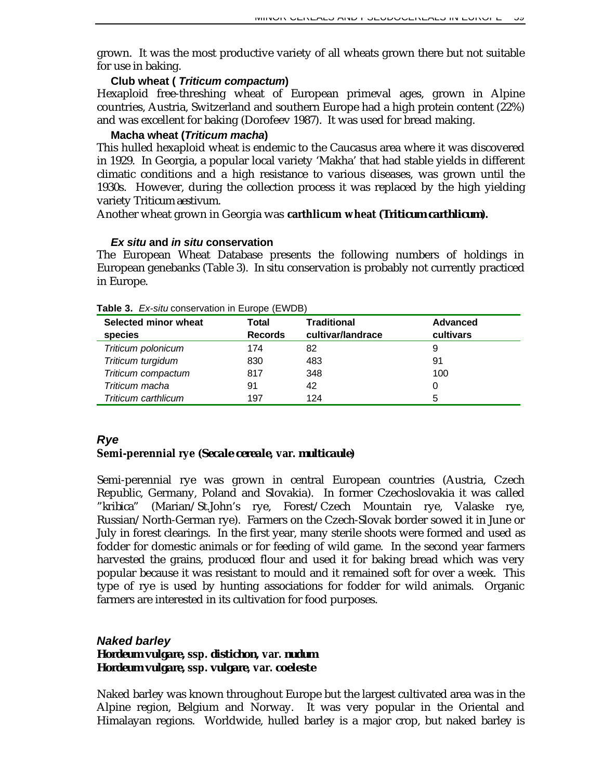grown. It was the most productive variety of all wheats grown there but not suitable for use in baking.

## **Club wheat (** *Triticum compactum***)**

Hexaploid free-threshing wheat of European primeval ages, grown in Alpine countries, Austria, Switzerland and southern Europe had a high protein content (22%) and was excellent for baking (Dorofeev 1987). It was used for bread making.

## **Macha wheat (***Triticum macha***)**

This hulled hexaploid wheat is endemic to the Caucasus area where it was discovered in 1929. In Georgia, a popular local variety 'Makha' that had stable yields in different climatic conditions and a high resistance to various diseases, was grown until the 1930s. However, during the collection process it was replaced by the high yielding variety *Triticum aestivum*.

Another wheat grown in Georgia was **carthlicum wheat (***Triticum carthlicum***).**

## *Ex situ* **and** *in situ* **conservation**

The European Wheat Database presents the following numbers of holdings in European genebanks (Table 3). *In situ* conservation is probably not currently practiced in Europe.

| Selected minor wheat<br>species | Total<br><b>Records</b> | <b>Traditional</b><br>cultivar/landrace | <b>Advanced</b><br>cultivars |
|---------------------------------|-------------------------|-----------------------------------------|------------------------------|
|                                 |                         |                                         |                              |
| Triticum polonicum              | 174                     | 82                                      | 9                            |
| Triticum turgidum               | 830                     | 483                                     | 91                           |
| Triticum compactum              | 817                     | 348                                     | 100                          |
| Triticum macha                  | 91                      | 42                                      | 0                            |
| Triticum carthlicum             | 197                     | 124                                     | 5                            |

#### **Table 3.** *Ex-situ* conservation in Europe (EWDB)

## *Rye*

## **Semi-perennial rye (***Secale cereale***, var.** *multicaule***)**

Semi-perennial rye was grown in central European countries (Austria, Czech Republic, Germany, Poland and Slovakia). In former Czechoslovakia it was called *"kribica"* (Marian/St.John's rye, Forest/Czech Mountain rye, Valaske rye, Russian/North-German rye). Farmers on the Czech-Slovak border sowed it in June or July in forest clearings. In the first year, many sterile shoots were formed and used as fodder for domestic animals or for feeding of wild game. In the second year farmers harvested the grains, produced flour and used it for baking bread which was very popular because it was resistant to mould and it remained soft for over a week. This type of rye is used by hunting associations for fodder for wild animals. Organic farmers are interested in its cultivation for food purposes.

## *Naked barley Hordeum vulgare,* **ssp.** *distichon,* **var.** *nudum Hordeum vulgare,* **ssp.** *vulgare***, var.** *coeleste*

Naked barley was known throughout Europe but the largest cultivated area was in the Alpine region, Belgium and Norway. It was very popular in the Oriental and Himalayan regions. Worldwide, hulled barley is a major crop, but naked barley is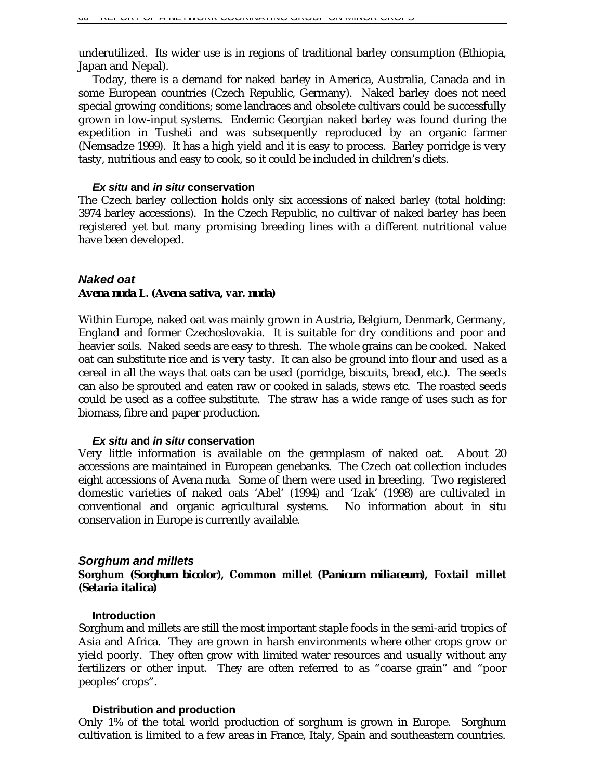underutilized. Its wider use is in regions of traditional barley consumption (Ethiopia, Japan and Nepal).

Today, there is a demand for naked barley in America, Australia, Canada and in some European countries (Czech Republic, Germany). Naked barley does not need special growing conditions; some landraces and obsolete cultivars could be successfully grown in low-input systems. Endemic Georgian naked barley was found during the expedition in Tusheti and was subsequently reproduced by an organic farmer (Nemsadze 1999). It has a high yield and it is easy to process. Barley porridge is very tasty, nutritious and easy to cook, so it could be included in children's diets.

#### *Ex situ* **and** *in situ* **conservation**

The Czech barley collection holds only six accessions of naked barley (total holding: 3974 barley accessions). In the Czech Republic, no cultivar of naked barley has been registered yet but many promising breeding lines with a different nutritional value have been developed.

## *Naked oat Avena nuda* **L. (***Avena sativa***, var.** *nuda***)**

Within Europe, naked oat was mainly grown in Austria, Belgium, Denmark, Germany, England and former Czechoslovakia. It is suitable for dry conditions and poor and heavier soils. Naked seeds are easy to thresh. The whole grains can be cooked. Naked oat can substitute rice and is very tasty. It can also be ground into flour and used as a cereal in all the ways that oats can be used (porridge, biscuits, bread, etc.). The seeds can also be sprouted and eaten raw or cooked in salads, stews etc. The roasted seeds could be used as a coffee substitute. The straw has a wide range of uses such as for biomass, fibre and paper production.

#### *Ex situ* **and** *in situ* **conservation**

Very little information is available on the germplasm of naked oat. About 20 accessions are maintained in European genebanks. The Czech oat collection includes eight accessions of *Avena nuda*. Some of them were used in breeding. Two registered domestic varieties of naked oats 'Abel' (1994) and 'Izak' (1998) are cultivated in conventional and organic agricultural systems. No information about *in situ* conservation in Europe is currently available.

#### *Sorghum and millets*

## **Sorghum (***Sorghum bicolor***), Common millet (***Panicum miliaceum***), Foxtail millet (***Setaria italica***)**

#### **Introduction**

Sorghum and millets are still the most important staple foods in the semi-arid tropics of Asia and Africa. They are grown in harsh environments where other crops grow or yield poorly. They often grow with limited water resources and usually without any fertilizers or other input. They are often referred to as "coarse grain" and "poor peoples' crops".

#### **Distribution and production**

Only 1% of the total world production of sorghum is grown in Europe. Sorghum cultivation is limited to a few areas in France, Italy, Spain and southeastern countries.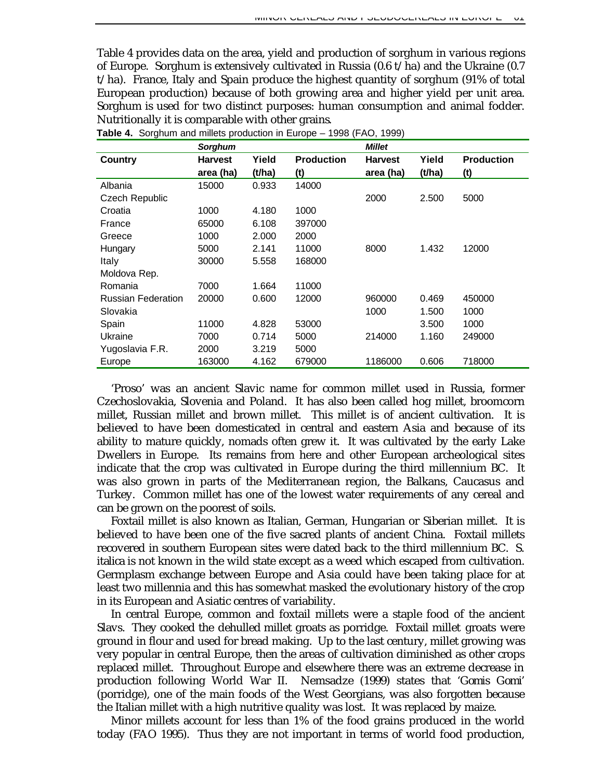Table 4 provides data on the area, yield and production of sorghum in various regions of Europe. Sorghum is extensively cultivated in Russia (0.6 t/ha) and the Ukraine (0.7 t/ha). France, Italy and Spain produce the highest quantity of sorghum (91% of total European production) because of both growing area and higher yield per unit area. Sorghum is used for two distinct purposes: human consumption and animal fodder. Nutritionally it is comparable with other grains.

|                           | <b>Sorghum</b> |        |                   | <b>Millet</b>  |        |                   |
|---------------------------|----------------|--------|-------------------|----------------|--------|-------------------|
| Country                   | <b>Harvest</b> | Yield  | <b>Production</b> | <b>Harvest</b> | Yield  | <b>Production</b> |
|                           | area (ha)      | (t/ha) | (t)               | area (ha)      | (t/ha) | (t)               |
| Albania                   | 15000          | 0.933  | 14000             |                |        |                   |
| Czech Republic            |                |        |                   | 2000           | 2.500  | 5000              |
| Croatia                   | 1000           | 4.180  | 1000              |                |        |                   |
| France                    | 65000          | 6.108  | 397000            |                |        |                   |
| Greece                    | 1000           | 2.000  | 2000              |                |        |                   |
| Hungary                   | 5000           | 2.141  | 11000             | 8000           | 1.432  | 12000             |
| Italy                     | 30000          | 5.558  | 168000            |                |        |                   |
| Moldova Rep.              |                |        |                   |                |        |                   |
| Romania                   | 7000           | 1.664  | 11000             |                |        |                   |
| <b>Russian Federation</b> | 20000          | 0.600  | 12000             | 960000         | 0.469  | 450000            |
| Slovakia                  |                |        |                   | 1000           | 1.500  | 1000              |
| Spain                     | 11000          | 4.828  | 53000             |                | 3.500  | 1000              |
| Ukraine                   | 7000           | 0.714  | 5000              | 214000         | 1.160  | 249000            |
| Yugoslavia F.R.           | 2000           | 3.219  | 5000              |                |        |                   |
| Europe                    | 163000         | 4.162  | 679000            | 1186000        | 0.606  | 718000            |

**Table 4.** Sorghum and millets production in Europe – 1998 (FAO, 1999)

'Proso' was an ancient Slavic name for common millet used in Russia, former Czechoslovakia, Slovenia and Poland. It has also been called hog millet, broomcorn millet, Russian millet and brown millet. This millet is of ancient cultivation. It is believed to have been domesticated in central and eastern Asia and because of its ability to mature quickly, nomads often grew it. It was cultivated by the early Lake Dwellers in Europe. Its remains from here and other European archeological sites indicate that the crop was cultivated in Europe during the third millennium BC. It was also grown in parts of the Mediterranean region, the Balkans, Caucasus and Turkey. Common millet has one of the lowest water requirements of any cereal and can be grown on the poorest of soils.

Foxtail millet is also known as Italian, German, Hungarian or Siberian millet. It is believed to have been one of the five sacred plants of ancient China. Foxtail millets recovered in southern European sites were dated back to the third millennium BC. *S. italica* is not known in the wild state except as a weed which escaped from cultivation. Germplasm exchange between Europe and Asia could have been taking place for at least two millennia and this has somewhat masked the evolutionary history of the crop in its European and Asiatic centres of variability.

In central Europe, common and foxtail millets were a staple food of the ancient Slavs. They cooked the dehulled millet groats as porridge. Foxtail millet groats were ground in flour and used for bread making. Up to the last century, millet growing was very popular in central Europe, then the areas of cultivation diminished as other crops replaced millet. Throughout Europe and elsewhere there was an extreme decrease in production following World War II. Nemsadze (1999) states that '*Gomis Gomi*' (porridge), one of the main foods of the West Georgians, was also forgotten because the Italian millet with a high nutritive quality was lost. It was replaced by maize.

Minor millets account for less than 1% of the food grains produced in the world today (FAO 1995). Thus they are not important in terms of world food production,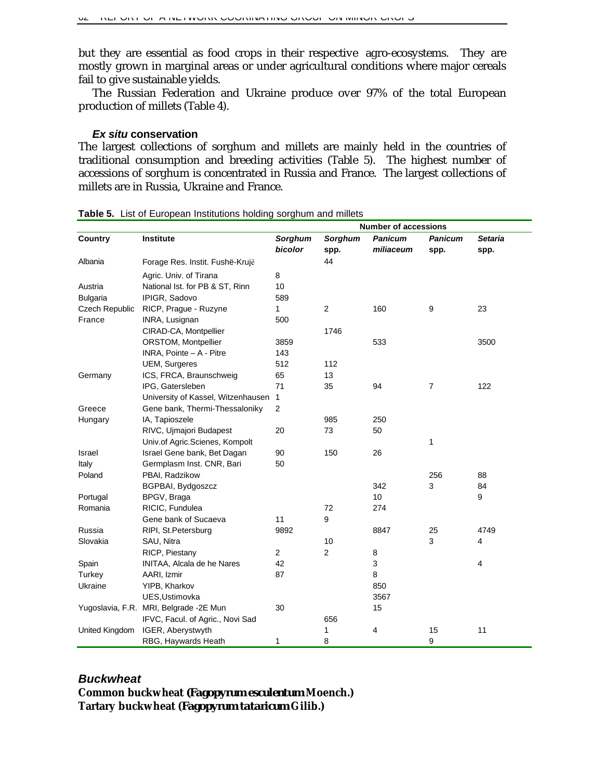but they are essential as food crops in their respective agro-ecosystems. They are mostly grown in marginal areas or under agricultural conditions where major cereals fail to give sustainable yields.

The Russian Federation and Ukraine produce over 97% of the total European production of millets (Table 4).

#### *Ex situ* **conservation**

The largest collections of sorghum and millets are mainly held in the countries of traditional consumption and breeding activities (Table 5). The highest number of accessions of sorghum is concentrated in Russia and France. The largest collections of millets are in Russia, Ukraine and France.

|                 |                                        |                |         |                | <b>Number of accessions</b> |                |  |  |
|-----------------|----------------------------------------|----------------|---------|----------------|-----------------------------|----------------|--|--|
| Country         | <b>Institute</b>                       | <b>Sorghum</b> | Sorghum | <b>Panicum</b> | <b>Panicum</b>              | <b>Setaria</b> |  |  |
|                 |                                        | bicolor        | spp.    | miliaceum      | spp.                        | spp.           |  |  |
| Albania         | Forage Res. Instit. Fushë-Krujë        |                | 44      |                |                             |                |  |  |
|                 | Agric. Univ. of Tirana                 | 8              |         |                |                             |                |  |  |
| Austria         | National Ist. for PB & ST, Rinn        | 10             |         |                |                             |                |  |  |
| <b>Bulgaria</b> | IPIGR, Sadovo                          | 589            |         |                |                             |                |  |  |
| Czech Republic  | RICP, Prague - Ruzyne                  | $\mathbf{1}$   | 2       | 160            | 9                           | 23             |  |  |
| France          | INRA, Lusignan                         | 500            |         |                |                             |                |  |  |
|                 | CIRAD-CA, Montpellier                  |                | 1746    |                |                             |                |  |  |
|                 | ORSTOM, Montpellier                    | 3859           |         | 533            |                             | 3500           |  |  |
|                 | INRA, Pointe - A - Pitre               | 143            |         |                |                             |                |  |  |
|                 | <b>UEM, Surgeres</b>                   | 512            | 112     |                |                             |                |  |  |
| Germany         | ICS, FRCA, Braunschweig                | 65             | 13      |                |                             |                |  |  |
|                 | IPG, Gatersleben                       | 71             | 35      | 94             | $\overline{7}$              | 122            |  |  |
|                 | University of Kassel, Witzenhausen     | $\mathbf{1}$   |         |                |                             |                |  |  |
| Greece          | Gene bank, Thermi-Thessaloniky         | $\overline{2}$ |         |                |                             |                |  |  |
| Hungary         | IA, Tapioszele                         |                | 985     | 250            |                             |                |  |  |
|                 | RIVC, Ujmajori Budapest                | 20             | 73      | 50             |                             |                |  |  |
|                 | Univ.of Agric.Scienes, Kompolt         |                |         |                | 1                           |                |  |  |
| Israel          | Israel Gene bank, Bet Dagan            | 90             | 150     | 26             |                             |                |  |  |
| Italy           | Germplasm Inst. CNR, Bari              | 50             |         |                |                             |                |  |  |
| Poland          | PBAI, Radzikow                         |                |         |                | 256                         | 88             |  |  |
|                 | BGPBAI, Bydgoszcz                      |                |         | 342            | 3                           | 84             |  |  |
| Portugal        | BPGV, Braga                            |                |         | 10             |                             | 9              |  |  |
| Romania         | RICIC, Fundulea                        |                | 72      | 274            |                             |                |  |  |
|                 | Gene bank of Sucaeva                   | 11             | 9       |                |                             |                |  |  |
| Russia          | RIPI, St.Petersburg                    | 9892           |         | 8847           | 25                          | 4749           |  |  |
| Slovakia        | SAU, Nitra                             |                | 10      |                | 3                           | $\overline{4}$ |  |  |
|                 | RICP, Piestany                         | 2              | 2       | 8              |                             |                |  |  |
| Spain           | INITAA, Alcala de he Nares             | 42             |         | 3              |                             | 4              |  |  |
| Turkey          | AARI, Izmir                            | 87             |         | 8              |                             |                |  |  |
| Ukraine         | YIPB, Kharkov                          |                |         | 850            |                             |                |  |  |
|                 | UES, Ustimovka                         |                |         | 3567           |                             |                |  |  |
|                 | Yugoslavia, F.R. MRI, Belgrade -2E Mun | 30             |         | 15             |                             |                |  |  |
|                 | IFVC, Facul. of Agric., Novi Sad       |                | 656     |                |                             |                |  |  |
| United Kingdom  | IGER, Aberystwyth                      |                | 1       | 4              | 15                          | 11             |  |  |
|                 | RBG, Haywards Heath                    | 1              | 8       |                | 9                           |                |  |  |

**Table 5.** List of European Institutions holding sorghum and millets

# *Buckwheat* **Common buckwheat** *(Fagopyrum esculentum* **Moench.) Tartary buckwheat (***Fagopyrum tataricum* **Gilib.)**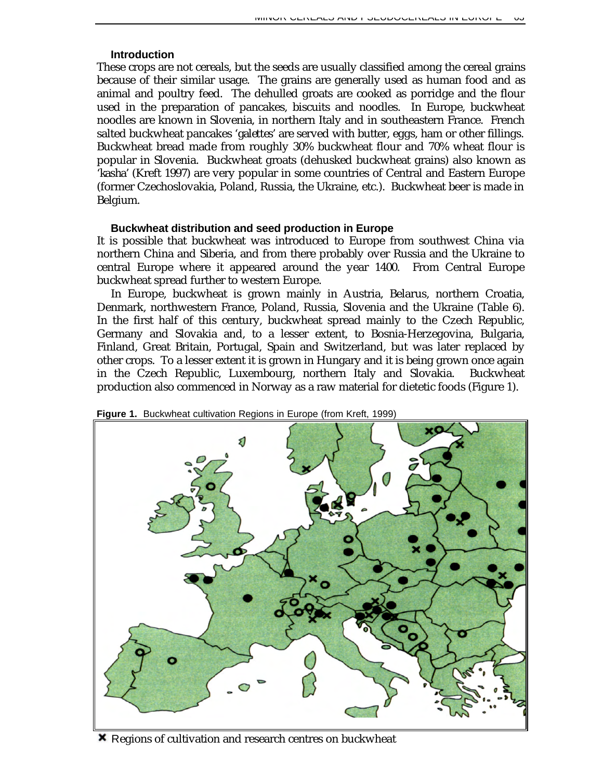#### **Introduction**

These crops are not cereals, but the seeds are usually classified among the cereal grains because of their similar usage. The grains are generally used as human food and as animal and poultry feed. The dehulled groats are cooked as porridge and the flour used in the preparation of pancakes, biscuits and noodles. In Europe, buckwheat noodles are known in Slovenia, in northern Italy and in southeastern France. French salted buckwheat pancakes '*galettes*' are served with butter, eggs, ham or other fillings. Buckwheat bread made from roughly 30% buckwheat flour and 70% wheat flour is popular in Slovenia. Buckwheat groats (dehusked buckwheat grains) also known as '*kasha'* (Kreft 1997) are very popular in some countries of Central and Eastern Europe (former Czechoslovakia, Poland, Russia, the Ukraine, etc.). Buckwheat beer is made in Belgium.

#### **Buckwheat distribution and seed production in Europe**

It is possible that buckwheat was introduced to Europe from southwest China via northern China and Siberia, and from there probably over Russia and the Ukraine to central Europe where it appeared around the year 1400. From Central Europe buckwheat spread further to western Europe.

In Europe, buckwheat is grown mainly in Austria, Belarus, northern Croatia, Denmark, northwestern France, Poland, Russia, Slovenia and the Ukraine (Table 6). In the first half of this century, buckwheat spread mainly to the Czech Republic, Germany and Slovakia and, to a lesser extent, to Bosnia-Herzegovina, Bulgaria, Finland, Great Britain, Portugal, Spain and Switzerland, but was later replaced by other crops. To a lesser extent it is grown in Hungary and it is being grown once again in the Czech Republic, Luxembourg, northern Italy and Slovakia. Buckwheat production also commenced in Norway as a raw material for dietetic foods (Figure 1).



**Figure 1.** Buckwheat cultivation Regions in Europe (from Kreft, 1999)

**X** Regions of cultivation and research centres on buckwheat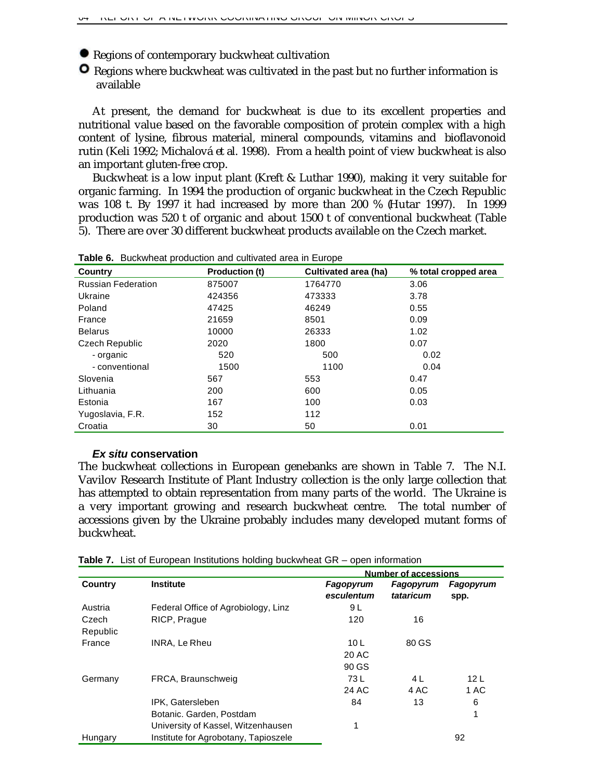Regions of contemporary buckwheat cultivation

**O** Regions where buckwheat was cultivated in the past but no further information is available

At present, the demand for buckwheat is due to its excellent properties and nutritional value based on the favorable composition of protein complex with a high content of lysine, fibrous material, mineral compounds, vitamins and bioflavonoid rutin (Keli 1992; Michalová *et al.* 1998). From a health point of view buckwheat is also an important gluten-free crop.

Buckwheat is a low input plant (Kreft & Luthar 1990), making it very suitable for organic farming. In 1994 the production of organic buckwheat in the Czech Republic was 108 t. By 1997 it had increased by more than 200 % (Hutar 1997). In 1999 production was 520 t of organic and about 1500 t of conventional buckwheat (Table 5). There are over 30 different buckwheat products available on the Czech market.

| Country                   | <b>Production (t)</b> | Cultivated area (ha) | % total cropped area |
|---------------------------|-----------------------|----------------------|----------------------|
| <b>Russian Federation</b> | 875007                | 1764770              | 3.06                 |
| Ukraine                   | 424356                | 473333               | 3.78                 |
| Poland                    | 47425                 | 46249                | 0.55                 |
| France                    | 21659                 | 8501                 | 0.09                 |
| <b>Belarus</b>            | 10000                 | 26333                | 1.02                 |
| Czech Republic            | 2020                  | 1800                 | 0.07                 |
| - organic                 | 520                   | 500                  | 0.02                 |
| - conventional            | 1500                  | 1100                 | 0.04                 |
| Slovenia                  | 567                   | 553                  | 0.47                 |
| Lithuania                 | 200                   | 600                  | 0.05                 |
| Estonia                   | 167                   | 100                  | 0.03                 |
| Yugoslavia, F.R.          | 152                   | 112                  |                      |
| Croatia                   | 30                    | 50                   | 0.01                 |

**Table 6.** Buckwheat production and cultivated area in Europe

#### *Ex situ* **conservation**

The buckwheat collections in European genebanks are shown in Table 7. The N.I. Vavilov Research Institute of Plant Industry collection is the only large collection that has attempted to obtain representation from many parts of the world. The Ukraine is a very important growing and research buckwheat centre. The total number of accessions given by the Ukraine probably includes many developed mutant forms of buckwheat.

|                   | <b>Institute</b>                                                                   | <b>Number of accessions</b>       |                        |                         |  |
|-------------------|------------------------------------------------------------------------------------|-----------------------------------|------------------------|-------------------------|--|
| <b>Country</b>    |                                                                                    | Fagopyrum<br>esculentum           | Fagopyrum<br>tataricum | Fagopyrum<br>spp.       |  |
| Austria           | Federal Office of Agrobiology, Linz                                                | 9 L                               |                        |                         |  |
| Czech<br>Republic | RICP, Prague                                                                       | 120                               | 16                     |                         |  |
| France            | INRA, Le Rheu                                                                      | 10 <sub>L</sub><br>20 AC<br>90 GS | 80 GS                  |                         |  |
| Germany           | FRCA, Braunschweig                                                                 | 73 L<br>24 AC                     | 4 L<br>4 AC            | 12 <sub>L</sub><br>1 AC |  |
|                   | IPK, Gatersleben<br>Botanic. Garden, Postdam<br>University of Kassel, Witzenhausen | 84<br>1                           | 13                     | 6<br>1                  |  |
| Hungary           | Institute for Agrobotany, Tapioszele                                               |                                   |                        | 92                      |  |

**Table 7.** List of European Institutions holding buckwheat GR – open information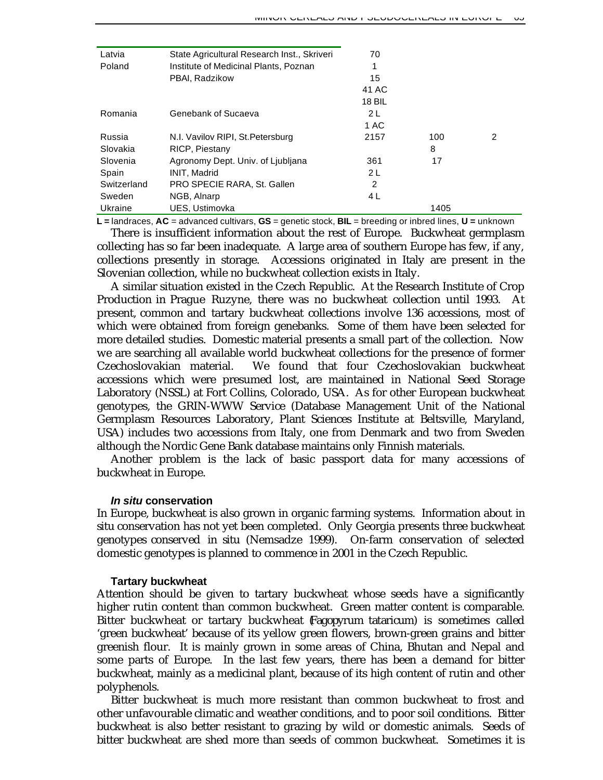| Latvia      | State Agricultural Research Inst., Skriveri | 70            |      |   |
|-------------|---------------------------------------------|---------------|------|---|
| Poland      | Institute of Medicinal Plants, Poznan       | 1             |      |   |
|             | PBAI, Radzikow                              | 15            |      |   |
|             |                                             | 41 AC         |      |   |
|             |                                             | <b>18 BIL</b> |      |   |
| Romania     | Genebank of Sucaeva                         | 2 L           |      |   |
|             |                                             | 1 AC          |      |   |
| Russia      | N.I. Vavilov RIPI, St. Petersburg           | 2157          | 100  | 2 |
| Slovakia    | RICP, Piestany                              |               | 8    |   |
| Slovenia    | Agronomy Dept. Univ. of Ljubljana           | 361           | 17   |   |
| Spain       | <b>INIT. Madrid</b>                         | 2L            |      |   |
| Switzerland | PRO SPECIE RARA, St. Gallen                 | 2             |      |   |
| Sweden      | NGB, Alnarp                                 | 4 L           |      |   |
| Ukraine     | UES, Ustimovka                              |               | 1405 |   |

**L =** landraces, **AC** = advanced cultivars, **GS** = genetic stock, **BIL** = breeding or inbred lines, **U =** unknown

There is insufficient information about the rest of Europe. Buckwheat germplasm collecting has so far been inadequate. A large area of southern Europe has few, if any, collections presently in storage. Accessions originated in Italy are present in the Slovenian collection, while no buckwheat collection exists in Italy.

A similar situation existed in the Czech Republic. At the Research Institute of Crop Production in Prague Ruzyne, there was no buckwheat collection until 1993. At present, common and tartary buckwheat collections involve 136 accessions, most of which were obtained from foreign genebanks. Some of them have been selected for more detailed studies. Domestic material presents a small part of the collection. Now we are searching all available world buckwheat collections for the presence of former Czechoslovakian material. We found that four Czechoslovakian buckwheat accessions which were presumed lost, are maintained in National Seed Storage Laboratory (NSSL) at Fort Collins, Colorado, USA. As for other European buckwheat genotypes, the GRIN-WWW Service (Database Management Unit of the National Germplasm Resources Laboratory, Plant Sciences Institute at Beltsville, Maryland, USA) includes two accessions from Italy, one from Denmark and two from Sweden although the Nordic Gene Bank database maintains only Finnish materials.

Another problem is the lack of basic passport data for many accessions of buckwheat in Europe.

### *In situ* **conservation**

In Europe, buckwheat is also grown in organic farming systems. Information about *in situ* conservation has not yet been completed. Only Georgia presents three buckwheat genotypes conserved *in situ* (Nemsadze 1999). On-farm conservation of selected domestic genotypes is planned to commence in 2001 in the Czech Republic.

#### **Tartary buckwheat**

Attention should be given to tartary buckwheat whose seeds have a significantly higher rutin content than common buckwheat. Green matter content is comparable. Bitter buckwheat or tartary buckwheat (*Fagopyrum tataricum*) is sometimes called 'green buckwheat' because of its yellow green flowers, brown-green grains and bitter greenish flour. It is mainly grown in some areas of China, Bhutan and Nepal and some parts of Europe. In the last few years, there has been a demand for bitter buckwheat, mainly as a medicinal plant, because of its high content of rutin and other polyphenols.

Bitter buckwheat is much more resistant than common buckwheat to frost and other unfavourable climatic and weather conditions, and to poor soil conditions. Bitter buckwheat is also better resistant to grazing by wild or domestic animals. Seeds of bitter buckwheat are shed more than seeds of common buckwheat. Sometimes it is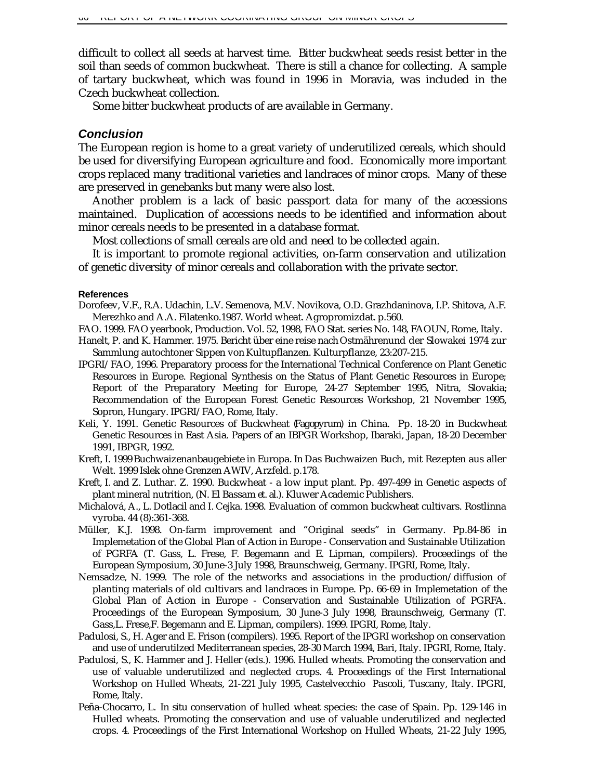difficult to collect all seeds at harvest time. Bitter buckwheat seeds resist better in the soil than seeds of common buckwheat. There is still a chance for collecting. A sample of tartary buckwheat, which was found in 1996 in Moravia, was included in the Czech buckwheat collection.

Some bitter buckwheat products of are available in Germany.

### *Conclusion*

The European region is home to a great variety of underutilized cereals, which should be used for diversifying European agriculture and food. Economically more important crops replaced many traditional varieties and landraces of minor crops. Many of these are preserved in genebanks but many were also lost.

Another problem is a lack of basic passport data for many of the accessions maintained. Duplication of accessions needs to be identified and information about minor cereals needs to be presented in a database format.

Most collections of small cereals are old and need to be collected again.

It is important to promote regional activities, on-farm conservation and utilization of genetic diversity of minor cereals and collaboration with the private sector.

#### **References**

- Dorofeev, V.F., R.A. Udachin, L.V. Semenova, M.V. Novikova, O.D. Grazhdaninova, I.P. Shitova, A.F. Merezhko and A.A. Filatenko.1987. World wheat. Agropromizdat. p.560.
- FAO. 1999. FAO yearbook, Production. Vol. 52, 1998, FAO Stat. series No. 148, FAOUN, Rome, Italy.
- Hanelt, P. and K. Hammer. 1975. Bericht über eine reise nach Ostmährenund der Slowakei 1974 zur Sammlung autochtoner Sippen von Kultupflanzen. Kulturpflanze, 23:207-215.
- IPGRI/FAO, 1996. Preparatory process for the International Technical Conference on Plant Genetic Resources in Europe. Regional Synthesis on the Status of Plant Genetic Resources in Europe; Report of the Preparatory Meeting for Europe, 24-27 September 1995, Nitra, Slovakia; Recommendation of the European Forest Genetic Resources Workshop, 21 November 1995, Sopron, Hungary. IPGRI/FAO, Rome, Italy.
- Keli, Y. 1991. Genetic Resources of Buckwheat (*Fagopyrum*) in China. Pp. 18-20 *in* Buckwheat Genetic Resources in East Asia. Papers of an IBPGR Workshop, Ibaraki, Japan, 18-20 December 1991, IBPGR, 1992.
- Kreft, I. 1999 Buchwaizenanbaugebiete in Europa. *In* Das Buchwaizen Buch, mit Rezepten aus aller Welt. 1999 Islek ohne Grenzen AWIV, Arzfeld. p.178.
- Kreft, I. and Z. Luthar. Z. 1990. Buckwheat a low input plant. Pp. 497-499 *in* Genetic aspects of plant mineral nutrition, (N. El Bassam *et. al.).* Kluwer Academic Publishers.
- Michalová, A., L. Dotlacil and I. Cejka. 1998. Evaluation of common buckwheat cultivars. Rostlinna vyroba. 44 (8):361-368.
- Müller, K.J. 1998. On-farm improvement and "Original seeds" in Germany. Pp.84-86 *in* Implemetation of the Global Plan of Action in Europe - Conservation and Sustainable Utilization of PGRFA (T. Gass, L. Frese, F. Begemann and E. Lipman, compilers). Proceedings of the European Symposium, 30 June-3 July 1998, Braunschweig, Germany. IPGRI, Rome, Italy.
- Nemsadze, N. 1999. The role of the networks and associations in the production/diffusion of planting materials of old cultivars and landraces in Europe. Pp. 66-69 *in* Implemetation of the Global Plan of Action in Europe - Conservation and Sustainable Utilization of PGRFA. Proceedings of the European Symposium, 30 June-3 July 1998, Braunschweig, Germany (T. Gass,L. Frese,F. Begemann and E. Lipman, compilers). 1999. IPGRI, Rome, Italy.
- Padulosi, S., H. Ager and E. Frison (compilers). 1995. Report of the IPGRI workshop on conservation and use of underutilzed Mediterranean species, 28-30 March 1994, Bari, Italy. IPGRI, Rome, Italy.
- Padulosi, S., K. Hammer and J. Heller (eds.). 1996. Hulled wheats. Promoting the conservation and use of valuable underutilized and neglected crops. 4. Proceedings of the First International Workshop on Hulled Wheats, 21-221 July 1995, Castelvecchio Pascoli, Tuscany, Italy. IPGRI, Rome, Italy.
- Penña-Chocarro, L. *In situ* conservation of hulled wheat species: the case of Spain. Pp. 129-146 *in* Hulled wheats. Promoting the conservation and use of valuable underutilized and neglected crops. 4. Proceedings of the First International Workshop on Hulled Wheats, 21-22 July 1995,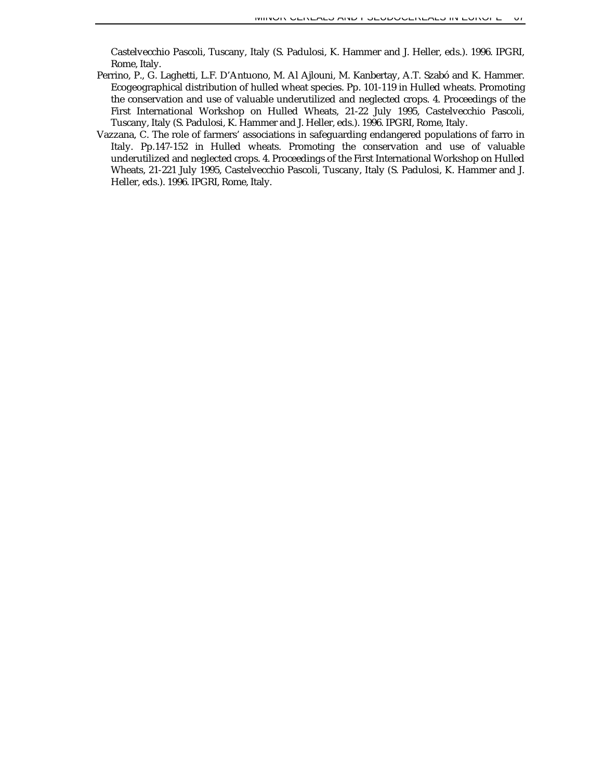Castelvecchio Pascoli, Tuscany, Italy (S. Padulosi, K. Hammer and J. Heller, eds.). 1996. IPGRI, Rome, Italy.

- Perrino, P., G. Laghetti, L.F. D'Antuono, M. Al Ajlouni, M. Kanbertay, A.T. Szabó and K. Hammer. Ecogeographical distribution of hulled wheat species. Pp. 101-119 *in* Hulled wheats. Promoting the conservation and use of valuable underutilized and neglected crops. 4. Proceedings of the First International Workshop on Hulled Wheats, 21-22 July 1995, Castelvecchio Pascoli, Tuscany, Italy (S. Padulosi, K. Hammer and J. Heller, eds.). 1996. IPGRI, Rome, Italy.
- Vazzana, C. The role of farmers' associations in safeguarding endangered populations of farro in Italy. Pp.147-152 *in* Hulled wheats. Promoting the conservation and use of valuable underutilized and neglected crops. 4. Proceedings of the First International Workshop on Hulled Wheats, 21-221 July 1995, Castelvecchio Pascoli, Tuscany, Italy (S. Padulosi, K. Hammer and J. Heller, eds.). 1996. IPGRI, Rome, Italy.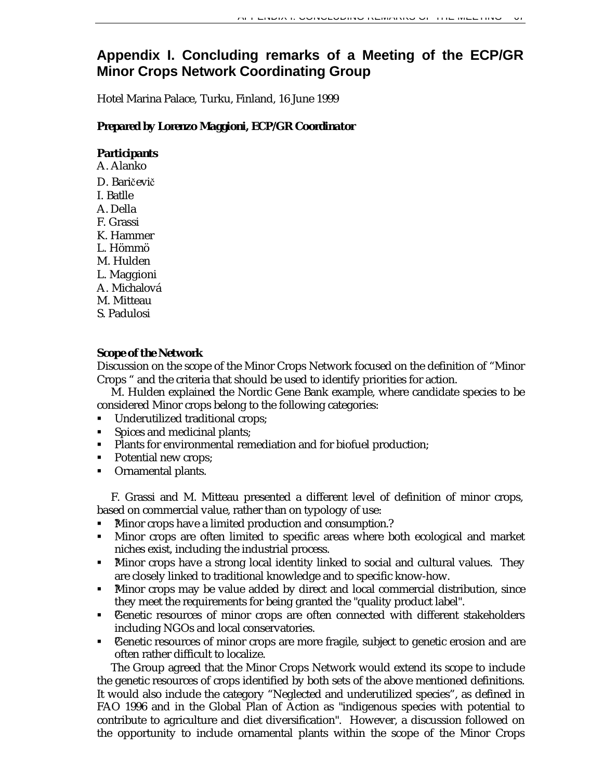# **Appendix I. Concluding remarks of a Meeting of the ECP/GR Minor Crops Network Coordinating Group**

Hotel Marina Palace, Turku, Finland, 16 June 1999

# *Prepared by Lorenzo Maggioni, ECP/GR Coordinator*

# *Participants*

A. Alanko D. Baričevič I. Batlle A. Della F. Grassi K. Hammer L. Hömmö M. Hulden L. Maggioni A. Michalová M. Mitteau S. Padulosi

# *Scope of the Network*

Discussion on the scope of the Minor Crops Network focused on the definition of "Minor Crops " and the criteria that should be used to identify priorities for action.

M. Hulden explained the Nordic Gene Bank example, where candidate species to be considered Minor crops belong to the following categories:

- ß Underutilized traditional crops;
- **Spices and medicinal plants;**
- Plants for environmental remediation and for biofuel production;
- Potential new crops;
- Ornamental plants.

F. Grassi and M. Mitteau presented a different level of definition of minor crops, based on commercial value, rather than on typology of use:

- ß ?Minor crops have a limited production and consumption.?
- Minor crops are often limited to specific areas where both ecological and market niches exist, including the industrial process.
- Minor crops have a strong local identity linked to social and cultural values. They are closely linked to traditional knowledge and to specific know-how.
- ß ?Minor crops may be value added by direct and local commercial distribution, since they meet the requirements for being granted the "quality product label".
- Cenetic resources of minor crops are often connected with different stakeholders including NGOs and local conservatories.
- Cenetic resources of minor crops are more fragile, subject to genetic erosion and are often rather difficult to localize.

The Group agreed that the Minor Crops Network would extend its scope to include the genetic resources of crops identified by both sets of the above mentioned definitions. It would also include the category "Neglected and underutilized species", as defined in FAO 1996 and in the Global Plan of Action as "indigenous species with potential to contribute to agriculture and diet diversification". However, a discussion followed on the opportunity to include ornamental plants within the scope of the Minor Crops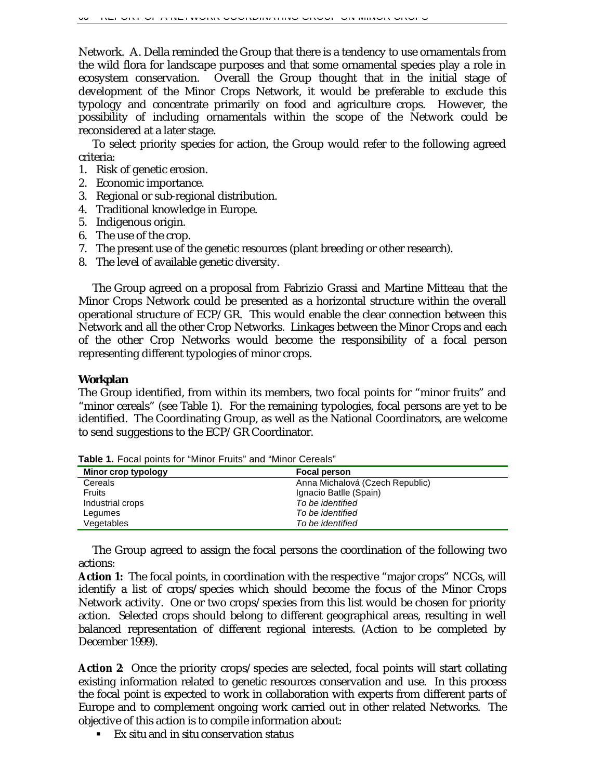Network. A. Della reminded the Group that there is a tendency to use ornamentals from the wild flora for landscape purposes and that some ornamental species play a role in ecosystem conservation. Overall the Group thought that in the initial stage of development of the Minor Crops Network, it would be preferable to exclude this typology and concentrate primarily on food and agriculture crops. However, the possibility of including ornamentals within the scope of the Network could be reconsidered at a later stage.

To select priority species for action, the Group would refer to the following agreed criteria:

- 1. Risk of genetic erosion.
- 2. Economic importance.
- 3. Regional or sub-regional distribution.
- 4. Traditional knowledge in Europe.
- 5. Indigenous origin.
- 6. The use of the crop.
- 7. The present use of the genetic resources (plant breeding or other research).
- 8. The level of available genetic diversity.

The Group agreed on a proposal from Fabrizio Grassi and Martine Mitteau that the Minor Crops Network could be presented as a horizontal structure within the overall operational structure of ECP/GR. This would enable the clear connection between this Network and all the other Crop Networks. Linkages between the Minor Crops and each of the other Crop Networks would become the responsibility of a focal person representing different typologies of minor crops.

#### *Workplan*

The Group identified, from within its members, two focal points for "minor fruits" and "minor cereals" (see Table 1). For the remaining typologies, focal persons are yet to be identified. The Coordinating Group, as well as the National Coordinators, are welcome to send suggestions to the ECP/GR Coordinator.

| Minor crop typology | Focal person                    |
|---------------------|---------------------------------|
| Cereals             | Anna Michalová (Czech Republic) |
| Fruits              | Ignacio Batlle (Spain)          |
| Industrial crops    | To be identified                |
| Legumes             | To be identified                |
| Vegetables          | To be identified                |

**Table 1.** Focal points for "Minor Fruits" and "Minor Cereals"

The Group agreed to assign the focal persons the coordination of the following two actions:

**Action 1:** The focal points, in coordination with the respective "major crops" NCGs, will identify a list of crops/species which should become the focus of the Minor Crops Network activity. One or two crops/species from this list would be chosen for priority action. Selected crops should belong to different geographical areas, resulting in well balanced representation of different regional interests. (Action to be completed by December 1999).

**Action 2**: Once the priority crops/species are selected, focal points will start collating existing information related to genetic resources conservation and use. In this process the focal point is expected to work in collaboration with experts from different parts of Europe and to complement ongoing work carried out in other related Networks. The objective of this action is to compile information about:

ß *Ex situ* and *in situ* conservation status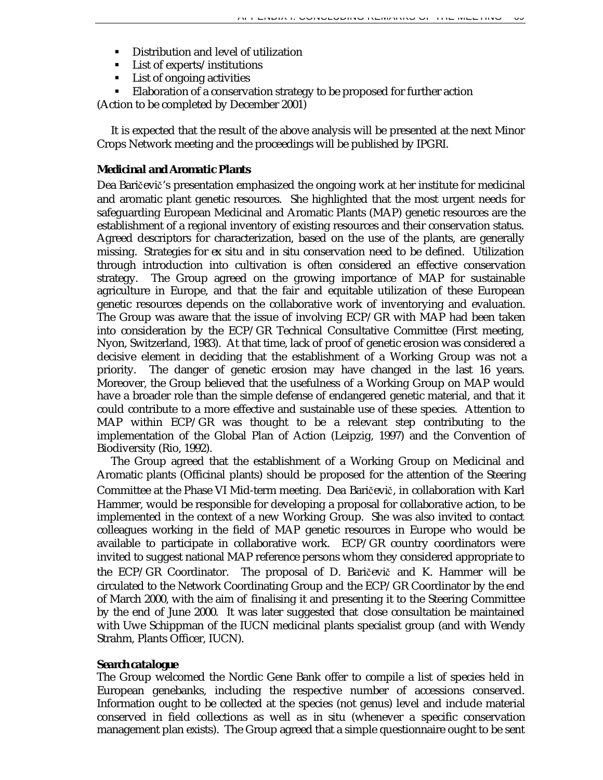- **•** Distribution and level of utilization
- **EXECUTE:** List of experts/institutions
- **List of ongoing activities**
- **Elaboration of a conservation strategy to be proposed for further action**

(Action to be completed by December 2001)

It is expected that the result of the above analysis will be presented at the next Minor Crops Network meeting and the proceedings will be published by IPGRI.

### *Medicinal and Aromatic Plants*

Dea Baričevič's presentation emphasized the ongoing work at her institute for medicinal and aromatic plant genetic resources. She highlighted that the most urgent needs for safeguarding European Medicinal and Aromatic Plants (MAP) genetic resources are the establishment of a regional inventory of existing resources and their conservation status. Agreed descriptors for characterization, based on the use of the plants, are generally missing. Strategies for *ex situ* and *in situ* conservation need to be defined. Utilization through introduction into cultivation is often considered an effective conservation strategy. The Group agreed on the growing importance of MAP for sustainable agriculture in Europe, and that the fair and equitable utilization of these European genetic resources depends on the collaborative work of inventorying and evaluation. The Group was aware that the issue of involving ECP/GR with MAP had been taken into consideration by the ECP/GR Technical Consultative Committee (First meeting, Nyon, Switzerland, 1983). At that time, lack of proof of genetic erosion was considered a decisive element in deciding that the establishment of a Working Group was not a priority. The danger of genetic erosion may have changed in the last 16 years. Moreover, the Group believed that the usefulness of a Working Group on MAP would have a broader role than the simple defense of endangered genetic material, and that it could contribute to a more effective and sustainable use of these species. Attention to MAP within ECP/GR was thought to be a relevant step contributing to the implementation of the Global Plan of Action (Leipzig, 1997) and the Convention of Biodiversity (Rio, 1992).

The Group agreed that the establishment of a Working Group on Medicinal and Aromatic plants (Officinal plants) should be proposed for the attention of the Steering Committee at the Phase VI Mid-term meeting. Dea Baričevič, in collaboration with Karl Hammer, would be responsible for developing a proposal for collaborative action, to be implemented in the context of a new Working Group. She was also invited to contact colleagues working in the field of MAP genetic resources in Europe who would be available to participate in collaborative work. ECP/GR country coordinators were invited to suggest national MAP reference persons whom they considered appropriate to the ECP/GR Coordinator. The proposal of D. Baričevič and K. Hammer will be circulated to the Network Coordinating Group and the ECP/GR Coordinator by the end of March 2000, with the aim of finalising it and presenting it to the Steering Committee by the end of June 2000. It was later suggested that close consultation be maintained with Uwe Schippman of the IUCN medicinal plants specialist group (and with Wendy Strahm, Plants Officer, IUCN).

#### *Search catalogue*

The Group welcomed the Nordic Gene Bank offer to compile a list of species held in European genebanks, including the respective number of accessions conserved. Information ought to be collected at the species (not genus) level and include material conserved in field collections as well as *in situ* (whenever a specific conservation management plan exists). The Group agreed that a simple questionnaire ought to be sent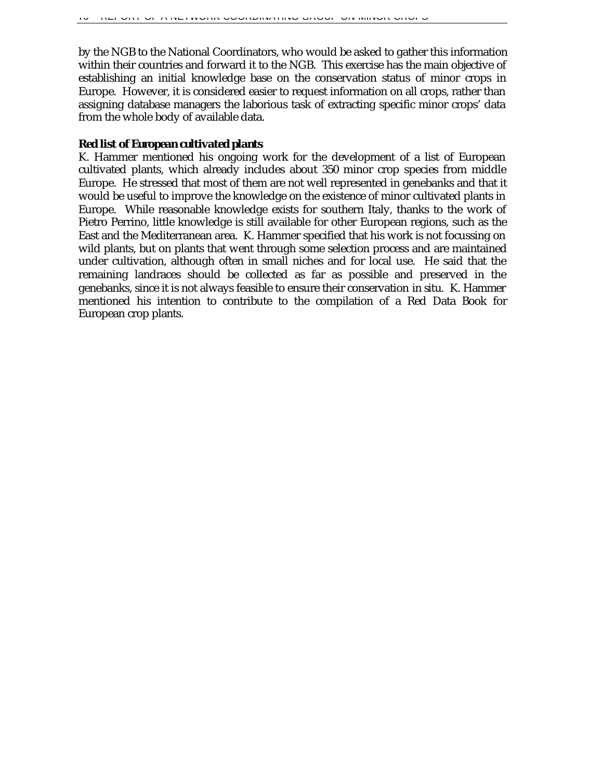by the NGB to the National Coordinators, who would be asked to gather this information within their countries and forward it to the NGB. This exercise has the main objective of establishing an initial knowledge base on the conservation status of minor crops in Europe. However, it is considered easier to request information on all crops, rather than assigning database managers the laborious task of extracting specific minor crops' data from the whole body of available data.

# *Red list of European cultivated plants*

K. Hammer mentioned his ongoing work for the development of a list of European cultivated plants, which already includes about 350 minor crop species from middle Europe. He stressed that most of them are not well represented in genebanks and that it would be useful to improve the knowledge on the existence of minor cultivated plants in Europe. While reasonable knowledge exists for southern Italy, thanks to the work of Pietro Perrino, little knowledge is still available for other European regions, such as the East and the Mediterranean area. K. Hammer specified that his work is not focussing on wild plants, but on plants that went through some selection process and are maintained under cultivation, although often in small niches and for local use. He said that the remaining landraces should be collected as far as possible and preserved in the genebanks, since it is not always feasible to ensure their conservation *in situ*. K. Hammer mentioned his intention to contribute to the compilation of a Red Data Book for European crop plants.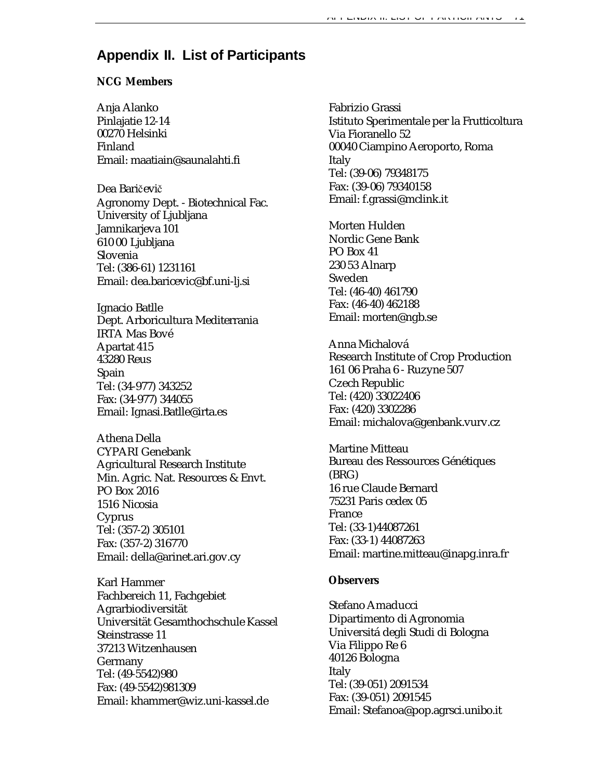# **Appendix II. List of Participants**

## **NCG Members**

Anja Alanko Pinlajatie 12-14 00270 Helsinki Finland Email: maatiain@saunalahti.fi

Dea Baričevič Agronomy Dept. - Biotechnical Fac. University of Ljubljana Jamnikarjeva 101 610 00 Ljubljana Slovenia Tel: (386-61) 1231161 Email: dea.baricevic@bf.uni-lj.si

Ignacio Batlle Dept. Arboricultura Mediterrania IRTA Mas Bové Apartat 415 43280 Reus Spain Tel: (34-977) 343252 Fax: (34-977) 344055 Email: Ignasi.Batlle@irta.es

Athena Della CYPARI Genebank Agricultural Research Institute Min. Agric. Nat. Resources & Envt. PO Box 2016 1516 Nicosia Cyprus Tel: (357-2) 305101 Fax: (357-2) 316770 Email: della@arinet.ari.gov.cy

Karl Hammer Fachbereich 11, Fachgebiet Agrarbiodiversität Universität Gesamthochschule Kassel Steinstrasse 11 37213 Witzenhausen Germany Tel: (49-5542)980 Fax: (49-5542)981309 Email: khammer@wiz.uni-kassel.de

Fabrizio Grassi Istituto Sperimentale per la Frutticoltura Via Fioranello 52 00040 Ciampino Aeroporto, Roma Italy Tel: (39-06) 79348175 Fax: (39-06) 79340158 Email: f.grassi@mclink.it

Morten Hulden Nordic Gene Bank PO Box 41 230 53 Alnarp Sweden Tel: (46-40) 461790 Fax: (46-40) 462188 Email: morten@ngb.se

Anna Michalová Research Institute of Crop Production 161 06 Praha 6 - Ruzyne 507 Czech Republic Tel: (420) 33022406 Fax: (420) 3302286 Email: michalova@genbank.vurv.cz

Martine Mitteau Bureau des Ressources Génétiques (BRG) 16 rue Claude Bernard 75231 Paris cedex 05 France Tel: (33-1)44087261 Fax: (33-1) 44087263 Email: martine.mitteau@inapg.inra.fr

#### **Observers**

Stefano Amaducci Dipartimento di Agronomia Universitá degli Studi di Bologna Via Filippo Re 6 40126 Bologna Italy Tel: (39-051) 2091534 Fax: (39-051) 2091545 Email: Stefanoa@pop.agrsci.unibo.it